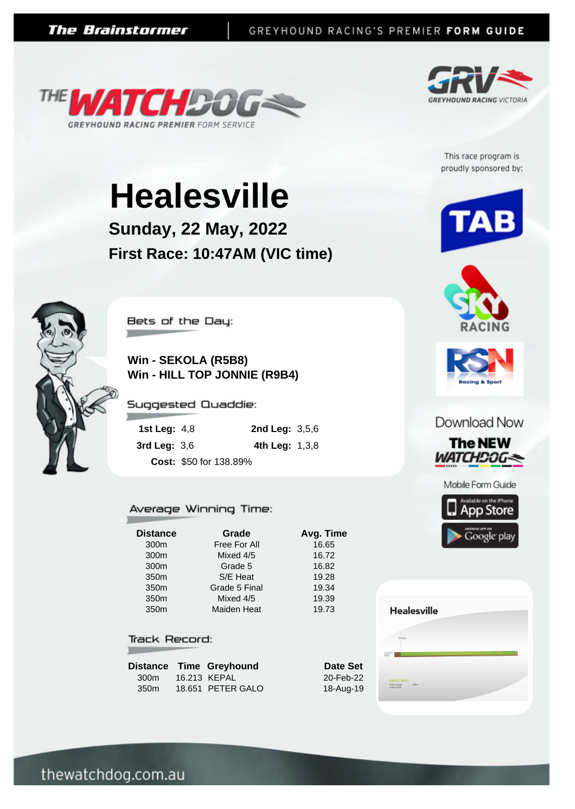



This race program is proudly sponsored by:

# **Healesville**

**Sunday, 22 May, 2022 First Race: 10:47AM (VIC time)**



Bets of the Day:

**College College** 

**Win - SEKOLA (R5B8) Win - HILL TOP JONNIE (R9B4)**

Suggested Quaddie:

| 1st Leg: $4,8$ |                        | <b>2nd Leg:</b> $3,5,6$ |  |
|----------------|------------------------|-------------------------|--|
| 3rd Leg: $3,6$ |                        | 4th Leg: $1,3,8$        |  |
|                | Cost: \$50 for 138.89% |                         |  |

#### Average Winning Time:

**Distance Grade Avg. Time**

300m Free For All 16.65 300m Mixed 4/5 16.72 300m Grade 5 16.82 350m S/E Heat 19.28 350m Grade 5 Final 19.34 350m Mixed 4/5 19.39 350m Maiden Heat 19.73

#### **Track Record:**

|                  | Distance Time Greyhound |
|------------------|-------------------------|
| 300m             | 16.213 KEPAL            |
| 350 <sub>m</sub> | 18.651 PETER GALO       |





Download Now



**Healesville TRACK INFO**<br>Track Length 340m<br>Grass Track

thewatchdog.com.au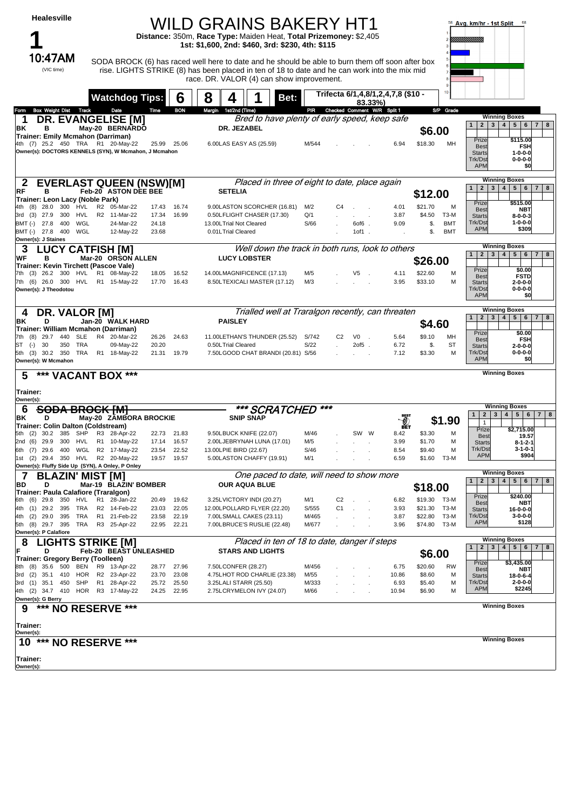| <b>Healesville</b>                                                       |                              |                |                | WILD GRAINS BAKERY HT1<br>Distance: 350m, Race Type: Maiden Heat, Total Prizemoney: \$2,405<br>1st: \$1,600, 2nd: \$460, 3rd: \$230, 4th: \$115                                                                                                |                |                |                                               |                                               |                                           | 58 Avg. km/hr - 1st Split 68                                                                      |
|--------------------------------------------------------------------------|------------------------------|----------------|----------------|------------------------------------------------------------------------------------------------------------------------------------------------------------------------------------------------------------------------------------------------|----------------|----------------|-----------------------------------------------|-----------------------------------------------|-------------------------------------------|---------------------------------------------------------------------------------------------------|
| 10:47AM<br>(VIC time)                                                    |                              |                |                | SODA BROCK (6) has raced well here to date and he should be able to burn them off soon after box<br>rise. LIGHTS STRIKE (8) has been placed in ten of 18 to date and he can work into the mix mid<br>race. DR. VALOR (4) can show improvement. |                |                |                                               |                                               |                                           |                                                                                                   |
|                                                                          | <b>Watchdog Tips:</b>        |                | 6              | 8<br>4<br>Bet:                                                                                                                                                                                                                                 |                |                |                                               | Trifecta 6/1,4,8/1,2,4,7,8 (\$10 -<br>83.33%) | 10                                        |                                                                                                   |
| <b>Box Weight Dist Track</b><br>Form                                     | Date                         | Time           | <b>BON</b>     | Margin 1st/2nd (Time)                                                                                                                                                                                                                          | PIR            |                |                                               | Checked Comment W/R Split 1                   | S/P Grade                                 | <b>Winning Boxes</b>                                                                              |
| <b>DR. EVANGELISE [M]</b><br>1<br>ΒK<br>в                                | May-20 BERNARDO              |                |                | Bred to have plenty of early speed, keep safe<br>DR. JEZABEL                                                                                                                                                                                   |                |                |                                               |                                               | \$6.00                                    | 2 <sub>1</sub><br>3   4   5   6<br>$\mathbf{1}$<br>$\overline{7}$<br>8                            |
| Trainer: Emily Mcmahon (Darriman)<br>4th (7) 25.2 450 TRA R1 20-May-22   |                              |                | 25.99 25.06    | 6.00LAS EASY AS (25.59)                                                                                                                                                                                                                        | M/544          |                |                                               | 6.94                                          | \$18.30<br>MН                             | Prize<br>\$115.00<br><b>FSH</b><br>Best                                                           |
| Owner(s): DOCTORS KENNELS (SYN), W Mcmahon, J Mcmahon                    |                              |                |                |                                                                                                                                                                                                                                                |                |                |                                               |                                               |                                           | <b>Starts</b><br>$1 - 0 - 0 - 0$<br>Trk/Dst<br>$0 - 0 - 0 - 0$<br><b>APM</b><br>\$0               |
| <b>EVERLAST QUEEN (NSW)[M]</b><br>2                                      |                              |                |                | Placed in three of eight to date, place again                                                                                                                                                                                                  |                |                |                                               |                                               |                                           | <b>Winning Boxes</b><br>3   4   5   6<br>$2^{\circ}$<br>$\overline{7}$<br>8<br>$\mathbf{1}$       |
| в<br>RF<br>Trainer: Leon Lacy (Noble Park)                               | Feb-20 ASTON DEE BEE         |                |                | <b>SETELIA</b>                                                                                                                                                                                                                                 |                |                |                                               |                                               | \$12.00                                   | Prize<br>\$515.00                                                                                 |
| $(8)$ 28.0<br>300 HVL<br>27.9<br>300<br>HVL<br>3rd (3)                   | R2 05-Mar-22<br>R2 11-Mar-22 | 17.43<br>17.34 | 16.74<br>16.99 | 9.00LASTON SCORCHER (16.81)<br>0.50LFLIGHT CHASER (17.30)                                                                                                                                                                                      | M/2<br>Q/1     | C4             | $\mathbf{r} = \mathbf{r} \times \mathbf{r}$ . | 4.01<br>3.87                                  | M<br>\$21.70<br>\$4.50<br>T3-M            | <b>NBT</b><br>Best<br>$8 - 0 - 0 - 3$<br><b>Starts</b>                                            |
| WGL<br>BMT (-) 27.8<br>400                                               | 24-Mar-22                    | 24.18          |                | 13.00LTrial Not Cleared                                                                                                                                                                                                                        | S/66           |                | $60f6$ .                                      | 9.09                                          | <b>BMT</b><br>\$.                         | Trk/Dst<br>$1 - 0 - 0 - 0$<br><b>APM</b><br>\$309                                                 |
| BMT (-) 27.8 400<br>WGL<br>Owner(s): J Staines                           | 12-May-22                    | 23.68          |                | 0.01LTrial Cleared                                                                                                                                                                                                                             |                |                | $10f1$ .                                      |                                               | <b>BMT</b><br>\$.                         |                                                                                                   |
| 3<br><b>LUCY CATFISH [M]</b>                                             |                              |                |                | Well down the track in both runs, look to others                                                                                                                                                                                               |                |                |                                               |                                               |                                           | <b>Winning Boxes</b><br>2 3 4 5 6<br>78<br>$\mathbf{1}$                                           |
| WF<br>в<br>Trainer: Kevin Tirchett (Pascoe Vale)                         | Mar-20 ORSON ALLEN           |                |                | <b>LUCY LOBSTER</b>                                                                                                                                                                                                                            |                |                |                                               |                                               | \$26.00                                   | Prize<br>\$0.00                                                                                   |
| (3) 26.2 300 HVL<br>7th (6) 26.0 300 HVL                                 | R1 08-May-22<br>R1 15-May-22 | 18.05<br>17.70 | 16.52<br>16.43 | 14.00LMAGNIFICENCE (17.13)<br>8.50LTEXICALI MASTER (17.12)                                                                                                                                                                                     | M/5<br>M/3     |                | V <sub>5</sub>                                | 4.11<br>3.95                                  | \$22.60<br>М<br>\$33.10<br>М              | <b>FSTD</b><br>Best<br>$2 - 0 - 0 - 0$<br><b>Starts</b>                                           |
| Owner(s): J Theodotou                                                    |                              |                |                |                                                                                                                                                                                                                                                |                |                |                                               |                                               |                                           | $0 - 0 - 0 - 0$<br>Trk/Dst<br><b>APM</b><br>\$0                                                   |
| <b>DR. VALOR [M]</b><br>4                                                |                              |                |                | Trialled well at Traralgon recently, can threaten                                                                                                                                                                                              |                |                |                                               |                                               |                                           | <b>Winning Boxes</b><br>2 <sup>1</sup><br>3   4   5   6<br>7 8<br>1                               |
| ΒK<br>D<br>Trainer: William Mcmahon (Darriman)                           | Jan-20 WALK HARD             |                |                | <b>PAISLEY</b>                                                                                                                                                                                                                                 |                |                |                                               |                                               | \$4.60                                    |                                                                                                   |
| (8)<br>29.7 440 SLE<br>7th                                               | R4 20-Mar-22                 | 26.26          | 24.63          | 11.00LETHAN'S THUNDER (25.52)                                                                                                                                                                                                                  | S/742          | C <sub>2</sub> | V0<br>$\sim$ 100 $\mu$                        | 5.64                                          | \$9.10<br>MН                              | \$0.00<br>Prize<br>Best<br><b>FSH</b>                                                             |
| ST<br>$(\text{-})$<br>30<br>350 TRA<br>5th (3) 30.2 350 TRA R1 18-May-22 | 09-May-22                    | 20.20<br>21.31 | 19.79          | 0.50LTrial Cleared<br>7.50LGOOD CHAT BRANDI (20.81) S/56                                                                                                                                                                                       | S/22           |                | $20f5$ .                                      | 6.72<br>7.12                                  | \$.<br>ST<br>\$3.30<br>М                  | <b>Starts</b><br>$2 - 0 - 0 - 0$<br>Trk/Dst<br>$0 - 0 - 0 - 0$                                    |
| Owner(s): W Mcmahon                                                      |                              |                |                |                                                                                                                                                                                                                                                |                |                |                                               |                                               |                                           | <b>APM</b><br>\$0<br><b>Winning Boxes</b>                                                         |
| *** VACANT BOX ***<br>5<br><b>Trainer:</b>                               |                              |                |                |                                                                                                                                                                                                                                                |                |                |                                               |                                               |                                           |                                                                                                   |
| Owner(s):<br>6<br><del>SODA</del>                                        | <del>BROCK [M]</del>         |                |                | *** SCRATCHED                                                                                                                                                                                                                                  |                |                |                                               |                                               |                                           | <b>Winning Boxes</b>                                                                              |
| ΒK<br>D<br>Trainer: Colin Dalton (Coldstream)                            | May-20 ZAMBORA BROCKIE       |                |                | <b>SNIP SNAP</b>                                                                                                                                                                                                                               |                |                |                                               | eËT                                           | 1.90                                      | 4   5   6   7   8<br>$\mathbf{1}$<br>2 <sup>1</sup><br>3 <sup>1</sup><br>$\mathbf{1}$             |
| 5th (2) 30.2 385 SHP R3 28-Apr-22                                        | R1 10-May-22                 | 17.14          | 22.73 21.83    | 9.50LBUCK KNIFE (22.07)<br>2.00LJEBRYNAH LUNA (17.01)                                                                                                                                                                                          | M/46           |                | SW W                                          | 8.42<br>3.99                                  | \$3.30<br>м<br>\$1.70<br>М                | \$2,715.00<br>Prize<br><b>Best</b><br>19.57                                                       |
| 2nd (6) 29.9 300 HVL<br>6th (7) 29.6 400 WGL                             | R2 17-May-22                 | 23.54          | 16.57<br>22.52 | 13.00LPIE BIRD (22.67)                                                                                                                                                                                                                         | M/5<br>S/46    |                |                                               | 8.54                                          | \$9.40<br>М                               | $8 - 1 - 2 - 1$<br><b>Starts</b><br>Trk/Dst<br>$3 - 1 - 0 - 1$                                    |
| 1st (2) 29.4 350 HVL<br>Owner(s): Fluffy Side Up (SYN), A Onley, P Onley | R2 20-May-22                 | 19.57          | 19.57          | 5.00LASTON CHAFFY (19.91)                                                                                                                                                                                                                      | M/1            |                |                                               | 6.59                                          | \$1.60 T3-M                               | <b>APM</b><br>\$904                                                                               |
| <b>BLAZIN' MIST</b>                                                      | IMI                          |                |                | One paced to date, will need to show more                                                                                                                                                                                                      |                |                |                                               |                                               |                                           | <b>Winning Boxes</b><br>$3 \mid 4$<br>5 <sup>1</sup><br>$\overline{2}$<br>6<br>78<br>$\mathbf{1}$ |
| BD<br>D<br>Trainer: Paula Calafiore (Traralgon)                          | Mar-19 BLAZIN' BOMBER        |                |                | <b>OUR AQUA BLUE</b>                                                                                                                                                                                                                           |                |                |                                               |                                               | \$18.00                                   |                                                                                                   |
| (6) 29.8 350 HVL<br>6th                                                  | R1 28-Jan-22                 | 20.49          | 19.62          | 3.25LVICTORY INDI (20.27)                                                                                                                                                                                                                      | M/1            | C <sub>2</sub> |                                               | 6.82                                          | \$19.30 T3-M                              | \$240.00<br>Prize<br>Best<br><b>NBT</b>                                                           |
| $(1)$ 29.2 395<br>TRA<br>4th<br>(2)<br>29.0<br>395<br>TRA<br>4th         | R2 14-Feb-22<br>R1 21-Feb-22 | 23.03<br>23.58 | 22.05<br>22.19 | 12.00LPOLLARD FLYER (22.20)<br>7.00LSMALL CAKES (23.11)                                                                                                                                                                                        | S/555<br>M/465 | C1             |                                               | 3.93<br>3.87                                  | \$21.30<br>T3-M<br>\$22.80<br><b>T3-M</b> | $16 - 0 - 0 - 0$<br><b>Starts</b><br>$3 - 0 - 0 - 0$<br>Trk/Dst                                   |
| 5th (8) 29.7 395<br>TRA                                                  | R3 25-Apr-22                 | 22.95          | 22.21          | 7.00LBRUCE'S RUSLIE (22.48)                                                                                                                                                                                                                    | M/677          |                |                                               | 3.96                                          | \$74.80<br><b>T3-M</b>                    | <b>APM</b><br>\$128                                                                               |
| Owner(s): P Calafiore<br><b>LIGHTS STRIKE [M]</b><br>8                   |                              |                |                | Placed in ten of 18 to date, danger if steps                                                                                                                                                                                                   |                |                |                                               |                                               |                                           | <b>Winning Boxes</b>                                                                              |
| F<br>D                                                                   | Feb-20 BEAST UNLEASHED       |                |                | <b>STARS AND LIGHTS</b>                                                                                                                                                                                                                        |                |                |                                               |                                               | \$6.00                                    | $\mathbf{2}$<br>4   5   6  <br>$\mathbf{1}$<br>3 <sup>1</sup><br>78                               |
| Trainer: Gregory Berry (Toolleen)<br>8th (8) 35.6 500 BEN                | R9 13-Apr-22                 | 28.77          | 27.96          | 7.50LCONFER (28.27)                                                                                                                                                                                                                            | M/456          |                |                                               | 6.75                                          | \$20.60<br>RW                             | \$3,435.00<br>Prize<br><b>NBT</b><br>Best                                                         |
| 35.1 410 HOR<br>3rd (2)                                                  | R2 23-Apr-22                 | 23.70          | 23.08          | 4.75LHOT ROD CHARLIE (23.38)                                                                                                                                                                                                                   | M/55           |                |                                               | 10.86                                         | \$8.60<br>М                               | $18 - 0 - 6 - 4$<br><b>Starts</b><br>Trk/Dst<br>$2 - 0 - 0 - 0$                                   |
| $(1)$ 35.1 450<br>SHP<br>3rd<br>4th (2) 34.7 410 HOR R3 17-May-22        | R1 28-Apr-22                 | 25.72<br>24.25 | 25.50<br>22.95 | 3.25LALI STARR (25.50)<br>2.75LCRYMELON IVY (24.07)                                                                                                                                                                                            | M/333<br>M/66  |                |                                               | 6.93<br>10.94                                 | \$5.40<br>М<br>\$6.90<br>М                | \$2245<br><b>APM</b>                                                                              |
| Owner(s): G Berry<br>*** NO RESERVE ***<br>9                             |                              |                |                |                                                                                                                                                                                                                                                |                |                |                                               |                                               |                                           | <b>Winning Boxes</b>                                                                              |
|                                                                          |                              |                |                |                                                                                                                                                                                                                                                |                |                |                                               |                                               |                                           |                                                                                                   |
| Trainer:<br>Owner(s):                                                    |                              |                |                |                                                                                                                                                                                                                                                |                |                |                                               |                                               |                                           |                                                                                                   |
| $10***$                                                                  | <b>NO RESERVE ***</b>        |                |                |                                                                                                                                                                                                                                                |                |                |                                               |                                               |                                           | <b>Winning Boxes</b>                                                                              |
| Trainer:<br>Owner(s):                                                    |                              |                |                |                                                                                                                                                                                                                                                |                |                |                                               |                                               |                                           |                                                                                                   |
|                                                                          |                              |                |                |                                                                                                                                                                                                                                                |                |                |                                               |                                               |                                           |                                                                                                   |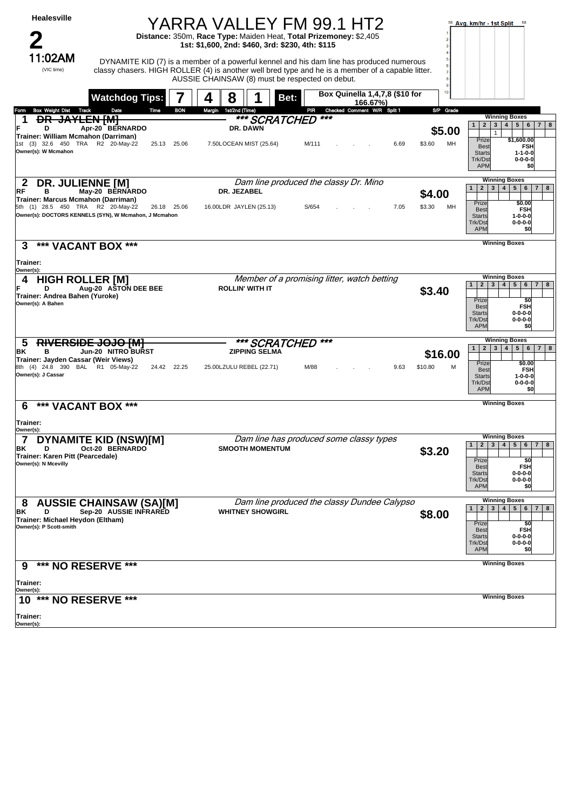| Healesville                                                                                                    |                                                                      | YARRA VALLEY FM 99.1 HT2<br>Distance: 350m, Race Type: Maiden Heat, Total Prizemoney: \$2,405<br>1st: \$1,600, 2nd: \$460, 3rd: \$230, 4th: \$115 |                                                                                                                                                                                               |                         | Avg. km/hr - 1st Split 68                                                                                                                                                                                                                 |
|----------------------------------------------------------------------------------------------------------------|----------------------------------------------------------------------|---------------------------------------------------------------------------------------------------------------------------------------------------|-----------------------------------------------------------------------------------------------------------------------------------------------------------------------------------------------|-------------------------|-------------------------------------------------------------------------------------------------------------------------------------------------------------------------------------------------------------------------------------------|
| 1:02AM<br>(VIC time)                                                                                           |                                                                      | AUSSIE CHAINSAW (8) must be respected on debut.                                                                                                   | DYNAMITE KID (7) is a member of a powerful kennel and his dam line has produced numerous<br>classy chasers. HIGH ROLLER (4) is another well bred type and he is a member of a capable litter. | $\overline{9}$<br>10    |                                                                                                                                                                                                                                           |
|                                                                                                                | <b>Watchdog Tips:</b>                                                | 8<br>Bet:<br>4                                                                                                                                    | Box Quinella 1,4,7,8 (\$10 for<br>166.67%)                                                                                                                                                    |                         |                                                                                                                                                                                                                                           |
| <b>Box Weight Dist</b><br>Track<br>Form<br><b>DR</b>                                                           | Date<br>Time<br><del>JAYLEN [M]</del>                                | <b>BON</b><br>1st/2nd (Time)<br>Margin<br><b>*** SCRATCHED</b>                                                                                    | Checked Comment W/R Split 1<br>PIR<br>***                                                                                                                                                     | S/P Grade               | <b>Winning Boxes</b>                                                                                                                                                                                                                      |
| D<br>Trainer: William Mcmahon (Darriman)                                                                       | Apr-20 BERNARDO                                                      | DR. DAWN                                                                                                                                          |                                                                                                                                                                                               | \$5.00                  | 3   4   5   6<br>2<br>$7 \mid 8$<br>$\mathbf{1}$<br>$\mathbf{1}$                                                                                                                                                                          |
| 1st (3) 32.6 450 TRA R2 20-May-22<br>Owner(s): W Mcmahon                                                       | 25.13 25.06                                                          | 7.50LOCEAN MIST (25.64)                                                                                                                           | M/111<br>6.69                                                                                                                                                                                 | MH<br>\$3.60            | Prize<br>\$1,600.00<br><b>FSH</b><br><b>Best</b><br>$1 - 1 - 0 - 0$<br><b>Starts</b><br>Trk/Dst<br>$0 - 0 - 0 - 0$<br><b>APM</b><br>\$0                                                                                                   |
| <b>DR. JULIENNE [M]</b><br>2<br>RF<br>в                                                                        | May-20 BERNARDO                                                      | DR. JEZABEL                                                                                                                                       | Dam line produced the classy Dr. Mino                                                                                                                                                         | \$4.00                  | <b>Winning Boxes</b><br>3   4   5   6  <br>2 <sup>1</sup><br>$\overline{7}$<br>8<br>1                                                                                                                                                     |
| Trainer: Marcus Mcmahon (Darriman)<br>5th (1) 28.5 450 TRA R2 20-May-22                                        | 26.18 25.06<br>Owner(s): DOCTORS KENNELS (SYN), W Mcmahon, J Mcmahon | 16.00LDR JAYLEN (25.13)                                                                                                                           | S/654<br>7.05                                                                                                                                                                                 | \$3.30<br>MН            | Prize<br>\$0.00<br><b>FSH</b><br><b>Best</b><br><b>Starts</b><br>$1 - 0 - 0 - 0$<br>Trk/Dst<br>$0 - 0 - 0 - 0$<br><b>APM</b><br>\$0                                                                                                       |
| *** VACANT BOX ***<br>3                                                                                        |                                                                      |                                                                                                                                                   |                                                                                                                                                                                               |                         | <b>Winning Boxes</b>                                                                                                                                                                                                                      |
| Trainer:                                                                                                       |                                                                      |                                                                                                                                                   |                                                                                                                                                                                               |                         |                                                                                                                                                                                                                                           |
| Owner(s):<br><b>HIGH ROLLER [M]</b><br>4<br>D<br>Trainer: Andrea Bahen (Yuroke)<br>Owner(s): A Bahen           | Aug-20 ASTON DEE BEE                                                 | <b>ROLLIN' WITH IT</b>                                                                                                                            | Member of a promising litter, watch betting                                                                                                                                                   | \$3.40                  | <b>Winning Boxes</b><br>5 <sup>1</sup><br>$\mathbf{2}$<br>3 <sup>1</sup><br>4<br>$6 \mid 7$<br>8<br>1<br>Prize<br>\$0<br><b>FSH</b><br><b>Best</b><br><b>Starts</b><br>$0 - 0 - 0 - 0$<br>Trk/Dst<br>$0 - 0 - 0 - 0$<br><b>APM</b><br>\$0 |
| 5<br>ΒK<br>в<br>Trainer: Jayden Cassar (Weir Views)<br>8th (4) 24.8 390 BAL R1 05-May-22<br>Owner(s): J Cassar | <del>JOJO IMI</del><br>Jun-20 NITRO BURST<br>24.42 22.25             | *** SCRATCHED<br><b>ZIPPING SELMA</b><br>25.00LZULU REBEL (22.71)                                                                                 | ***<br>M/88<br>9.63                                                                                                                                                                           | \$16.00<br>\$10.80<br>M | <b>Winning Boxes</b><br>5 6 <br>$\overline{2}$<br>3 <br>4 <sup>1</sup><br>7 8<br>$\mathbf{1}$<br>Prize<br>\$0.00<br><b>Best</b><br><b>FSH</b><br><b>Starts</b><br>$1 - 0 - 0 - 0$<br>$0 - 0 - 0 - 0$<br>Trk/Dst<br><b>APM</b><br>\$0      |
| *** VACANT BOX ***<br>6                                                                                        |                                                                      |                                                                                                                                                   |                                                                                                                                                                                               |                         | <b>Winning Boxes</b>                                                                                                                                                                                                                      |
| Trainer:<br>Owner(s):                                                                                          |                                                                      |                                                                                                                                                   |                                                                                                                                                                                               |                         |                                                                                                                                                                                                                                           |
| $\overline{7}$<br>BK<br>D<br>Trainer: Karen Pitt (Pearcedale)<br>Owner(s): N Mcevilly                          | <b>DYNAMITE KID (NSW)[M]</b><br>Oct-20 BERNARDO                      | <b>SMOOTH MOMENTUM</b>                                                                                                                            | Dam line has produced some classy types                                                                                                                                                       | \$3.20                  | <b>Winning Boxes</b><br>2 3 4 5 6 7 8<br>1<br>Prize<br>\$0<br><b>FSH</b><br><b>Best</b><br>$0 - 0 - 0 - 0$<br><b>Starts</b><br>$0 - 0 - 0 - 0$<br>Trk/Dst<br><b>APM</b><br>\$0                                                            |
| 8<br>ΒK<br>D<br>Trainer: Michael Heydon (Eltham)<br>Owner(s): P Scott-smith                                    | <b>AUSSIE CHAINSAW (SA)[M]</b><br>Sep-20 AUSSIE INFRARED             | <b>WHITNEY SHOWGIRL</b>                                                                                                                           | Dam line produced the classy Dundee Calypso                                                                                                                                                   | \$8.00                  | <b>Winning Boxes</b><br>4   5   6   7   8<br>1<br>$2 \mid 3 \mid$<br>Prize<br>\$0<br><b>FSH</b><br><b>Best</b><br>$0 - 0 - 0 - 0$<br><b>Starts</b><br>$0 - 0 - 0 - 0$<br>Trk/Dst<br><b>APM</b><br>\$0                                     |
| *** NO RESERVE ***<br>9                                                                                        |                                                                      |                                                                                                                                                   |                                                                                                                                                                                               |                         | <b>Winning Boxes</b>                                                                                                                                                                                                                      |
| Trainer:<br>Owner(s):                                                                                          |                                                                      |                                                                                                                                                   |                                                                                                                                                                                               |                         |                                                                                                                                                                                                                                           |
| 10 *** NO RESERVE ***                                                                                          |                                                                      |                                                                                                                                                   |                                                                                                                                                                                               |                         | <b>Winning Boxes</b>                                                                                                                                                                                                                      |
| Trainer:<br>Owner(s):                                                                                          |                                                                      |                                                                                                                                                   |                                                                                                                                                                                               |                         |                                                                                                                                                                                                                                           |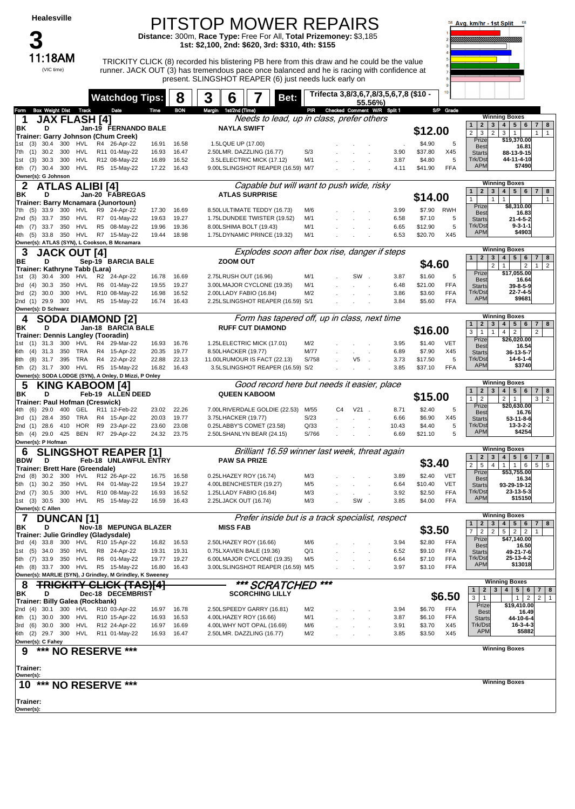11:18AM

(VIC time)

## PITSTOP MOWER REPAIRS **Distance:** 300m, **Race Type:** Free For All, **Total Prizemoney:** \$3,185

**1st: \$2,100, 2nd: \$620, 3rd: \$310, 4th: \$155**

11:18AM TRICKITY CLICK (8) recorded his blistering PB here from this draw and he could be the value runner. JACK OUT (3) has tremendous pace once balanced and he is racing with confidence at present. SLINGSHOT REAPER (6) just needs luck early on



|                                                                                   | <b>Watchdog Tips:</b>           |                | 8              | 3 | 6                     |                                                                  | Bet: |              |    |         |                                        | Trifecta 3,8/3,6,7,8/3,5,6,7,8 (\$10 - |                    | 10                |                                                     |                                                                                                                 |
|-----------------------------------------------------------------------------------|---------------------------------|----------------|----------------|---|-----------------------|------------------------------------------------------------------|------|--------------|----|---------|----------------------------------------|----------------------------------------|--------------------|-------------------|-----------------------------------------------------|-----------------------------------------------------------------------------------------------------------------|
| <b>Box Weight Dist Track</b><br>Form                                              | Date                            | Time           | <b>BON</b>     |   | Margin 1st/2nd (Time) |                                                                  |      | PIR          |    |         | 55.56%)<br>Checked Comment W/R Split 1 |                                        |                    | S/P Grade         |                                                     |                                                                                                                 |
| <b>JAX FLASH [4]</b><br>1                                                         |                                 |                |                |   |                       | Needs to lead, up in class, prefer others                        |      |              |    |         |                                        |                                        |                    |                   |                                                     | <b>Winning Boxes</b>                                                                                            |
| ΒK<br>D                                                                           | Jan-19 FERNANDO BALE            |                |                |   | <b>NAYLA SWIFT</b>    |                                                                  |      |              |    |         |                                        |                                        | \$12.00            |                   | 2<br>1 <sup>1</sup>                                 | 3 <br>4   5   6  <br>7 8                                                                                        |
| Trainer: Garry Johnson (Chum Creek)                                               |                                 |                |                |   |                       |                                                                  |      |              |    |         |                                        |                                        |                    |                   | 2 <sup>1</sup><br>3<br>$\overline{2}$<br>Prize      | 3 <br>$\overline{1}$<br>$1 \mid 1$<br>\$19,370.00                                                               |
| 300 HVL<br>1st (3)<br>30.4                                                        | R4 26-Apr-22                    | 16.91          | 16.58          |   | 1.5LQUE UP (17.00)    |                                                                  |      |              |    |         |                                        |                                        | \$4.90             | 5                 | <b>Best</b>                                         | 16.81                                                                                                           |
| 30.2<br>300<br>HVL<br>7th (1)<br>HVL<br>30.3<br>300<br>(3)<br>1st                 | R11 01-May-22<br>R12 08-May-22  | 16.93<br>16.89 | 16.47<br>16.52 |   |                       | 2.50LMR. DAZZLING (16.77)<br>3.5LELECTRIC MICK (17.12)           |      | S/3<br>M/1   |    |         |                                        | 3.90<br>3.87                           | \$37.80<br>\$4.80  | X45<br>5          | <b>Starts</b><br>Trk/Dst                            | 88-13-9-15<br>44-11-4-10                                                                                        |
| 6th (7) 30.4 300<br>HVL                                                           | R5 15-May-22                    | 17.22          | 16.43          |   |                       | 9.00LSLINGSHOT REAPER (16.59) M/7                                |      |              |    |         |                                        | 4.11                                   | \$41.90            | <b>FFA</b>        | <b>APM</b>                                          | \$7490                                                                                                          |
| Owner(s): G Johnson                                                               |                                 |                |                |   |                       |                                                                  |      |              |    |         |                                        |                                        |                    |                   |                                                     |                                                                                                                 |
| <b>ATLAS ALIBI [4]</b>                                                            |                                 |                |                |   |                       | Capable but will want to push wide, risky                        |      |              |    |         |                                        |                                        |                    |                   |                                                     | <b>Winning Boxes</b>                                                                                            |
| ΒK<br>D                                                                           | Jan-20 FABREGAS                 |                |                |   |                       | <b>ATLAS SURPRISE</b>                                            |      |              |    |         |                                        |                                        | \$14.00            |                   | 2 <br>$\mathbf{1}$<br>$\mathbf{1}$<br>1             | 4   5   6   7   8<br>3 <br>$\mathbf{1}$<br>$\mathbf{1}$                                                         |
| Trainer: Barry Mcnamara (Junortoun)<br>(5)<br>33.9<br>300 HVL                     | R9 24-Apr-22                    | 17.30          | 16.69          |   |                       | 8.50LULTIMATE TEDDY (16.73)                                      |      | M/6          |    |         |                                        | 3.99                                   | \$7.90             | RWH               | Prize                                               | \$8,310.00                                                                                                      |
| 7th<br>2nd (5)<br>33.7<br>350<br>HVL                                              | R7 01-May-22                    | 19.63          | 19.27          |   |                       | 1.75LDUNDEE TWISTER (19.52)                                      |      | M/1          |    |         |                                        | 6.58                                   | \$7.10             | 5                 | <b>Best</b><br><b>Starts</b>                        | 16.83<br>$21 - 4 - 5 - 2$                                                                                       |
| 33.7 350 HVL<br>4th (7)                                                           | R <sub>5</sub><br>08-May-22     | 19.96          | 19.36          |   |                       | 8.00LSHIMA BOLT (19.43)                                          |      | M/1          |    |         |                                        | 6.65                                   | \$12.90            | 5                 | Trk/Dst                                             | $9 - 3 - 1 - 1$                                                                                                 |
| 350 HVL<br>4th (5)<br>33.8                                                        | R7 15-May-22                    | 19.44          | 18.98          |   |                       | 1.75LDYNAMIC PRINCE (19.32)                                      |      | M/1          |    |         |                                        | 6.53                                   | \$20.70            | X45               | <b>APM</b>                                          | \$4903                                                                                                          |
| Owner(s): ATLAS (SYN), L Cookson, B Mcnamara                                      |                                 |                |                |   |                       |                                                                  |      |              |    |         |                                        |                                        |                    |                   |                                                     | <b>Winning Boxes</b>                                                                                            |
| 3<br><b>JACK OUT [4]</b>                                                          |                                 |                |                |   |                       | Explodes soon after box rise, danger if steps                    |      |              |    |         |                                        |                                        |                    |                   | $\overline{2}$<br>1 <sup>1</sup>                    | 4 <br>5 6 <br>3 <br>$7 \mid 8$                                                                                  |
| D<br>BE<br>Trainer: Kathryne Tabb (Lara)                                          | Sep-19 BARCIA BALE              |                |                |   | ZOOM OUT              |                                                                  |      |              |    |         |                                        |                                        | \$4.60             |                   | $\overline{2}$                                      | $\overline{2}$<br>$\overline{2}$<br>$\mathbf{1}$<br>1 <sup>1</sup>                                              |
| 30.4<br>300<br>HVL<br>1st (3)                                                     | R <sub>2</sub><br>24-Apr-22     | 16.78          | 16.69          |   |                       | 2.75LRUSH OUT (16.96)                                            |      | M/1          |    | SW.     |                                        | 3.87                                   | \$1.60             | 5                 | Prize                                               | \$17,055.00                                                                                                     |
| 30.3<br>HVL<br>350<br>3rd<br>(4)                                                  | R6 01-May-22                    | 19.55          | 19.27          |   |                       | 3.00LMAJOR CYCLONE (19.35)                                       |      | M/1          |    |         |                                        | 6.48                                   | \$21.00            | <b>FFA</b>        | <b>Best</b><br><b>Starts</b>                        | 16.64<br>39-8-5-9                                                                                               |
| HVL<br>(2)<br>30.0<br>300<br>3rd                                                  | R10 08-May-22                   | 16.98          | 16.52          |   |                       | 2.00LLADY FABIO (16.84)                                          |      | M/2          |    |         |                                        | 3.86                                   | \$3.60             | <b>FFA</b>        | Trk/Dst<br><b>APM</b>                               | $22 - 7 - 4 - 5$<br>\$9681                                                                                      |
| 300<br>HVL<br>2nd (1) 29.9<br>Owner(s): D Schwarz                                 | R5 15-May-22                    | 16.74          | 16.43          |   |                       | 2.25LSLINGSHOT REAPER (16.59) S/1                                |      |              |    |         |                                        | 3.84                                   | \$5.60             | <b>FFA</b>        |                                                     |                                                                                                                 |
| <b>SODA DIAMOND [2]</b><br>4                                                      |                                 |                |                |   |                       | Form has tapered off, up in class, next time                     |      |              |    |         |                                        |                                        |                    |                   |                                                     | <b>Winning Boxes</b>                                                                                            |
| ΒK<br>D                                                                           | Jan-18 BARCIA BALE              |                |                |   |                       | <b>RUFF CUT DIAMOND</b>                                          |      |              |    |         |                                        |                                        |                    |                   | 1                                                   | 2   3   4  <br>5 6 7 8                                                                                          |
| Trainer: Dennis Langley (Tooradin)                                                |                                 |                |                |   |                       |                                                                  |      |              |    |         |                                        |                                        | \$16.00            |                   | 3<br>$\overline{1}$<br>$\mathbf{1}$                 | 4 <br>$\overline{2}$<br>$\overline{2}$                                                                          |
| 300<br>HVL<br>1st (1)<br>31.3                                                     | R4 29-Mar-22                    | 16.93          | 16.76          |   |                       | 1.25LELECTRIC MICK (17.01)                                       |      | M/2          |    |         |                                        | 3.95                                   | \$1.40             | <b>VET</b>        | Prize<br><b>Best</b>                                | \$26,020.00<br>16.54                                                                                            |
| TRA<br>350<br>(4)<br>31.3<br>6th                                                  | R4 15-Apr-22                    | 20.35          | 19.77          |   | 8.50LHACKER (19.77)   |                                                                  |      | M/77         |    |         |                                        | 6.89                                   | \$7.90             | X45               | <b>Starts</b>                                       | 36-13-5-7                                                                                                       |
| 31.7 395 TRA<br>8th<br>(8)<br>5th (2)<br>31.7 300 HVL                             | R4 22-Apr-22<br>R5 15-May-22    | 22.88<br>16.82 | 22.13<br>16.43 |   |                       | 11.00LRUMOUR IS FACT (22.13)<br>3.5LSLINGSHOT REAPER (16.59) S/2 |      | S/758        |    | V5      |                                        | 3.73<br>3.85                           | \$17.50<br>\$37.10 | 5<br><b>FFA</b>   | Trk/Dst<br><b>APM</b>                               | 14-6-1-4<br>\$3740                                                                                              |
| Owner(s): SODA LODGE (SYN), A Onley, D Mizzi, P Onley                             |                                 |                |                |   |                       |                                                                  |      |              |    |         |                                        |                                        |                    |                   |                                                     |                                                                                                                 |
| <b>KING KABOOM [4]</b><br>5                                                       |                                 |                |                |   |                       | Good record here but needs it easier, place                      |      |              |    |         |                                        |                                        |                    |                   |                                                     | <b>Winning Boxes</b>                                                                                            |
| ΒK<br>D                                                                           | Feb-19 ALLEN DEED               |                |                |   |                       | <b>QUEEN KABOOM</b>                                              |      |              |    |         |                                        |                                        | \$15.00            |                   | $\mathbf{2}$<br>1<br>1<br>$\overline{2}$            | 3 <sup>1</sup><br>4 <br>$5 \mid 6$<br>$7 \mid 8$<br>$2 \mid 1$<br>$3 \mid 2$                                    |
| Trainer: Paul Hofman (Creswick)                                                   |                                 |                |                |   |                       |                                                                  |      |              |    |         |                                        |                                        |                    |                   |                                                     |                                                                                                                 |
|                                                                                   |                                 |                |                |   |                       |                                                                  |      |              |    |         |                                        |                                        |                    |                   | Prize                                               | \$20,630.00                                                                                                     |
| 29.0<br>GEL<br>4th (6)<br>400                                                     | R11 12-Feb-22                   | 23.02          | 22.26          |   |                       | 7.00LRIVERDALE GOLDIE (22.53)                                    |      | M/55         | C4 | $V21$ . |                                        | 8.71                                   | \$2.40             | 5                 | <b>Best</b>                                         | 16.76                                                                                                           |
| TRA<br>28.4<br>350<br>3rd<br>(1)<br>28.6<br>410<br>HOR<br>2nd (1)                 | R4 15-Apr-22<br>R9<br>23-Apr-22 | 20.03<br>23.60 | 19.77<br>23.08 |   | 3.75LHACKER (19.77)   | 0.25LABBY'S COMET (23.58)                                        |      | S/23<br>Q/33 |    |         |                                        | 6.66<br>10.43                          | \$6.90<br>\$4.40   | X45<br>5          | <b>Starts</b><br>Trk/Dst                            | 53-11-8-6<br>13-3-2-2                                                                                           |
| 29.0<br>425<br><b>BEN</b><br>5th (4)                                              | R7 29-Apr-22                    | 24.32          | 23.75          |   |                       | 2.50LSHANLYN BEAR (24.15)                                        |      | S/766        |    |         |                                        | 6.69                                   | \$21.10            | 5                 | <b>APM</b>                                          | \$4254                                                                                                          |
| Owner(s): P Hofman                                                                |                                 |                |                |   |                       |                                                                  |      |              |    |         |                                        |                                        |                    |                   |                                                     |                                                                                                                 |
| 6                                                                                 | <b>SLINGSHOT REAPER [1]</b>     |                |                |   |                       | Brilliant 16.59 winner last week, threat again                   |      |              |    |         |                                        |                                        |                    |                   | 2 <br>1                                             | <b>Winning Boxes</b><br>3 <br>4 <br>$5 \mid 6$<br>$7 \mid 8$                                                    |
| <b>BDW</b><br>D                                                                   | Feb-18 UNLAWFUL ENTRY           |                |                |   | <b>PAW SA PRIZE</b>   |                                                                  |      |              |    |         |                                        |                                        | \$3.40             |                   | $\overline{2}$<br>5<br>$\overline{4}$               | 1<br>$1 \quad 6$<br>$5 \mid 5$                                                                                  |
| <b>Trainer: Brett Hare (Greendale)</b><br>30.2<br>300 HVL<br>2nd (8)              | R12 26-Apr-22                   | 16.75          | 16.58          |   |                       | 0.25LHAZEY ROY (16.74)                                           |      | M/3          |    |         |                                        | 3.89                                   | \$2.40             | <b>VET</b>        | Prize                                               | \$53,755.00                                                                                                     |
| 30.2<br>350<br>HVL<br>5th (1)                                                     | R4 01-May-22                    | 19.54          | 19.27          |   |                       | 4.00LBENCHESTER (19.27)                                          |      | M/5          |    |         |                                        | 6.64                                   | \$10.40            | <b>VET</b>        | <b>Best</b><br><b>Starts</b>                        | 16.34<br>93-29-19-12                                                                                            |
| 30.5<br>300<br>HVL<br>2nd (7)                                                     | R10 08-May-22                   | 16.93          | 16.52          |   |                       | 1.25LLADY FABIO (16.84)                                          |      | M/3          |    |         |                                        | 3.92                                   | \$2.50             | <b>FFA</b>        | Trk/Dst                                             | 23-13-5-3                                                                                                       |
| 300 HVL<br>30.5<br>1st (3)                                                        | R5 15-May-22                    | 16.59          | 16.43          |   |                       | 2.25LJACK OUT (16.74)                                            |      | M/3          |    | SW      |                                        | 3.85                                   | \$4.00             | FFA               | <b>APM</b>                                          | \$15150                                                                                                         |
| Owner(s): C Allen                                                                 |                                 |                |                |   |                       |                                                                  |      |              |    |         |                                        |                                        |                    |                   |                                                     | <b>Winning Boxes</b>                                                                                            |
| $\overline{\mathbf{r}}$<br><b>DUNCAN[1]</b><br>ΒK<br>D                            | Nov-18 MEPUNGA BLAZER           |                |                |   | <b>MISS FAB</b>       | Prefer inside but is a track specialist, respect                 |      |              |    |         |                                        |                                        |                    |                   | $\mathbf{1}$<br>$\mathbf{2}$<br>3                   | 4 <br>5   6  <br>7 8                                                                                            |
| Trainer: Julie Grindley (Gladysdale)                                              |                                 |                |                |   |                       |                                                                  |      |              |    |         |                                        |                                        | \$3.50             |                   | $\overline{7}$<br>$\overline{2}$<br>$\overline{2}$  | $2^{\circ}$<br>5<br>$\overline{2}$<br>$\mathbf{1}$                                                              |
| 300 HVL<br>33.8<br>3rd (4)                                                        | R10 15-Apr-22                   | 16.82          | 16.53          |   |                       | 2.50LHAZEY ROY (16.66)                                           |      | M/6          |    |         |                                        | 3.94                                   | \$2.80             | <b>FFA</b>        | Prize<br><b>Best</b>                                | \$47,140.00<br>16.50                                                                                            |
| 1st (5)<br>34.0<br>350<br>HVL                                                     | R8 24-Apr-22                    | 19.31          | 19.31          |   |                       | 0.75LXAVIEN BALE (19.36)                                         |      | Q/1          |    |         |                                        | 6.52                                   | \$9.10             | FFA               | <b>Starts</b>                                       | 49-21-7-6                                                                                                       |
| 5th (7) 33.9<br>350<br>HVL                                                        | R6 01-May-22<br>R5 15-May-22    | 19.77<br>16.80 | 19.27<br>16.43 |   |                       | 6.00LMAJOR CYCLONE (19.35)<br>3.00LSLINGSHOT REAPER (16.59) M/5  |      | M/5          |    |         |                                        | 6.64<br>3.97                           | \$7.10             | FFA<br><b>FFA</b> | Trk/Dst<br><b>APM</b>                               | 25-13-4-2<br>\$13018                                                                                            |
| 4th (8) 33.7 300 HVL<br>Owner(s): MARLIE (SYN), J Grindley, M Grindley, K Sweeney |                                 |                |                |   |                       |                                                                  |      |              |    |         |                                        |                                        | \$3.10             |                   |                                                     |                                                                                                                 |
| 8                                                                                 | CLICK (TAS)[4]                  |                |                |   |                       | *** SCRATCHED                                                    |      | ***          |    |         |                                        |                                        |                    |                   |                                                     | <b>Winning Boxes</b>                                                                                            |
| ΒK<br>D                                                                           | Dec-18 DECEMBRIST               |                |                |   |                       | <b>SCORCHING LILLY</b>                                           |      |              |    |         |                                        |                                        |                    |                   | $\overline{2}$<br>$\mathbf{1}$<br>3<br>$\mathbf{1}$ | $\begin{array}{c} 4 \end{array}$<br>$5\phantom{.0}$<br>$\mathbf{3}$<br>6<br>8<br>$\overline{7}$<br>$\mathbf{1}$ |
| Trainer: Billy Galea (Rockbank)                                                   |                                 |                |                |   |                       |                                                                  |      |              |    |         |                                        |                                        |                    | \$6.50            | Prize                                               | $\overline{2}$<br>$\mathbf{1}$<br>$\overline{2}$<br>\$19,410.00                                                 |
| 2nd (4) 30.1 300 HVL<br>6th (1)<br>30.0<br>300<br>HVL                             | R10 03-Apr-22<br>R10 15-Apr-22  | 16.97<br>16.93 | 16.78<br>16.53 |   |                       | 2.50LSPEEDY GARRY (16.81)<br>4.00LHAZEY ROY (16.66)              |      | M/2<br>M/1   |    |         |                                        | 3.94<br>3.87                           | \$6.70<br>\$6.10   | <b>FFA</b><br>FFA | <b>Best</b>                                         | 16.49<br>44-10-6-4                                                                                              |
| 30.0 300<br>HVL<br>3rd (6)                                                        | R12 24-Apr-22                   | 16.97          | 16.69          |   |                       | 4.00LWHY NOT OPAL (16.69)                                        |      | M/6          |    |         |                                        | 3.91                                   | \$3.70             | X45               | <b>Starts</b><br>Trk/Dst                            | $16 - 3 - 4 - 3$                                                                                                |
| 6th (2) 29.7 300<br>HVL                                                           | R11 01-May-22                   | 16.93          | 16.47          |   |                       | 2.50LMR. DAZZLING (16.77)                                        |      | M/2          |    |         |                                        | 3.85                                   | \$3.50             | X45               | <b>APM</b>                                          | \$5882                                                                                                          |
| Owner(s): C Fahey                                                                 |                                 |                |                |   |                       |                                                                  |      |              |    |         |                                        |                                        |                    |                   |                                                     |                                                                                                                 |
| *** NO RESERVE ***<br>9                                                           |                                 |                |                |   |                       |                                                                  |      |              |    |         |                                        |                                        |                    |                   |                                                     | <b>Winning Boxes</b>                                                                                            |
| Trainer:                                                                          |                                 |                |                |   |                       |                                                                  |      |              |    |         |                                        |                                        |                    |                   |                                                     |                                                                                                                 |
| Owner(s):                                                                         |                                 |                |                |   |                       |                                                                  |      |              |    |         |                                        |                                        |                    |                   |                                                     |                                                                                                                 |
| *** NO RESERVE ***<br>10                                                          |                                 |                |                |   |                       |                                                                  |      |              |    |         |                                        |                                        |                    |                   |                                                     | <b>Winning Boxes</b>                                                                                            |
|                                                                                   |                                 |                |                |   |                       |                                                                  |      |              |    |         |                                        |                                        |                    |                   |                                                     |                                                                                                                 |
| Trainer:<br>Owner(s):                                                             |                                 |                |                |   |                       |                                                                  |      |              |    |         |                                        |                                        |                    |                   |                                                     |                                                                                                                 |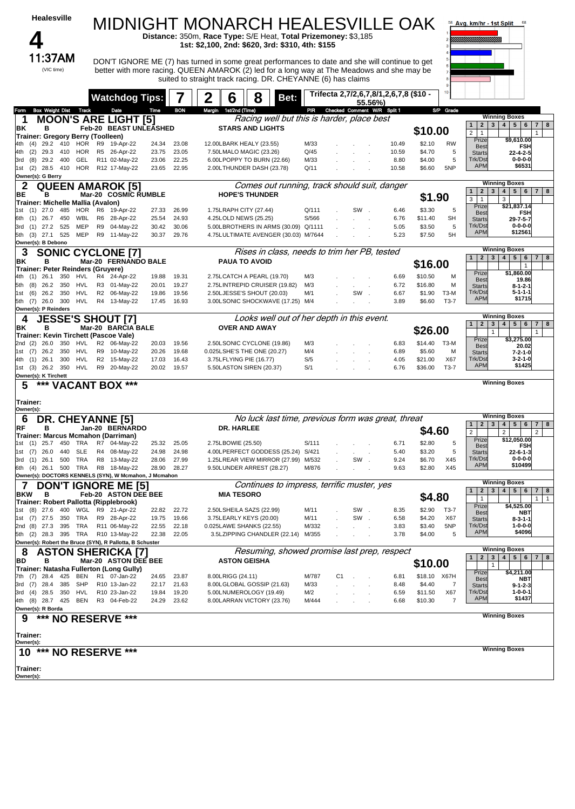| <b>Healesville</b>                                                                  |                                |                             |                | <b>MIDNIGHT MONARCH HEALESVILLE OAK</b><br>Distance: 350m, Race Type: S/E Heat, Total Prizemoney: \$3,185                                                                                                                                                    |                                                                           |              |    |                                 |                                        |                   |                | 58 Avg. km/hr - 1st Split                                                            |                                                                                                                              |
|-------------------------------------------------------------------------------------|--------------------------------|-----------------------------|----------------|--------------------------------------------------------------------------------------------------------------------------------------------------------------------------------------------------------------------------------------------------------------|---------------------------------------------------------------------------|--------------|----|---------------------------------|----------------------------------------|-------------------|----------------|--------------------------------------------------------------------------------------|------------------------------------------------------------------------------------------------------------------------------|
|                                                                                     |                                |                             |                | 1st: \$2,100, 2nd: \$620, 3rd: \$310, 4th: \$155                                                                                                                                                                                                             |                                                                           |              |    |                                 |                                        |                   |                | !!!!!!!!!!!!!!!!!!!!!!!!!                                                            |                                                                                                                              |
| 11:37AM<br>(VIC time)                                                               |                                |                             |                | DON'T IGNORE ME (7) has turned in some great performances to date and she will continue to get<br>better with more racing. QUEEN AMAROK (2) led for a long way at The Meadows and she may be<br>suited to straight track racing. DR. CHEYANNE (6) has claims |                                                                           |              |    |                                 |                                        |                   |                |                                                                                      |                                                                                                                              |
|                                                                                     |                                | <b>Watchdog Tips:</b>       | 7              | 2<br>6                                                                                                                                                                                                                                                       | 8<br>Bet:                                                                 |              |    | 55.56%)                         | Trifecta 2,7/2,6,7,8/1,2,6,7,8 (\$10 - |                   |                |                                                                                      |                                                                                                                              |
| Box Weight Dist Track<br>Form                                                       | Date                           | Time                        | <b>BON</b>     | Margin 1st/2nd (Time)                                                                                                                                                                                                                                        |                                                                           |              |    | PIR Checked Comment W/R Split 1 |                                        |                   | S/P Grade      |                                                                                      |                                                                                                                              |
| <b>MOON'S ARE LIGHT [5]</b><br>1<br>ΒK<br>в                                         |                                | Feb-20 BEAST UNLEASHED      |                |                                                                                                                                                                                                                                                              | Racing well but this is harder, place best<br><b>STARS AND LIGHTS</b>     |              |    |                                 |                                        | \$10.00           |                | $\overline{2}$<br>3 <sup>1</sup><br>$\mathbf{1}$<br>$\overline{2}$<br>$\overline{1}$ | <b>Winning Boxes</b><br>4   5   6   7   8                                                                                    |
| Trainer: Gregory Berry (Toolleen)<br>29.2 410 HOR<br>(4)<br>4th                     | R9 19-Apr-22                   | 24.34                       | 23.08          | 12.00LBARK HEALY (23.55)                                                                                                                                                                                                                                     |                                                                           | M/33         |    |                                 | 10.49                                  | \$2.10            | RW             | Prize<br>Best                                                                        | \$9,610.00<br><b>FSH</b>                                                                                                     |
| (2)<br>29.3 410<br>HOR<br>4th<br>29.2 400<br>GEL                                    | R5 26-Apr-22<br>R11 02-May-22  | 23.75<br>23.06              | 23.05<br>22.25 | 7.50LMALO MAGIC (23.26)                                                                                                                                                                                                                                      |                                                                           | Q/45<br>M/33 |    |                                 | 10.59                                  | \$4.70<br>\$4.00  | 5<br>5         | <b>Starts</b><br>Trk/Dst                                                             | $22 - 4 - 2 - 5$<br>$0 - 0 - 0 - 0$                                                                                          |
| (8)<br>3rd<br>1st (2) 28.5 410 HOR R12 17-May-22<br>Owner(s): G Berry               |                                | 23.65                       | 22.95          | 2.00LTHUNDER DASH (23.78)                                                                                                                                                                                                                                    | 6.00LPOPPY TO BURN (22.66)                                                | Q/11         |    |                                 | 8.80<br>10.58                          | \$6.60            | 5NP            | <b>APM</b>                                                                           | \$6531                                                                                                                       |
| 2<br><b>QUEEN AMAROK [5]</b><br>ВE<br>в                                             |                                | Mar-20 COSMIC RUMBLE        |                |                                                                                                                                                                                                                                                              | Comes out running, track should suit, danger<br><b>HOPE'S THUNDER</b>     |              |    |                                 |                                        |                   |                | $3\overline{3}$<br>$\mathbf{1}$<br>$\overline{2}$                                    | <b>Winning Boxes</b><br>$\overline{4}$<br>5   6   7  <br>8                                                                   |
| Trainer: Michelle Mallia (Avalon)                                                   |                                |                             |                |                                                                                                                                                                                                                                                              |                                                                           |              |    |                                 |                                        | \$1.90            |                | 3<br>$\mathbf{1}$<br>Prize                                                           | 3<br>\$21.837.14                                                                                                             |
| $(1)$ 27.0<br>485<br>HOR<br>1st                                                     | R6 19-Apr-22<br>R6 28-Apr-22   | 27.33                       | 26.99          | 1.75LRAPH CITY (27.44)                                                                                                                                                                                                                                       |                                                                           | Q/111        |    | SW.                             | 6.46                                   | \$3.30            | 5              | <b>Best</b>                                                                          | <b>FSH</b>                                                                                                                   |
| $(1)$ 26.7<br>450<br>WBL<br>6th<br><b>MEP</b><br>(1)<br>27.2<br>525<br>3rd          | R9                             | 25.54<br>04-May-22<br>30.42 | 24.93<br>30.06 | 4.25LOLD NEWS (25.25)                                                                                                                                                                                                                                        | 5.00LBROTHERS IN ARMS (30.09) Q/1111                                      | S/566        |    |                                 | 6.76<br>5.05                           | \$11.40<br>\$3.50 | <b>SH</b><br>5 | <b>Starts</b><br>Trk/Dst                                                             | 29-7-5-7<br>$0 - 0 - 0 - 0$                                                                                                  |
| 5th (3) 27.1 525<br>MEP                                                             | R9 11-May-22                   | 30.37                       | 29.76          |                                                                                                                                                                                                                                                              | 4.75LULTIMATE AVENGER (30.03) M/7644                                      |              |    |                                 | 5.23                                   | \$7.50            | 5H             | <b>APM</b>                                                                           | \$12561                                                                                                                      |
| Owner(s): B Debono                                                                  |                                |                             |                |                                                                                                                                                                                                                                                              |                                                                           |              |    |                                 |                                        |                   |                |                                                                                      | <b>Winning Boxes</b>                                                                                                         |
| <b>SONIC CYCLONE [7]</b><br>3<br>BK<br>в                                            |                                | Mar-20 FERNANDO BALE        |                | <b>PAUA TO AVOID</b>                                                                                                                                                                                                                                         | Rises in class, needs to trim her PB, tested                              |              |    |                                 |                                        | \$16.00           |                | $2 \mid 3 \mid$<br>1                                                                 | 4<br>5 <sub>1</sub><br>$6 \mid 7 \mid 8$                                                                                     |
| Trainer: Peter Reinders (Gruyere)<br>4th (1) 26.1<br>350<br>HVL                     | R4 24-Apr-22                   | 19.88                       | 19.31          | 2.75LCATCH A PEARL (19.70)                                                                                                                                                                                                                                   |                                                                           | M/3          |    |                                 | 6.69                                   | \$10.50           | M              | Prize                                                                                | \$1,860.00                                                                                                                   |
| 26.2<br>350<br>HVL<br>5th<br>(8)                                                    | R3 01-May-22                   | 20.01                       | 19.27          |                                                                                                                                                                                                                                                              | 2.75LINTREPID CRUISER (19.82)                                             | M/3          |    |                                 | 6.72                                   | \$16.80           | м              | <b>Best</b><br><b>Starts</b>                                                         | 19.86<br>$8 - 1 - 2 - 1$                                                                                                     |
| 350<br>HVL<br>26.2<br>1st<br>(6)                                                    | R2 06-May-22                   | 19.86                       | 19.56          | 2.50LJESSE'S SHOUT (20.03)                                                                                                                                                                                                                                   |                                                                           | M/1          |    | SW.                             | 6.67                                   | \$1.90            | ТЗ-М           | Trk/Dst<br><b>APM</b>                                                                | $5 - 1 - 1 - 1$<br>\$1715                                                                                                    |
| 5th (7) 26.0 300<br>HVL<br>Owner(s): P Reinders                                     | R4 13-May-22                   | 17.45                       | 16.93          |                                                                                                                                                                                                                                                              | 3.00LSONIC SHOCKWAVE (17.25) M/4                                          |              |    |                                 | 3.89                                   | \$6.60            | $T3-7$         |                                                                                      |                                                                                                                              |
| <b>JESSE'S SHOUT [7]</b><br>4<br>ΒK<br>в                                            |                                | Mar-20 BARCIA BALE          |                | <b>OVER AND AWAY</b>                                                                                                                                                                                                                                         | Looks well out of her depth in this event.                                |              |    |                                 |                                        | \$26.00           |                | 1 <sup>1</sup><br>$\overline{2}$<br>$\mathbf{3}$                                     | <b>Winning Boxes</b><br>4   5   6   7  <br>8                                                                                 |
| Trainer: Kevin Tirchett (Pascoe Vale)                                               |                                |                             |                |                                                                                                                                                                                                                                                              |                                                                           |              |    |                                 |                                        |                   |                | $\mathbf{1}$<br>Prize                                                                | $\mathbf{1}$<br>\$3,275.00                                                                                                   |
| 26.0<br>350<br>HVL<br>2nd<br>(2)<br>1st (7) 26.2<br>350<br>HVL                      | R2 06-May-22<br>R9             | 20.03<br>10-May-22<br>20.26 | 19.56<br>19.68 | 0.025LSHE'S THE ONE (20.27)                                                                                                                                                                                                                                  | 2.50LSONIC CYCLONE (19.86)                                                | M/3<br>M/4   |    |                                 | 6.83<br>6.89                           | \$14.40<br>\$5.60 | $T3-M$<br>М    | <b>Best</b><br><b>Starts</b>                                                         | 20.02<br>7-2-1-0                                                                                                             |
| <b>HVL</b><br>26.1<br>300<br>4th<br>(1)                                             | R2 15-May-22                   | 17.03                       | 16.43          | 3.75LFLYING PIE (16.77)                                                                                                                                                                                                                                      |                                                                           | S/5          |    |                                 | 4.05                                   | \$21.00           | X67            | Trk/Dst                                                                              | $3 - 2 - 1 - 0$                                                                                                              |
| 1st (3) 26.2 350<br>HVL<br>Owner(s): K Tirchett                                     | R9 20-May-22                   | 20.02                       | 19.57          | 5.50LASTON SIREN (20.37)                                                                                                                                                                                                                                     |                                                                           | S/1          |    |                                 | 6.76                                   | \$36.00           | $T3-7$         | <b>APM</b>                                                                           | \$1425                                                                                                                       |
| *** VACANT BOX ***<br>5                                                             |                                |                             |                |                                                                                                                                                                                                                                                              |                                                                           |              |    |                                 |                                        |                   |                |                                                                                      | <b>Winning Boxes</b>                                                                                                         |
| Trainer:<br>Owner(s):                                                               |                                |                             |                |                                                                                                                                                                                                                                                              |                                                                           |              |    |                                 |                                        |                   |                |                                                                                      | <b>Winning Boxes</b>                                                                                                         |
| <b>DR. CHEYANNE [5]</b><br>6<br>RF<br>в                                             | Jan-20 BERNARDO                |                             |                | DR. HARLEE                                                                                                                                                                                                                                                   | No luck last time, previous form was great, threat                        |              |    |                                 |                                        |                   |                | $\overline{2}$<br>$\mathbf{3}$<br>$\mathbf{1}$                                       | 4   5   6<br>7 8                                                                                                             |
| Trainer: Marcus Mcmahon (Darriman)                                                  |                                |                             |                |                                                                                                                                                                                                                                                              |                                                                           |              |    |                                 |                                        | \$4.60            |                | $\overline{2}$                                                                       | $\overline{2}$<br>$\overline{2}$                                                                                             |
| 1st<br>(1)<br>25.7<br>450<br>1 R A                                                  | R7                             | 25.32<br>04-May-22          | 25.05          | 2.75LBOWIE (25.50)                                                                                                                                                                                                                                           |                                                                           | S/111        |    |                                 | 6.71                                   | \$2.80            | 5              | Prize<br>Best                                                                        | \$12,050.00<br><b>FSH</b>                                                                                                    |
| $(7)$ 26.0 440<br>SLE<br>1st<br>TRA<br>3rd (1) 26.1<br>500                          | R4 08-May-22<br>R8             | 24.98<br>13-May-22<br>28.06 | 24.98<br>27.99 |                                                                                                                                                                                                                                                              | 4.00LPERFECT GODDESS (25.24) S/421<br>1.25LREAR VIEW MIRROR (27.99) M/532 |              |    | SW                              | 5.40<br>9.24                           | \$3.20<br>\$6.70  | 5<br>X45       | <b>Starts</b><br>Trk/Dst                                                             | 22-6-1-3<br>$0 - 0 - 0 - 0$                                                                                                  |
| 6th (4) 26.1 500 TRA                                                                | R8 18-May-22                   | 28.90                       | 28.27          | 9.50LUNDER ARREST (28.27)                                                                                                                                                                                                                                    |                                                                           | M/876        |    |                                 | 9.63                                   | \$2.80            | X45            | <b>APN</b>                                                                           | \$10499                                                                                                                      |
| Owner(s): DOCTORS KENNELS (SYN), W Mcmahon, J Mcmahon                               |                                |                             |                |                                                                                                                                                                                                                                                              |                                                                           |              |    |                                 |                                        |                   |                |                                                                                      |                                                                                                                              |
| <b>DON'T IGNORE ME [5]</b><br><b>BKW</b><br>в                                       |                                | Feb-20 ASTON DEE BEE        |                | <b>MIA TESORO</b>                                                                                                                                                                                                                                            | Continues to impress, terrific muster, yes                                |              |    |                                 |                                        | \$4.80            |                | $\mathbf{2}$<br>3<br>$\mathbf{1}$<br>$\mathbf{1}$                                    | <b>Winning Boxes</b><br>$5^{\circ}$<br>$\overline{\mathbf{4}}$<br>6<br>$\overline{7}$<br>8<br>$\overline{1}$<br>$\mathbf{1}$ |
| Trainer: Robert Pallotta (Ripplebrook)<br>400 WGL R9 21-Apr-22<br>$(8)$ 27.6<br>1st |                                | 22.82                       | 22.72          | 2.50LSHEILA SAZS (22.99)                                                                                                                                                                                                                                     |                                                                           | M/11         |    | SW.                             | 8.35                                   | \$2.90            | T3-7           | Prize                                                                                | \$4,525.00                                                                                                                   |
| 1st (7) 27.5<br>350<br>TRA                                                          | R9 28-Apr-22                   | 19.75                       | 19.66          | 3.75LEARLY KEYS (20.00)                                                                                                                                                                                                                                      |                                                                           | M/11         |    | SW.                             | 6.58                                   | \$4.20            | X67            | Best<br><b>Starts</b>                                                                | <b>NBT</b><br>$8 - 3 - 1 - 1$                                                                                                |
| TRA<br>2nd (8) 27.3<br>395                                                          | R11 06-May-22                  | 22.55                       | 22.18          | 0.025LAWE SHANKS (22.55)                                                                                                                                                                                                                                     |                                                                           | M/332        |    |                                 | 3.83                                   | \$3.40            | 5NP            | Trk/Dst<br>APM                                                                       | $1 - 0 - 0 - 0$<br>\$4096                                                                                                    |
| 5th (2) 28.3 395 TRA<br>Owner(s): Robert the Bruce (SYN), R Pallotta, B Schuster    | R10 13-May-22                  | 22.38                       | 22.05          |                                                                                                                                                                                                                                                              | 3.5LZIPPING CHANDLER (22.14) M/355                                        |              |    |                                 | 3.78                                   | \$4.00            | 5              |                                                                                      |                                                                                                                              |
| 8<br><b>ASTON SHERICKA [7]</b><br>в<br>BD                                           |                                | Mar-20 ASTON DEE BEE        |                | <b>ASTON GEISHA</b>                                                                                                                                                                                                                                          | Resuming, showed promise last prep, respect                               |              |    |                                 |                                        |                   |                | $\overline{2}$<br>3<br>$\mathbf{1}$                                                  | <b>Winning Boxes</b><br>$5 \mid 6$<br>4 <br>7 8                                                                              |
| Trainer: Natasha Fullerton (Long Gully)                                             |                                |                             |                |                                                                                                                                                                                                                                                              |                                                                           |              |    |                                 |                                        | \$10.00           |                | 1<br>Prize                                                                           | \$4,211.00                                                                                                                   |
| 7th (7) 28.4<br>425<br>BEN                                                          | R1 07-Jan-22                   | 24.65                       | 23.87          | 8.00LRIGG (24.11)                                                                                                                                                                                                                                            |                                                                           | M/787        | C1 |                                 | 6.81                                   | \$18.10 X67H      |                | <b>Bes</b>                                                                           | NBT                                                                                                                          |
| 3rd (7) 28.4 385<br>SHP<br>(4)<br>28.5<br>350<br>HVL<br>3rd                         | R10 13-Jan-22<br>R10 23-Jan-22 | 22.17<br>19.84              | 21.63<br>19.20 | 5.00LNUMEROLOGY (19.49)                                                                                                                                                                                                                                      | 8.00LGLOBAL GOSSIP (21.63)                                                | M/33<br>M/2  |    |                                 | 8.48<br>6.59                           | \$4.40<br>\$11.50 | 7<br>X67       | <b>Starts</b><br>Trk/Dst                                                             | $9 - 1 - 2 - 3$<br>$1 - 0 - 0 - 1$                                                                                           |
| 4th (8) 28.7 425 BEN                                                                | R3 04-Feb-22                   | 24.29                       | 23.62          |                                                                                                                                                                                                                                                              | 8.00LARRAN VICTORY (23.76)                                                | M/444        |    |                                 | 6.68                                   | \$10.30           | $\overline{7}$ | APN                                                                                  | \$1437                                                                                                                       |
| Owner(s): R Borda<br>***<br><b>NO RESERVE ***</b><br>9                              |                                |                             |                |                                                                                                                                                                                                                                                              |                                                                           |              |    |                                 |                                        |                   |                |                                                                                      | <b>Winning Boxes</b>                                                                                                         |
| Trainer:                                                                            |                                |                             |                |                                                                                                                                                                                                                                                              |                                                                           |              |    |                                 |                                        |                   |                |                                                                                      |                                                                                                                              |
| Owner(s):<br>10<br>***<br><b>NO RESERVE ***</b>                                     |                                |                             |                |                                                                                                                                                                                                                                                              |                                                                           |              |    |                                 |                                        |                   |                |                                                                                      | <b>Winning Boxes</b>                                                                                                         |
| Trainer:<br>Owner(s):                                                               |                                |                             |                |                                                                                                                                                                                                                                                              |                                                                           |              |    |                                 |                                        |                   |                |                                                                                      |                                                                                                                              |
|                                                                                     |                                |                             |                |                                                                                                                                                                                                                                                              |                                                                           |              |    |                                 |                                        |                   |                |                                                                                      |                                                                                                                              |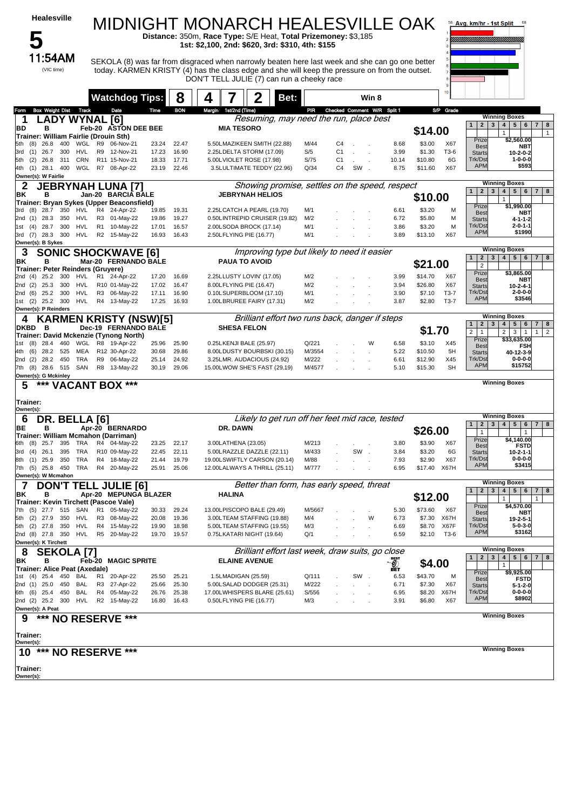| Healesville                                                                 |                                                       |                |                | <b>MIDNIGHT MONARCH HEALESVILLE OAK</b><br>Distance: 350m, Race Type: S/E Heat, Total Prizemoney: \$3,185                                                                                                                                                                                           |                 |                      |                                 |                                    |                   |                  | Avg. km/hr - 1st Split                                  | 68                                                                                            |
|-----------------------------------------------------------------------------|-------------------------------------------------------|----------------|----------------|-----------------------------------------------------------------------------------------------------------------------------------------------------------------------------------------------------------------------------------------------------------------------------------------------------|-----------------|----------------------|---------------------------------|------------------------------------|-------------------|------------------|---------------------------------------------------------|-----------------------------------------------------------------------------------------------|
| 11:54AM<br>(VIC time)                                                       |                                                       |                |                | 1st: \$2,100, 2nd: \$620, 3rd: \$310, 4th: \$155<br>SEKOLA (8) was far from disgraced when narrowly beaten here last week and she can go one better<br>today. KARMEN KRISTY (4) has the class edge and she will keep the pressure on from the outset.<br>DON'T TELL JULIE (7) can run a cheeky race |                 |                      |                                 |                                    |                   |                  |                                                         |                                                                                               |
|                                                                             | <b>Watchdog Tips:</b>                                 |                | 8              | Bet:                                                                                                                                                                                                                                                                                                |                 |                      | Win 8                           |                                    |                   | 10               |                                                         |                                                                                               |
| <b>Box Weight Dist Track</b><br>Form                                        | Date                                                  | Time           | <b>BON</b>     | Margin 1st/2nd (Time)                                                                                                                                                                                                                                                                               |                 |                      | PIR Checked Comment W/R Split 1 |                                    |                   | S/P Grade        |                                                         |                                                                                               |
| <b>LADY WYNAL [6]</b>                                                       |                                                       |                |                | Resuming, may need the run, place best                                                                                                                                                                                                                                                              |                 |                      |                                 |                                    |                   |                  | $2^{\circ}$<br>$\mathbf{3}$<br>1 <sup>1</sup>           | <b>Winning Boxes</b><br>4<br>5 <sup>1</sup><br>6<br>$\overline{7}$<br>8                       |
| BD<br>в<br>Trainer: William Fairlie (Drouin Sth)                            | Feb-20 ASTON DEE BEE                                  |                |                | <b>MIA TESORO</b>                                                                                                                                                                                                                                                                                   |                 |                      |                                 |                                    | \$14.00           |                  |                                                         | $\mathbf{1}$<br>$\mathbf{1}$                                                                  |
| (8)<br>26.8<br>400<br>WGL<br>5th                                            | R9<br>06-Nov-21                                       | 23.24          | 22.47          | 5.50LMAZIKEEN SMITH (22.88)                                                                                                                                                                                                                                                                         | M/44            | C4                   |                                 | 8.68                               | \$3.00            | X67              | Prize<br><b>Best</b>                                    | \$2,560.00<br>NBT                                                                             |
| 26.7<br>300<br><b>HVL</b><br>3rd<br>(1)<br>(2)<br>26.8<br>311<br>CRN<br>5th | 12-Nov-21<br>R9<br>R11 15-Nov-21                      | 17.23<br>18.33 | 16.90<br>17.71 | 2.25LDELTA STORM (17.09)<br>5.00LVIOLET ROSE (17.98)                                                                                                                                                                                                                                                | S/5<br>S/75     | C <sub>1</sub><br>C1 |                                 | 3.99<br>10.14                      | \$1.30<br>\$10.80 | T3-6<br>6G       | <b>Starts</b><br>Trk/Dst                                | $10 - 2 - 0 - 2$<br>$1 - 0 - 0 - 0$                                                           |
| 28.1<br>400<br>(1)<br>4th<br>Owner(s): W Fairlie                            | WGL R7 08-Apr-22                                      | 23.19          | 22.46          | 3.5LULTIMATE TEDDY (22.96)                                                                                                                                                                                                                                                                          | Q/34            | C <sub>4</sub>       | SW                              | 8.75                               | \$11.60           | X67              | <b>APM</b>                                              | \$593                                                                                         |
| 2<br><b>JEBRYNAH LUNA [7]</b>                                               |                                                       |                |                | Showing promise, settles on the speed, respect                                                                                                                                                                                                                                                      |                 |                      |                                 |                                    |                   |                  |                                                         | <b>Winning Boxes</b>                                                                          |
| ΒK<br>в<br>Trainer: Bryan Sykes (Upper Beaconsfield)                        | Jan-20 BARCIA BALE                                    |                |                | <b>JEBRYNAH HELIOS</b>                                                                                                                                                                                                                                                                              |                 |                      |                                 |                                    | \$10.00           |                  | 2 <sub>1</sub><br>$\mathbf{3}$<br>1 <sup>1</sup>        | $4 \mid 5 \mid$<br>6<br>7 <br>8<br>$\mathbf{1}$                                               |
| 28.7<br>350<br>3rd (8)<br>HVL                                               | R4 24-Apr-22                                          | 19.85          | 19.31          | 2.25LCATCH A PEARL (19.70)                                                                                                                                                                                                                                                                          | M/1             |                      |                                 | 6.61                               | \$3.20            | M                | Prize<br><b>Best</b>                                    | \$1,990.00<br>NBT                                                                             |
| 2nd (1) 28.3<br>350<br>HVL                                                  | R <sub>3</sub><br>01-May-22                           | 19.86          | 19.27          | 0.50LINTREPID CRUISER (19.82)                                                                                                                                                                                                                                                                       | M/2             |                      |                                 | 6.72                               | \$5.80            | M                | <b>Starts</b><br>Trk/Dst                                | 4-1-1-2<br>$2 - 0 - 1 - 1$                                                                    |
| 300<br>1st (4)<br>28.7<br>HVL<br>3rd (7) 28.3 300<br>HVL                    | R <sub>1</sub><br>10-May-22<br>R2 15-May-22           | 17.01<br>16.93 | 16.57<br>16.43 | 2.00LSODA BROCK (17.14)<br>2.50LFLYING PIE (16.77)                                                                                                                                                                                                                                                  | M/1<br>M/1      |                      |                                 | 3.86<br>3.89                       | \$3.20<br>\$13.10 | M<br>X67         | <b>APM</b>                                              | \$1990                                                                                        |
| Owner(s): B Sykes                                                           |                                                       |                |                | Improving type but likely to need it easier                                                                                                                                                                                                                                                         |                 |                      |                                 |                                    |                   |                  |                                                         | <b>Winning Boxes</b>                                                                          |
| 3<br>в<br>ΒK                                                                | <b>SONIC SHOCKWAVE [6]</b><br>Mar-20 FERNANDO BALE    |                |                | <b>PAUA TO AVOID</b>                                                                                                                                                                                                                                                                                |                 |                      |                                 |                                    | \$21.00           |                  | $\overline{2}$<br>3 <sup>1</sup><br>1<br>$\overline{2}$ | 5 <sup>1</sup><br>4 <br>6<br>7 <sup>1</sup><br>8                                              |
| <b>Trainer: Peter Reinders (Gruyere)</b><br>2nd (4) 25.2 300<br>HVL         | R1 24-Apr-22                                          | 17.20          | 16.69          | 2.25LLUSTY LOVIN' (17.05)                                                                                                                                                                                                                                                                           | M/2             |                      |                                 | 3.99                               | \$14.70           | X67              | Prize                                                   | \$3.865.00                                                                                    |
| 300<br>2nd (2)<br>25.3<br><b>HVL</b>                                        | R10 01-May-22                                         | 17.02          | 16.47          | 8.00LFLYING PIE (16.47)                                                                                                                                                                                                                                                                             | M/2             |                      |                                 | 3.94                               | \$26.80           | X67              | <b>Best</b><br><b>Starts</b>                            | NBT<br>10-2-4-1                                                                               |
| <b>HVL</b><br>2nd (6)<br>25.2 300<br>25.2 300<br><b>HVL</b><br>(2)<br>1st   | R3 06-May-22<br>R4 13-May-22                          | 17.11<br>17.25 | 16.90<br>16.93 | 0.10LSUPERBLOOM (17.10)<br>1.00LBRUREE FAIRY (17.31)                                                                                                                                                                                                                                                | M/1<br>M/2      |                      |                                 | 3.90<br>3.87                       | \$7.10<br>\$2.80  | $T3-7$<br>$T3-7$ | Trk/Dst<br><b>APM</b>                                   | $2 - 0 - 0 - 0$<br>\$3546                                                                     |
| Owner(s): P Reinders                                                        |                                                       |                |                |                                                                                                                                                                                                                                                                                                     |                 |                      |                                 |                                    |                   |                  |                                                         |                                                                                               |
| 4<br><b>DKBD</b><br>в                                                       | <b>KARMEN KRISTY (NSW)[5]</b><br>Dec-19 FERNANDO BALE |                |                | Brilliant effort two runs back, danger if steps<br><b>SHESA FELON</b>                                                                                                                                                                                                                               |                 |                      |                                 |                                    |                   |                  | 1<br>2 <sub>1</sub><br>$\mathbf{3}$                     | <b>Winning Boxes</b><br>5 <sup>1</sup><br>$\overline{\mathbf{4}}$<br>6<br>7 <sup>1</sup><br>8 |
| Trainer: David Mckenzie (Tynong North)                                      |                                                       |                |                |                                                                                                                                                                                                                                                                                                     |                 |                      |                                 |                                    | \$1.70            |                  | 2 <sup>1</sup><br>$\mathbf{1}$<br>Prize                 | $\mathbf{3}$<br>$\overline{2}$<br>2 <sup>2</sup><br>1<br>$\overline{1}$<br>\$33,635.00        |
| 28.4<br>WGL<br>1st (8)<br>460<br>MEA<br>(6)<br>28.2 525<br>4th              | R8 19-Apr-22<br>R12 30-Apr-22                         | 25.96<br>30.68 | 25.90<br>29.86 | 0.25LKENJI BALE (25.97)<br>8.00LDUSTY BOURBSKI (30.15)                                                                                                                                                                                                                                              | Q/221<br>M/3554 |                      | W                               | 6.58<br>5.22                       | \$3.10<br>\$10.50 | X45<br>5H        | <b>Best</b>                                             | FSH                                                                                           |
| 28.2 450<br><b>TRA</b><br>2nd (2)                                           | R9<br>06-May-22                                       | 25.14          | 24.92          | 3.25LMR. AUDACIOUS (24.92)                                                                                                                                                                                                                                                                          | M/222           |                      |                                 | 6.61                               | \$12.90           | X45              | <b>Starts</b><br>Trk/Dst                                | 40-12-3-9<br>$0 - 0 - 0 - 0$                                                                  |
| SAN<br>7th (8) 28.6 515<br>Owner(s): G Mckinley                             | R8 13-May-22                                          | 30.19          | 29.06          | 15.00LWOW SHE'S FAST (29.19)                                                                                                                                                                                                                                                                        | M/4577          |                      |                                 | 5.10                               | \$15.30           | <b>SH</b>        | <b>APM</b>                                              | \$15752                                                                                       |
| *** VACANT BOX ***<br>5                                                     |                                                       |                |                |                                                                                                                                                                                                                                                                                                     |                 |                      |                                 |                                    |                   |                  |                                                         | <b>Winning Boxes</b>                                                                          |
| Trainer:<br>Owner(s):                                                       |                                                       |                |                |                                                                                                                                                                                                                                                                                                     |                 |                      |                                 |                                    |                   |                  |                                                         |                                                                                               |
| DR. BELLA [6]<br>6                                                          |                                                       |                |                | Likely to get run off her feet mid race, tested                                                                                                                                                                                                                                                     |                 |                      |                                 |                                    |                   |                  | $2 \mid 3 \mid$<br>1 <sup>1</sup>                       | <b>Winning Boxes</b><br>$4 \mid 5 \mid$<br>$6\phantom{.0}$<br>$7 \mid 8$                      |
| BЕ<br>в<br>Trainer: William Mcmahon (Darriman)                              | Apr-20 BERNARDO                                       |                |                | DR. DAWN                                                                                                                                                                                                                                                                                            |                 |                      |                                 |                                    | \$26.00           |                  | $\mathbf{1}$<br>Prize                                   | $\mathbf{1}$<br>\$4,140.00                                                                    |
| 25.7<br>6th<br>(8)<br>395<br>TRA                                            | R4 04-May-22<br>R10 09-May-22                         | 23.25          | 22.17          | 3.00LATHENA (23.05)                                                                                                                                                                                                                                                                                 | M/213           |                      |                                 | 3.80                               | \$3.90            | X67              | <b>Best</b>                                             | <b>FSTD</b>                                                                                   |
| <b>TRA</b><br>(4)<br>26.1<br>395<br>3rd<br>8th (1) 25.9<br>350<br>TRA       | 18-May-22<br>R4                                       | 22.45<br>21.44 | 22.11<br>19.79 | 5.00LRAZZLE DAZZLE (22.11)<br>19.00LSWIFTLY CARSON (20.14)                                                                                                                                                                                                                                          | M/433<br>M/88   |                      | SW                              | 3.84<br>7.93                       | \$3.20<br>\$2.90  | 6G<br>X67        | <b>Starts</b><br>Trk/Dst                                | $10 - 2 - 1 - 1$<br>$0 - 0 - 0 - 0$                                                           |
| <b>TRA</b><br>7th (5) 25.8 450                                              | R4 20-May-22                                          | 25.91          | 25.06          | 12.00LALWAYS A THRILL (25.11)                                                                                                                                                                                                                                                                       | M/777           |                      |                                 | 6.95                               | \$17.40           | X67H             | <b>APM</b>                                              | \$3415                                                                                        |
| Owner(s): W Mcmahon<br>7<br><b>DON'T</b>                                    | <b>TELL JULIE [6]</b>                                 |                |                | Better than form, has early speed, threat                                                                                                                                                                                                                                                           |                 |                      |                                 |                                    |                   |                  |                                                         | <b>Winning Boxes</b>                                                                          |
| в<br>ΒK<br>Trainer: Kevin Tirchett (Pascoe Vale)                            | Apr-20 MEPUNGA BLAZER                                 |                |                | HALINA                                                                                                                                                                                                                                                                                              |                 |                      |                                 |                                    | \$12.00           |                  | 2 <br>3 <br>1 <sup>1</sup>                              | 4 <br>$5 \mid 6$<br>7 <sup>1</sup><br>8<br>$\mathbf{1}$<br>1                                  |
| 7th (5) 27.7 515<br>SAN                                                     | R1 05-May-22                                          | 30.33          | 29.24          | 13.00LPISCOPO BALE (29.49)                                                                                                                                                                                                                                                                          | M/5667          |                      |                                 | 5.30                               | \$73.60           | X67              | Prize<br><b>Best</b>                                    | \$4,570.00<br>NBT                                                                             |
| (2)<br>27.9<br>350<br>HVL<br>5th                                            | R3<br>08-May-22                                       | 20.08          | 19.36          | 3.00LTEAM STAFFING (19.88)                                                                                                                                                                                                                                                                          | M/4             |                      | W                               | 6.73                               | \$7.30            | X67H             | <b>Starts</b>                                           | 19-2-5-1                                                                                      |
| $(2)$ 27.8<br>350<br>HVL<br>5th<br>2nd (8) 27.8 350<br><b>HVL</b>           | R4 15-May-22<br>R5 20-May-22                          | 19.90<br>19.70 | 18.98<br>19.57 | 5.00LTEAM STAFFING (19.55)<br>0.75LKATARI NIGHT (19.64)                                                                                                                                                                                                                                             | M/3<br>Q/1      |                      |                                 | 6.69<br>6.59                       | \$8.70<br>\$2.10  | X67F<br>T3-6     | Trk/Dst<br><b>APM</b>                                   | 5-0-3-0<br>\$3162                                                                             |
| Owner(s): K Tirchett<br><b>SEKOLA [7]</b><br>8                              |                                                       |                |                | Brilliant effort last week, draw suits, go close                                                                                                                                                                                                                                                    |                 |                      |                                 |                                    |                   |                  |                                                         | <b>Winning Boxes</b>                                                                          |
| ΒK<br>в                                                                     | <b>Feb-20 MAGIC SPRITE</b>                            |                |                | <b>ELAINE AVENUE</b>                                                                                                                                                                                                                                                                                |                 |                      |                                 | <b>BEST</b>                        | \$4.00            |                  | 2 <br>3 <sup>1</sup><br>1 <sup>1</sup>                  | 4 <br>5 <sup>1</sup><br>6 <br>$7 \mid 8$<br>$\mathbf{1}$                                      |
| Trainer: Alice Peat (Axedale)<br>1st (4) 25.4<br>450<br>BAL                 | R1<br>20-Apr-22                                       | 25.50          | 25.21          | 1.5LMADIGAN (25.59)                                                                                                                                                                                                                                                                                 | Q/111           |                      | SW.                             | $\mathcal{Q}_\mathrm{eff}$<br>6.53 | \$43.70           | м                | Prize                                                   | \$9,925.00                                                                                    |
| 2nd (1)<br>25.0<br>BAL<br>450                                               | R3<br>27-Apr-22                                       | 25.66          | 25.30          | 5.00LSALAD DODGER (25.31)                                                                                                                                                                                                                                                                           | M/222           |                      |                                 | 6.71                               | \$7.30            | X67              | <b>Best</b><br><b>Starts</b>                            | <b>FSTD</b><br>5-1-2-0                                                                        |
| 25.4<br>450<br>BAL<br>6th (6)<br>2nd (2) 25.2 300<br>HVL                    | R4 05-May-22<br>R2 15-May-22                          | 26.76<br>16.80 | 25.38<br>16.43 | 17.00LWHISPERS BLARE (25.61)<br>0.50LFLYING PIE (16.77)                                                                                                                                                                                                                                             | S/556<br>M/3    |                      |                                 | 6.95<br>3.91                       | \$8.20<br>\$6.80  | X67H<br>X67      | Trk/Dst<br><b>APM</b>                                   | $0 - 0 - 0 - 0$<br>\$8902                                                                     |
| Owner(s): A Peat                                                            |                                                       |                |                |                                                                                                                                                                                                                                                                                                     |                 |                      |                                 |                                    |                   |                  |                                                         |                                                                                               |
| *** NO RESERVE<br>9                                                         | ***                                                   |                |                |                                                                                                                                                                                                                                                                                                     |                 |                      |                                 |                                    |                   |                  |                                                         | <b>Winning Boxes</b>                                                                          |
| Trainer:<br>Owner(s):                                                       |                                                       |                |                |                                                                                                                                                                                                                                                                                                     |                 |                      |                                 |                                    |                   |                  |                                                         |                                                                                               |
| 10<br>*** NO RESERVE                                                        | ***                                                   |                |                |                                                                                                                                                                                                                                                                                                     |                 |                      |                                 |                                    |                   |                  |                                                         | <b>Winning Boxes</b>                                                                          |
| Trainer:                                                                    |                                                       |                |                |                                                                                                                                                                                                                                                                                                     |                 |                      |                                 |                                    |                   |                  |                                                         |                                                                                               |
| Owner(s):                                                                   |                                                       |                |                |                                                                                                                                                                                                                                                                                                     |                 |                      |                                 |                                    |                   |                  |                                                         |                                                                                               |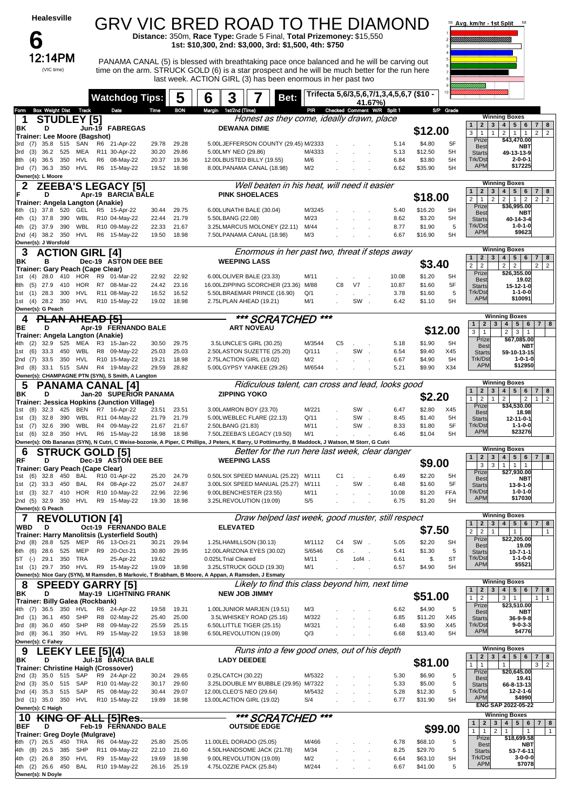| <b>Healesville</b>                                                                                                                                                                | GRV VIC BRED ROAD TO THE DIAMOND                                                                                                                                                               |                                                                      |                                                              |                                                          |                                              |                  |                      |                                   |                                                   |                    |                 | Ava. km/hr - 1st Split                                                                 | 68                                                                                                                                       |
|-----------------------------------------------------------------------------------------------------------------------------------------------------------------------------------|------------------------------------------------------------------------------------------------------------------------------------------------------------------------------------------------|----------------------------------------------------------------------|--------------------------------------------------------------|----------------------------------------------------------|----------------------------------------------|------------------|----------------------|-----------------------------------|---------------------------------------------------|--------------------|-----------------|----------------------------------------------------------------------------------------|------------------------------------------------------------------------------------------------------------------------------------------|
| O                                                                                                                                                                                 |                                                                                                                                                                                                | Distance: 350m, Race Type: Grade 5 Final, Total Prizemoney: \$15,550 |                                                              |                                                          |                                              |                  |                      |                                   |                                                   |                    |                 |                                                                                        |                                                                                                                                          |
| 12:14PM                                                                                                                                                                           |                                                                                                                                                                                                |                                                                      | 1st: \$10,300, 2nd: \$3,000, 3rd: \$1,500, 4th: \$750        |                                                          |                                              |                  |                      |                                   |                                                   |                    |                 |                                                                                        |                                                                                                                                          |
| (VIC time)                                                                                                                                                                        | PANAMA CANAL (5) is blessed with breathtaking pace once balanced and he will be carving out<br>time on the arm. STRUCK GOLD (6) is a star prospect and he will be much better for the run here |                                                                      | last week. ACTION GIRL (3) has been enormous in her past two |                                                          |                                              |                  |                      |                                   |                                                   |                    |                 |                                                                                        |                                                                                                                                          |
|                                                                                                                                                                                   | <b>Watchdog Tips:</b>                                                                                                                                                                          | 5                                                                    | 3<br>6                                                       |                                                          | Bet:                                         |                  |                      | 41.67%)                           | Trifecta 5,6/3,5,6,7/1,3,4,5,6,7 (\$10 -          |                    |                 |                                                                                        |                                                                                                                                          |
| <b>Box Weight Dist Track</b><br><b>Form</b><br><b>STUDLEY [5]</b><br>1                                                                                                            | Date                                                                                                                                                                                           | <b>BON</b><br>Time                                                   | Margin 1st/2nd (Time)                                        |                                                          | Honest as they come, ideally drawn, place    |                  |                      |                                   | PIR Checked Comment W/R Split 1                   |                    | S/P Grade       |                                                                                        | <b>Winning Boxes</b>                                                                                                                     |
| ΒK<br>D                                                                                                                                                                           | Jun-19 FABREGAS                                                                                                                                                                                |                                                                      |                                                              | <b>DEWANA DIMIE</b>                                      |                                              |                  |                      |                                   |                                                   | \$12.00            |                 | 2 <sup>1</sup><br>$\mathbf{1}$<br>$\mathbf{1}$<br>3 <sup>1</sup><br>$\mathbf{1}$       | 3   4   5   6<br>$\overline{7}$<br>8<br>2<br>$\overline{2}$<br>$\mathbf{1}$<br>$\overline{1}$<br>$\overline{2}$                          |
| Trainer: Lee Moore (Bagshot)<br>$(7)$ 35.8 515<br>SAN<br>3rd                                                                                                                      | R6 21-Apr-22                                                                                                                                                                                   | 29.28<br>29.78                                                       |                                                              |                                                          | 5.00LJEFFERSON COUNTY (29.45) M/2333         |                  |                      |                                   | 5.14                                              | \$4.80             | 5F              | Prize<br><b>Best</b>                                                                   | \$43,470.00<br><b>NBT</b>                                                                                                                |
| 3rd<br>(3)<br>36.2<br>525<br>MEA<br>36.5<br>350<br>HVL<br>(4)<br>8th                                                                                                              | R11 30-Apr-22<br>R6 08-May-22                                                                                                                                                                  | 30.20<br>29.86<br>19.36<br>20.37                                     |                                                              | 5.00LMY NEO (29.86)<br>12.00LBUSTED BILLY (19.55)        |                                              | M/4333<br>M/6    |                      |                                   | 5.13<br>6.84                                      | \$12.50<br>\$3.80  | 5H<br>5H        | <b>Starts</b><br>Trk/Dst                                                               | 49-13-13-9<br>$2 - 0 - 0 - 1$                                                                                                            |
| 350<br>HVL<br>3rd (7)<br>36.3<br>Owner(s): L Moore                                                                                                                                | R6 15-May-22                                                                                                                                                                                   | 18.98<br>19.52                                                       |                                                              | 8.00LPANAMA CANAL (18.98)                                |                                              | M/2              |                      |                                   | 6.62                                              | \$35.90            | 5H              | <b>APM</b>                                                                             | \$17225                                                                                                                                  |
| 2<br>D<br>IF                                                                                                                                                                      | <b>ZEEBA'S LEGACY [5]</b><br>Apr-19 BARCIA BALE                                                                                                                                                |                                                                      |                                                              | <b>PINK SHOELACES</b>                                    | Well beaten in his heat, will need it easier |                  |                      |                                   |                                                   |                    |                 | $\overline{2}$<br>$\mathbf{3}$<br>$\mathbf{1}$                                         | <b>Winning Boxes</b><br>$\overline{\mathbf{4}}$<br>5<br>6<br>7 <sup>1</sup><br>8                                                         |
| Trainer: Angela Langton (Anakie)<br>6th (1) 37.8 520<br>GEL                                                                                                                       | R5 15-Apr-22                                                                                                                                                                                   | 29.75<br>30.44                                                       |                                                              | 6.00LUNATHI BALE (30.04)                                 |                                              | M/3245           |                      |                                   | 5.40                                              | \$18.00<br>\$16.20 | <b>SH</b>       | 2 <sup>1</sup><br>$\mathbf{1}$<br>$\overline{2}$<br>Prize                              | $\overline{2}$<br>$\overline{2}$<br>$\mathbf{1}$<br>$\overline{2}$<br>$\overline{2}$<br>\$36,995.00                                      |
| $(1)$ 37.8<br>390<br>WBL<br>4th                                                                                                                                                   | R10 04-May-22                                                                                                                                                                                  | 21.79<br>22.44                                                       | 5.50LBANG (22.08)                                            |                                                          |                                              | M/23             |                      |                                   | 8.62                                              | \$3.20             | 5H              | Best<br><b>Starts</b>                                                                  | <b>NBT</b><br>40-14-3-4                                                                                                                  |
| 390<br>WBL<br>4th<br>$(2)$ 37.9<br>2nd (4) 38.2 350<br>HVL                                                                                                                        | R10 09-May-22<br>R6 15-May-22                                                                                                                                                                  | 22.33<br>21.67<br>18.98<br>19.50                                     |                                                              | 3.25LMARCUS MOLONEY (22.11)<br>7.50LPANAMA CANAL (18.98) |                                              | M/44<br>M/3      |                      |                                   | 8.77<br>6.67                                      | \$1.90<br>\$16.90  | 5<br>5H         | Trk/Dst<br><b>APM</b>                                                                  | $1 - 0 - 1 - 0$<br>\$9623                                                                                                                |
| Owner(s): J Worsfold<br>3<br><b>ACTION GIRL [4]</b>                                                                                                                               |                                                                                                                                                                                                |                                                                      |                                                              |                                                          |                                              |                  |                      |                                   | Enormous in her past two, threat if steps away    |                    |                 |                                                                                        | <b>Winning Boxes</b>                                                                                                                     |
| в<br>ΒK<br>Trainer: Gary Peach (Cape Clear)                                                                                                                                       | Dec-19 ASTON DEE BEE                                                                                                                                                                           |                                                                      |                                                              | <b>WEEPING LASS</b>                                      |                                              |                  |                      |                                   |                                                   | \$3.40             |                 | 2 <sup>1</sup><br>3 <sup>1</sup><br>1 <sup>1</sup><br>$\overline{2}$<br>2 <sup>1</sup> | $4 \mid 5 \mid$<br>6<br>$7 \mid 8$<br>$\overline{2}$<br>2<br>$\overline{2}$<br>$\overline{2}$                                            |
| 410<br>(4)<br>28.0<br>HOR<br>HOR<br>(5)<br>27.9<br>410<br>8th                                                                                                                     | R9 01-Mar-22<br>R7 08-Mar-22                                                                                                                                                                   | 22.92<br>22.92<br>23.16<br>24.42                                     |                                                              | 6.00LOLIVER BALE (23.33)                                 | 16.00LZIPPING SCORCHER (23.36)               | M/11<br>M/88     | C8                   | V7                                | 10.08<br>10.87                                    | \$1.20<br>\$1.60   | 5H<br>5F        | Prize<br><b>Best</b><br><b>Starts</b>                                                  | \$26,355.00<br>19.02<br>15-12-1-0                                                                                                        |
| $(1)$ 28.3<br>300<br>HVL<br>1st                                                                                                                                                   | R11 08-May-22                                                                                                                                                                                  | 16.52<br>16.52                                                       |                                                              | 5.50LBRAEMAR PRINCE (16.90)                              |                                              | Q/1              |                      |                                   | 3.78                                              | \$1.60             | 5               | Trk/Dst<br><b>APM</b>                                                                  | $1 - 1 - 0 - 0$<br>\$10091                                                                                                               |
| $(4)$ 28.2 350<br>HVL<br>1st<br>Owner(s): G Peach                                                                                                                                 | R10 15-May-22                                                                                                                                                                                  | 19.02<br>18.98                                                       |                                                              | 2.75LPLAN AHEAD (19.21)                                  |                                              | M/1              |                      | SW.                               | 6.42                                              | \$1.10             | 5H              |                                                                                        | <b>Winning Boxes</b>                                                                                                                     |
| PLAN AHEAD [5]<br>4<br>BE<br>D                                                                                                                                                    | Apr-19 FERNANDO BALE                                                                                                                                                                           |                                                                      |                                                              | <b>ART NOVEAU</b>                                        | *** SCRATCHED                                | ***              |                      |                                   |                                                   |                    | \$12.00         | 2 <br>1 <sup>1</sup>                                                                   | 3 <sup>1</sup><br>4 <br>5 <sup>1</sup><br>6 <sup>1</sup><br>7 <sup>1</sup><br>8                                                          |
| Trainer: Angela Langton (Anakie)<br>525<br>32.9<br>MEA<br>4th<br>(2)                                                                                                              | R3 15-Jan-22                                                                                                                                                                                   | 30.50<br>29.75                                                       |                                                              | 3.5LUNCLE'S GIRL (30.25)                                 |                                              | M/3544           | C <sub>5</sub>       |                                   | 5.18                                              | \$1.90             | 5H              | $3 \mid 1$<br>Prize<br><b>Best</b>                                                     | $\overline{2}$<br>3 <sup>1</sup><br>$\mathbf{1}$<br>\$67,085.00<br>NBT                                                                   |
| 450<br>WBL<br>(6)<br>33.3<br>1st<br>33.5 350<br>HVL<br>2nd (7)                                                                                                                    | R8 09-May-22<br>R10 15-May-22                                                                                                                                                                  | 25.03<br>25.03<br>18.98<br>19.21                                     |                                                              | 2.50LASTON SUZETTE (25.20)<br>2.75LACTION GIRL (19.02)   |                                              | Q/111<br>M/2     |                      | SW                                | 6.54<br>6.67                                      | \$9.40<br>\$4.90   | X45<br>5H       | <b>Starts</b><br>Trk/Dst                                                               | 59-10-13-15<br>$1 - 0 - 1 - 0$                                                                                                           |
| 3rd (8) 33.1<br>515 SAN                                                                                                                                                           | R4 19-May-22                                                                                                                                                                                   | 29.59<br>28.82                                                       |                                                              | 5.00LGYPSY YANKEE (29.26)                                |                                              | M/6544           |                      |                                   | 5.21                                              | \$9.90             | X34             | <b>APM</b>                                                                             | \$12950                                                                                                                                  |
| Owner(s): CHAMPAGNE PTN (SYN), S Smith, A Langton<br>5<br><b>PANAMA CANAL [4]</b>                                                                                                 |                                                                                                                                                                                                |                                                                      |                                                              |                                                          |                                              |                  |                      |                                   | Ridiculous talent, can cross and lead, looks good |                    |                 |                                                                                        | <b>Winning Boxes</b>                                                                                                                     |
| ΒK<br>D<br>Trainer: Jessica Hopkins (Junction Village)                                                                                                                            | Jan-20 SUPERIOR PANAMA                                                                                                                                                                         |                                                                      |                                                              | <b>ZIPPING YOKO</b>                                      |                                              |                  |                      |                                   |                                                   | \$2.20             |                 | 1<br>$\overline{2}$<br>$\mathbf{1}$<br>1 <sup>1</sup>                                  | $2 \mid 3 \mid 4 \mid 5$<br>$6\phantom{.}6$<br>7 <sup>1</sup><br>8<br>$\overline{2}$<br>$\overline{2}$<br>$\overline{2}$<br>$\mathbf{1}$ |
| $(8)$ 32.3<br>425<br>BEN<br>1st<br>WBL<br>(3)<br>32.8<br>390<br>1st                                                                                                               | R7 16-Apr-22<br>R11 04-May-22                                                                                                                                                                  | 23.51<br>23.51<br>21.79<br>21.79                                     |                                                              | 3.00LAMRON BOY (23.70)<br>5.00LWEBLEC FLARE (22.13)      |                                              | M/221<br>Q/11    |                      | SW.<br>SW.                        | 6.47<br>8.45                                      | \$2.80<br>\$1.40   | X45<br>5H       | Prize<br><b>Best</b><br><b>Starts</b>                                                  | \$34,530.00<br>18.98<br>12-11-0-1                                                                                                        |
| WBL<br>32.6<br>390<br>1st<br>(7)                                                                                                                                                  | R4 09-May-22                                                                                                                                                                                   | 21.67<br>21.67                                                       | 2.50LBANG (21.83)                                            |                                                          |                                              | M/11             |                      | SW.                               | 8.33                                              | \$1.80             | 5F              | Trk/Dst<br><b>APM</b>                                                                  | 1-1-0-0<br>\$23276                                                                                                                       |
| 350<br>HVL<br>1st (6) 32.8<br>Owner(s): Otb Bananas (SYN), N Cutri, C Weise-bozonie, A Piper, C Phillips, J Peters, K Barry, U Pottimurthy, B Maddock, J Watson, M Storr, G Cutri | R6 15-May-22                                                                                                                                                                                   | 18.98<br>18.98                                                       |                                                              | 7.50LZEEBA'S LEGACY (19.50)                              |                                              | M/1              |                      |                                   | 6.46                                              | \$1.04             | 5H              |                                                                                        |                                                                                                                                          |
| <b>STRUCK GOLD [5]</b><br>6<br>RF<br>D                                                                                                                                            | Dec-19 ASTON DEE BEE                                                                                                                                                                           |                                                                      |                                                              | <b>WEEPING LASS</b>                                      |                                              |                  |                      |                                   | Better for the run here last week, clear danger   | \$9.00             |                 | $\mathbf{2}$<br>$\mathbf{1}$<br>$3^{\circ}$                                            | <b>Winning Boxes</b><br>4<br>5   6   7   8                                                                                               |
| Trainer: Gary Peach (Cape Clear)<br>1st (6) 32.8<br>450<br>BAL                                                                                                                    | R10 01-Apr-22                                                                                                                                                                                  | 25.20<br>24.79                                                       |                                                              | 0.50LSIX SPEED MANUAL (25.22)                            |                                              | M/111            | C1                   |                                   | 6.49                                              | \$2.20             | 5H              | 3<br>3<br>Prize                                                                        | $\mathbf{1}$<br>$\mathbf{1}$<br>$\overline{1}$<br>\$27,930.00                                                                            |
| (2)<br>33.3<br>450<br>BAL<br>1st<br>32.7 410<br>HOR<br>(3)<br>1st                                                                                                                 | R4 08-Apr-22<br>R10 10-May-22                                                                                                                                                                  | 25.07<br>24.87<br>22.96<br>22.96                                     |                                                              | 3.00LSIX SPEED MANUAL (25.27)<br>9.00LBENCHESTER (23.55) |                                              | M/111<br>M/11    |                      | SW<br>$\sim$                      | 6.48<br>10.08                                     | \$1.60<br>\$1.20   | 5F<br>FFA       | Best<br><b>Starts</b><br>Trk/Dst                                                       | NBT<br>13-9-1-0<br>$1 - 0 - 1 - 0$                                                                                                       |
| 2nd (5) 32.9 350<br><b>HVL</b>                                                                                                                                                    | R9 15-May-22                                                                                                                                                                                   | 19.30<br>18.98                                                       |                                                              | 3.25LREVOLUTION (19.09)                                  |                                              | S/5              |                      |                                   | 6.75                                              | \$1.20             | 5H              | <b>APM</b>                                                                             | \$17030                                                                                                                                  |
| Owner(s): G Peach<br><b>REVOLUTION [4]</b><br>7                                                                                                                                   |                                                                                                                                                                                                |                                                                      |                                                              |                                                          |                                              |                  |                      |                                   | Draw helped last week, good muster, still respect |                    |                 | $2 \mid 3 \mid$<br>$\mathbf{1}$                                                        | <b>Winning Boxes</b><br>4   5   6   7   8                                                                                                |
| <b>WBD</b><br>D<br>Trainer: Harry Manolitsis (Lysterfield South)                                                                                                                  | Oct-19 FERNANDO BALE                                                                                                                                                                           |                                                                      |                                                              | <b>ELEVATED</b>                                          |                                              |                  |                      |                                   |                                                   | \$7.50             |                 | $\overline{2}$<br>$\overline{2}$<br>Prize                                              | $\mathbf{1}$<br>$\mathbf{1}$<br>\$22,205.00                                                                                              |
| 525<br>2nd (8) 28.8<br>MEP<br>(6)<br>28.6<br>525<br>MEP<br>6th                                                                                                                    | R6 13-Oct-21<br>R9<br>20-Oct-21                                                                                                                                                                | 29.94<br>30.21<br>30.80<br>29.95                                     |                                                              | 1.25LHAMILLSON (30.13)<br>12.00LARIZONA EYES (30.02)     |                                              | M/1112<br>S/6546 | C4<br>C <sub>6</sub> | SW.<br>$\mathcal{L}$<br>$\sim 10$ | 5.05<br>5.41                                      | \$2.20<br>\$1.30   | SH<br>5         | Best<br><b>Starts</b>                                                                  | 19.09<br>10-7-1-1                                                                                                                        |
| ST (-)<br>29.1<br>350<br>TRA<br>HVL<br>1st (1) 29.7 350                                                                                                                           | 25-Apr-22<br>R9 15-May-22                                                                                                                                                                      | 19.62<br>19.09<br>18.98                                              | 0.025LTrial Cleared                                          | 3.25LSTRUCK GOLD (19.30)                                 |                                              | M/11<br>M/1      |                      | $10f4$ .                          | 6.61<br>6.57                                      | \$.<br>\$4.90      | <b>ST</b><br>5H | Trk/Dst<br><b>APM</b>                                                                  | $1 - 1 - 0 - 0$<br>\$5521                                                                                                                |
| Owner(s): Nice Gary (SYN), M Ramsden, B Markovic, T Brabham, B Moore, A Appan, A Ramsden, J Esmaty                                                                                |                                                                                                                                                                                                |                                                                      |                                                              |                                                          |                                              |                  |                      |                                   |                                                   |                    |                 |                                                                                        | <b>Winning Boxes</b>                                                                                                                     |
| <b>SPEEDY GARRY [5]</b><br>8<br>ΒK<br>D                                                                                                                                           | May-19 LIGHTNING FRANK                                                                                                                                                                         |                                                                      |                                                              | <b>NEW JOB JIMMY</b>                                     |                                              |                  |                      |                                   | Likely to find this class beyond him, next time   | \$51.00            |                 | $\overline{2}$<br>3 <sup>1</sup><br>$\mathbf{1}$<br>$\sqrt{2}$<br>1                    | $5 \mid 6$<br>4 <sup>1</sup><br>7 8<br>3<br>$\mathbf{1}$<br>1<br>$\overline{1}$                                                          |
| Trainer: Billy Galea (Rockbank)<br>4th (7) 36.5<br>350<br>HVL                                                                                                                     | R6 24-Apr-22                                                                                                                                                                                   | 19.58<br>19.31                                                       |                                                              | 1.00LJUNIOR MARJEN (19.51)                               |                                              | M/3              |                      |                                   | 6.62                                              | \$4.90             | 5               | Prize<br>Best                                                                          | \$23,510.00<br>NBT                                                                                                                       |
| 3rd (1) 36.1<br>450<br>SHP<br>(8)<br>36.0<br>450<br>SHP<br>3rd                                                                                                                    | R8 02-May-22<br>09-May-22<br>R8                                                                                                                                                                | 25.40<br>25.00<br>25.59<br>25.15                                     |                                                              | 3.5LWHISKEY ROAD (25.16)<br>6.50LLITTLE TIGER (25.15)    |                                              | M/322<br>M/321   |                      |                                   | 6.85<br>6.48                                      | \$11.20<br>\$3.90  | X45<br>X45      | <b>Starts</b><br>Trk/Dst                                                               | 36-9-9-8<br>$9 - 0 - 3 - 3$                                                                                                              |
| 3rd (8)<br>350<br>HVL<br>36.1<br>Owner(s): C Fahey                                                                                                                                | R9 15-May-22                                                                                                                                                                                   | 18.98<br>19.53                                                       |                                                              | 6.50LREVOLUTION (19.09)                                  |                                              | Q/3              |                      |                                   | 6.68                                              | \$13.40            | 5H              | <b>APM</b>                                                                             | \$4776                                                                                                                                   |
| LEEKY LEE [5](4)<br>9                                                                                                                                                             |                                                                                                                                                                                                |                                                                      |                                                              |                                                          | Runs into a few good ones, out of his depth  |                  |                      |                                   |                                                   |                    |                 | 1                                                                                      | <b>Winning Boxes</b><br>2   3   4   5  <br>6<br>$7 \mid 8$                                                                               |
| BK<br>D<br>Trainer: Christine Haigh (Crossover)                                                                                                                                   | Jul-18 BARCIA BALE                                                                                                                                                                             |                                                                      |                                                              | <b>LADY DEEDEE</b>                                       |                                              |                  |                      |                                   |                                                   | \$81.00            |                 | 1<br>$\mathbf{1}$<br>Prize                                                             | $\overline{2}$<br>$\mathbf{1}$<br>3<br>\$20,645.00                                                                                       |
| 2nd (3) 35.0 515<br>SAP<br>2nd (3) 35.0 515<br>SAP                                                                                                                                | R9 24-Apr-22<br>R10 01-May-22                                                                                                                                                                  | 29.65<br>30.24<br>30.17<br>29.60                                     | 0.25LCATCH (30.22)                                           |                                                          | 3.25LDOUBLE MY BUBBLE (29.95) M/7322         | M/5322           |                      |                                   | 5.30<br>5.33                                      | \$6.90<br>\$5.00   | 5<br>5          | <b>Best</b><br><b>Starts</b>                                                           | 19.41<br>66-8-13-13                                                                                                                      |
| SAP<br>2nd (4) 35.3 515<br>3rd (1) 35.0 350<br>HVL                                                                                                                                | R5 08-May-22<br>R10 15-May-22                                                                                                                                                                  | 30.44<br>29.07<br>19.89<br>18.98                                     |                                                              | 12.00LCLEO'S NEO (29.64)<br>13.00LACTION GIRL (19.02)    |                                              | M/5432<br>S/4    |                      |                                   | 5.28<br>6.77                                      | \$12.30<br>\$31.90 | 5<br>5H         | Trk/Dst<br><b>APM</b>                                                                  | $12 - 2 - 1 - 6$<br>\$4990                                                                                                               |
| Owner(s): C Haigh<br>KING OF ALL [5]Res.<br>10                                                                                                                                    |                                                                                                                                                                                                |                                                                      |                                                              |                                                          | *** SCRATCHED                                | $***$            |                      |                                   |                                                   |                    |                 |                                                                                        | ENG SAP 2022-05-22<br><b>Winning Boxes</b>                                                                                               |
| <b>BEF</b><br>D<br>Trainer: Greg Doyle (Mulgrave)                                                                                                                                 | Feb-19 FERNANDO BALE                                                                                                                                                                           |                                                                      |                                                              | <b>OUTSIDE EDGE</b>                                      |                                              |                  |                      |                                   |                                                   |                    | \$99.00         | 2 <br>1<br>1<br>$\mathbf{1}$                                                           | 3 <br>5 <sub>1</sub><br>4 <br>$6 \mid$<br>7 <sup>1</sup><br>8<br>$\overline{2}$<br>$\mathbf{1}$<br>$\mathbf{1}$<br>$\mathbf{1}$          |
| 450<br>6th (7) 26.5<br>TRA<br>26.5<br>385<br>SHP                                                                                                                                  | R6 04-May-22<br>R11 09-May-22                                                                                                                                                                  | 25.05<br>25.80<br>22.10<br>21.60                                     |                                                              | 11.00LEL DORADO (25.05)                                  |                                              | M/466<br>M/34    |                      |                                   | 6.78<br>8.25                                      | \$68.10<br>\$29.70 | 5<br>5          | Prize<br><b>Best</b>                                                                   | \$18,699.58<br>NBT                                                                                                                       |
| 4th (8)<br>4th (2) 26.8<br>350<br>HVL                                                                                                                                             | R9 15-May-22                                                                                                                                                                                   | 19.69<br>18.98                                                       |                                                              | 4.50LHANDSOME JACK (21.78)<br>9.00LREVOLUTION (19.09)    |                                              | M/2              |                      |                                   | 6.64                                              | \$63.10            | 5H              | <b>Starts</b><br>Trk/Dst<br><b>APM</b>                                                 | 53-7-6-11<br>$3 - 0 - 0 - 0$<br>\$7078                                                                                                   |
| 4th (2) 26.6<br>450<br><b>BAL</b><br>Owner(s): N Doyle                                                                                                                            | R10 19-May-22                                                                                                                                                                                  | 25.19<br>26.16                                                       |                                                              | 4.75LOZZIE PACK (25.84)                                  |                                              | M/244            |                      |                                   | 6.67                                              | \$41.00            | 5               |                                                                                        |                                                                                                                                          |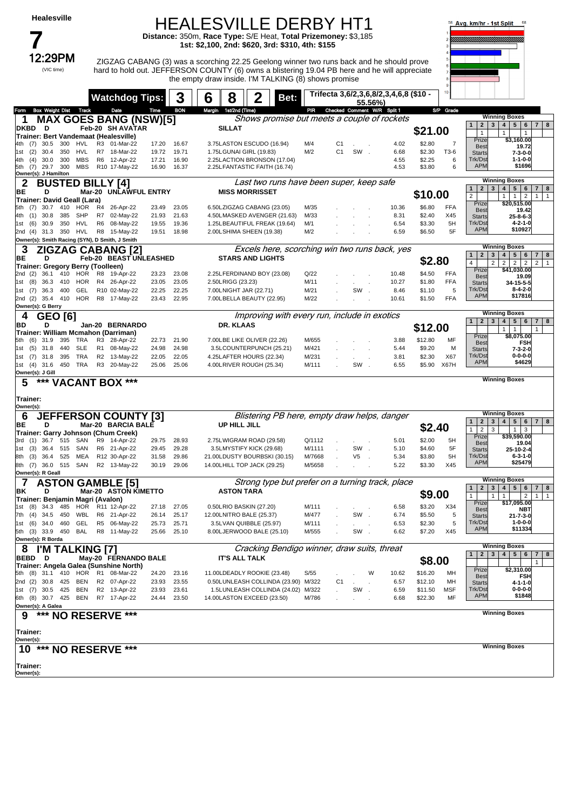### HEALESVILLE DERBY HT1

**Distance:** 350m, **Race Type:** S/E Heat, **Total Prizemoney:** \$3,185 **1st: \$2,100, 2nd: \$620, 3rd: \$310, 4th: \$155**



12:29PM ZIGZAG CABANG (3) was a scorching 22.25 Geelong winner two runs back and he should prove hard to hold out. JEFFERSON COUNTY (6) owns a blistering 19.04 PB here and he will appreciate the empty draw inside. I'M TALKING (8) shows promise



|                                                                             | <b>Watchdog Tips:</b>        |                | 3                          | 8<br>6                                                             | Bet:           | Trifecta 3,6/2,3,6,8/2,3,4,6,8 (\$10 -           |               |                    | $10 -$     |                                                                                        |                     |
|-----------------------------------------------------------------------------|------------------------------|----------------|----------------------------|--------------------------------------------------------------------|----------------|--------------------------------------------------|---------------|--------------------|------------|----------------------------------------------------------------------------------------|---------------------|
| Box Weight Dist Track<br>rom                                                | Date                         | Time           | <b>BON</b>                 | Margin 1st/2nd (Time)                                              | PIR            | 55.56%)<br>Checked Comment W/R Split 1           |               |                    | S/P Grade  |                                                                                        |                     |
| <b>MAX GOES BANG (NSW)[5]</b><br>1                                          |                              |                |                            |                                                                    |                | Shows promise but meets a couple of rockets      |               |                    |            | <b>Winning Boxes</b>                                                                   |                     |
| <b>DKBD</b><br>D                                                            | Feb-20 SH AVATAR             |                |                            | <b>SILLAT</b>                                                      |                |                                                  |               |                    |            | $\mathbf{3}$<br>5 <sup>1</sup><br>6<br>$2^{\circ}$<br>4 <br>$\mathbf{1}$               | $7 \mid 8$          |
| Trainer: Bert Vandemaat (Healesville)                                       |                              |                |                            |                                                                    |                |                                                  |               | \$21.00            |            | $\mathbf{1}$<br>$\mathbf{1}$<br>$\mathbf{1}$<br>\$3,160.00<br>Prize                    |                     |
| 300<br>30.5<br>HVL<br>4th (7)                                               | R3 01-Mar-22                 | 17.20          | 16.67                      | 3.75LASTON ESCUDO (16.94)                                          | M/4            | C1<br>$\sim$                                     | 4.02          | \$2.80             | 7          | <b>Best</b><br>19.72                                                                   |                     |
| 350<br>(2)<br>30.4<br>HVL<br>1st                                            | R7 18-Mar-22<br>R6 12-Apr-22 | 19.72          | 19.71                      | 1.75LGUNAI GIRL (19.83)                                            | M/2            | C <sub>1</sub><br>SW.                            | 6.68          | \$2.30             | T3-6<br>6  | 7-3-0-0<br><b>Starts</b><br>Trk/Dst<br>$1 - 1 - 0 - 0$                                 |                     |
| <b>MBS</b><br>30.0<br>300<br>4th<br>(4)<br>(7)<br>29.7<br>300<br>MBS<br>5th | R10 17-May-22                | 17.21<br>16.90 | 16.90<br>16.37             | 2.25LACTION BRONSON (17.04)<br>2.25LFANTASTIC FAITH (16.74)        |                |                                                  | 4.55<br>4.53  | \$2.25<br>\$3.80   | 6          | <b>APM</b><br>\$1696                                                                   |                     |
| Owner(s): J Hamilton                                                        |                              |                |                            |                                                                    |                |                                                  |               |                    |            |                                                                                        |                     |
| <b>BUSTED BILLY [4]</b>                                                     |                              |                |                            |                                                                    |                | Last two runs have been super, keep safe         |               |                    |            | <b>Winning Boxes</b><br>5 <sup>1</sup><br>2 <br>$3^{\circ}$<br>4<br>6<br>$\mathbf{1}$  | 7 <br>8             |
| BE<br>D                                                                     | Mar-20 UNLAWFUL ENTRY        |                |                            | <b>MISS MORRISSET</b>                                              |                |                                                  |               | \$10.00            |            | $\overline{2}$<br>1<br>$\overline{2}$<br>$\mathbf{1}$                                  | $\mathbf{1}$        |
| Trainer: David Geall (Lara)<br>HOR<br>30.7<br>410<br>5th<br>(7)             | R4 26-Apr-22                 | 23.49          | 23.05                      | 6.50LZIGZAG CABANG (23.05)                                         | M/35           |                                                  | 10.36         | \$6.80             | FFA        | \$20,515.00<br>Prize                                                                   |                     |
| 30.8<br>385<br>SHP<br>4th<br>(1)                                            | R7 02-May-22                 | 21.93          | 21.63                      | 4.50LMASKED AVENGER (21.63)                                        | M/33           |                                                  | 8.31          | \$2.40             | X45        | <b>Best</b><br>19.42<br><b>Starts</b><br>$25 - 8 - 6 - 3$                              |                     |
| 350<br>HVL<br>(6)<br>30.9<br>1st                                            | R <sub>6</sub><br>08-May-22  | 19.55          | 19.36                      | 1.25LBEAUTIFUL FREAK (19.64)                                       | M/1            |                                                  | 6.54          | \$3.30             | 5H         | Trk/Dst<br>$4 - 2 - 1 - 0$                                                             |                     |
| 31.3 350 HVL<br>2nd (4)                                                     | R8 15-May-22                 | 19.51          | 18.98                      | 2.00LSHIMA SHEEN (19.38)                                           | M/2            |                                                  | 6.59          | \$6.50             | 5F         | \$10927<br><b>APM</b>                                                                  |                     |
| Owner(s): Smith Racing (SYN), D Smith, J Smith                              |                              |                |                            |                                                                    |                |                                                  |               |                    |            | <b>Winning Boxes</b>                                                                   |                     |
| 3<br><b>ZIGZAG CABANG [2]</b>                                               |                              |                |                            |                                                                    |                | Excels here, scorching win two runs back, yes    |               |                    |            | 5 <br>$\mathbf{1}$<br>$\mathbf{2}$<br>3<br>$\overline{\mathbf{4}}$<br>6                | 7 <br>8             |
| D<br>ВE                                                                     | Feb-20 BEAST UNLEASHED       |                |                            | <b>STARS AND LIGHTS</b>                                            |                |                                                  |               | \$2.80             |            | $\overline{2}$<br>$\overline{2}$<br>$\overline{2}$<br>$\overline{2}$<br>4              | $\overline{2}$      |
| Trainer: Gregory Berry (Toolleen)<br>36.1<br>410<br>HOR<br>2nd (2)          | R8<br>19-Apr-22              | 23.23          | 23.08                      | 2.25LFERDINAND BOY (23.08)                                         | Q/22           |                                                  | 10.48         | \$4.50             | FFA        | \$41,030.00<br>Prize                                                                   |                     |
| 1st (8)<br>36.3<br>410<br>HOR                                               | R4 26-Apr-22                 | 23.05          | 23.05                      | 2.50LRIGG (23.23)                                                  | M/11           |                                                  | 10.27         | \$1.80             | <b>FFA</b> | <b>Best</b><br>19.09<br>34-15-5-5<br><b>Starts</b>                                     |                     |
| 400<br>GEL<br>(7)<br>36.3<br>1st                                            | R10 02-May-22                | 22.25          | 22.25                      | 7.00LNIGHT JAR (22.71)                                             | M/21           | SW                                               | 8.46          | \$1.10             | 5          | Trk/Dst<br>$8 - 4 - 2 - 0$                                                             |                     |
| 2nd (2) 35.4 410 HOR                                                        | R8 17-May-22                 | 23.43          | 22.95                      | 7.00LBELLA BEAUTY (22.95)                                          | M/22           |                                                  | 10.61         | \$1.50             | FFA        | <b>APM</b><br>\$17816                                                                  |                     |
| Owner(s): G Berry                                                           |                              |                |                            |                                                                    |                |                                                  |               |                    |            | <b>Winning Boxes</b>                                                                   |                     |
| <b>GEO [6]</b><br>4                                                         |                              |                |                            | <b>DR. KLAAS</b>                                                   |                | Improving with every run, include in exotics     |               |                    |            | 5 <sup>1</sup><br>2 <br>$\mathbf{3}$<br>4<br>6 <sup>1</sup><br>$\mathbf{1}$            | $7 \mid 8$          |
| BD<br>D<br>Trainer: William Mcmahon (Darriman)                              | Jan-20 BERNARDO              |                |                            |                                                                    |                |                                                  |               | \$12.00            |            | $\mathbf{1}$<br>$\mathbf{1}$                                                           |                     |
| 395<br>TRA<br>(6)<br>31.9<br>5th                                            | R3 28-Apr-22                 | 22.73          | 21.90                      | 7.00LBE LIKE OLIVER (22.26)                                        | M/655          |                                                  | 3.88          | \$12.80            | MF         | \$8,075.00<br>Prize<br><b>Best</b><br><b>FSH</b>                                       |                     |
| <b>SLE</b><br>$(5)$ 31.8<br>440<br>1st                                      | R1 08-May-22                 | 24.98          | 24.98                      | 3.5LCOUNTERPUNCH (25.21)                                           | M/421          |                                                  | 5.44          | \$9.20             | M          | 7-3-2-0<br><b>Starts</b>                                                               |                     |
| TRA<br>395<br>(7)<br>31.8<br>1st                                            | R2 13-May-22                 | 22.05          | 22.05                      | 4.25LAFTER HOURS (22.34)                                           | M/231          |                                                  | 3.81          | \$2.30             | X67        | Trk/Dst<br>$0 - 0 - 0 - 0$<br>\$4629<br><b>APM</b>                                     |                     |
| 450 TRA<br>1st (4) 31.6                                                     | R3 20-May-22                 | 25.06          | 25.06                      | 4.00LRIVER ROUGH (25.34)                                           | M/111          | SW                                               | 6.55          | \$5.90             | X67H       |                                                                                        |                     |
| Owner(s): J Gill<br>***<br>5                                                | <b>VACANT BOX ***</b>        |                |                            |                                                                    |                |                                                  |               |                    |            | <b>Winning Boxes</b>                                                                   |                     |
|                                                                             |                              |                |                            |                                                                    |                |                                                  |               |                    |            |                                                                                        |                     |
| Trainer:                                                                    |                              |                |                            |                                                                    |                |                                                  |               |                    |            |                                                                                        |                     |
| Owner(s):                                                                   |                              |                |                            |                                                                    |                |                                                  |               |                    |            | <b>Winning Boxes</b>                                                                   |                     |
| 6<br><b>JEFFERSON COUNTY [3]</b>                                            |                              |                |                            |                                                                    |                | Blistering PB here, empty draw helps, danger     |               |                    |            | 5 <sup>5</sup><br>$\mathbf{2}$<br>3<br>4<br>6<br>$\mathbf{1}$                          | 7 <sup>1</sup><br>8 |
| ВE<br>D<br>Trainer: Garry Johnson (Chum Creek)                              | Mar-20 BARCIA BALE           |                |                            | UP HILL JILL                                                       |                |                                                  |               | \$2.40             |            | $\overline{2}$<br>1<br>3<br>1<br>3                                                     |                     |
| 36.7<br>515<br>(1)<br>SAN<br>3rd                                            | R9 14-Apr-22                 | 29.75          | 28.93                      | 2.75LWIGRAM ROAD (29.58)                                           | Q/1112         |                                                  | 5.01          | \$2.00             | 5H         | Prize<br>\$39,590.00<br><b>Best</b><br>19.04                                           |                     |
| (3)<br>36.4<br>515<br>SAN<br>1st                                            | R6 21-Apr-22                 | 29.45          | 29.28                      | 3.5LMYSTIFY KICK (29.68)                                           | M/1111         | SW                                               | 5.10          | \$4.60             | 5F         | 25-10-2-4<br><b>Starts</b>                                                             |                     |
| (3)<br>36.4<br>525<br>MEA<br>8th                                            | R12 30-Apr-22                | 31.58          | 29.86                      | 21.00LDUSTY BOURBSKI (30.15)                                       | M/7668         | V5                                               | 5.34          | \$3.80             | 5H         | Trk/Dst<br>$6 - 3 - 1 - 0$<br><b>APM</b><br>\$25479                                    |                     |
| 8th (7)<br>36.0<br>515 SAN<br>Owner(s): R Geall                             | R2 13-May-22                 | 30.19          | 29.06                      | 14.00LHILL TOP JACK (29.25)                                        | M/5658         |                                                  | 5.22          | \$3.30             | X45        |                                                                                        |                     |
| <b>ASTON GAMBLE [5]</b>                                                     |                              |                |                            |                                                                    |                | Strong type but prefer on a turning track, place |               |                    |            | <b>Winning Boxes</b>                                                                   |                     |
| ΒK<br>D                                                                     | Mar-20 ASTON KIMETTO         |                |                            | <b>ASTON TARA</b>                                                  |                |                                                  |               |                    |            | 5 <sup>1</sup><br>$\mathbf{2}$<br>3<br>$\overline{\mathbf{4}}$<br>6<br>$\mathbf{1}$    | 7 <br>8             |
| Trainer: Benjamin Magri (Avalon)                                            |                              |                |                            |                                                                    |                |                                                  |               | \$9.00             |            | $\overline{2}$<br>$\mathbf{1}$<br>$\mathbf{1}$<br>$\mathbf{1}$<br>Prize<br>\$17,095.00 | 1<br>$\mathbf{1}$   |
| (8)<br>34.3<br>485<br>HOR<br>1st                                            | R11 12-Apr-22                | 27.18          | 27.05                      | 0.50LRIO BASKIN (27.20)                                            | M/111          |                                                  | 6.58          | \$3.20             | X34        | <b>Best</b><br>NBT                                                                     |                     |
| 7th (4) 34.5 450 WBL R6 21-Apr-22                                           |                              | 26.14          | 25.17                      | 12.00LNITRO BALE (25.37)                                           | M/477          | SW                                               | 6.74          | \$5.50             | 5          | $21 - 7 - 3 - 0$<br><b>Starts</b><br>Trk/Dst<br>$1 - 0 - 0 - 0$                        |                     |
| 1st (6) 34.0 460 GEL R5 06-May-22<br>5th (3) 33.9 450 BAL R8 11-May-22      |                              |                | 25.73 25.71<br>25.66 25.10 | 3.5LVAN QUIBBLE (25.97)<br>8.00LJERWOOD BALE (25.10)               | M/111<br>M/555 | SW.                                              | 6.53<br>6.62  | \$2.30<br>\$7.20   | X45        | <b>APM</b><br>\$11334                                                                  |                     |
| Owner(s): R Borda                                                           |                              |                |                            |                                                                    |                |                                                  |               |                    |            |                                                                                        |                     |
| I'M TALKING [7]                                                             |                              |                |                            |                                                                    |                | Cracking Bendigo winner, draw suits, threat      |               |                    |            | <b>Winning Boxes</b>                                                                   |                     |
| BEBD D                                                                      | May-20 FERNANDO BALE         |                |                            | <b>IT'S ALL TALK</b>                                               |                |                                                  |               | \$8.00             |            | 3 <sup>1</sup><br>5   6   7   8<br>2 <sub>1</sub><br>4 <br>$\mathbf{1}$                | $\mathbf{1}$        |
| Trainer: Angela Galea (Sunshine North)                                      |                              |                |                            |                                                                    |                |                                                  |               |                    |            | Prize<br>\$2,310.00                                                                    |                     |
| 5th (8) 31.1 410 HOR R1 08-Mar-22<br>2nd (2) 30.8 425 BEN                   | R2 07-Apr-22                 | 24.20          | 23.16<br>23.93 23.55       | 11.00LDEADLY ROOKIE (23.48)<br>0.50LUNLEASH COLLINDA (23.90) M/322 | S/55           | W<br>C1                                          | 10.62<br>6.57 | \$16.20<br>\$12.10 | MН<br>MН   | <b>Best</b><br>FSH                                                                     |                     |
| 1st (7) 30.5 425<br>BEN                                                     | R2 13-Apr-22                 | 23.93          | 23.61                      | 1.5LUNLEASH COLLINDA (24.02) M/322                                 |                | SW.                                              | 6.59          | \$11.50            | <b>MSF</b> | <b>Starts</b><br>4-1-1-0<br>$0 - 0 - 0 - 0$<br>Trk/Dst                                 |                     |
| 6th (8) 30.7 425 BEN                                                        | R7 17-Apr-22                 | 24.44          | 23.50                      | 14.00LASTON EXCEED (23.50)                                         | M/786          |                                                  | 6.68          | \$22.30            | MF         | \$1848<br><b>APM</b>                                                                   |                     |
| Owner(s): A Galea                                                           |                              |                |                            |                                                                    |                |                                                  |               |                    |            |                                                                                        |                     |
| *** NO RESERVE ***<br>9                                                     |                              |                |                            |                                                                    |                |                                                  |               |                    |            | <b>Winning Boxes</b>                                                                   |                     |
| Trainer:                                                                    |                              |                |                            |                                                                    |                |                                                  |               |                    |            |                                                                                        |                     |
| Owner(s):<br>10 *** NO RESERVE ***                                          |                              |                |                            |                                                                    |                |                                                  |               |                    |            | <b>Winning Boxes</b>                                                                   |                     |
| Trainer:<br>Owner(s):                                                       |                              |                |                            |                                                                    |                |                                                  |               |                    |            |                                                                                        |                     |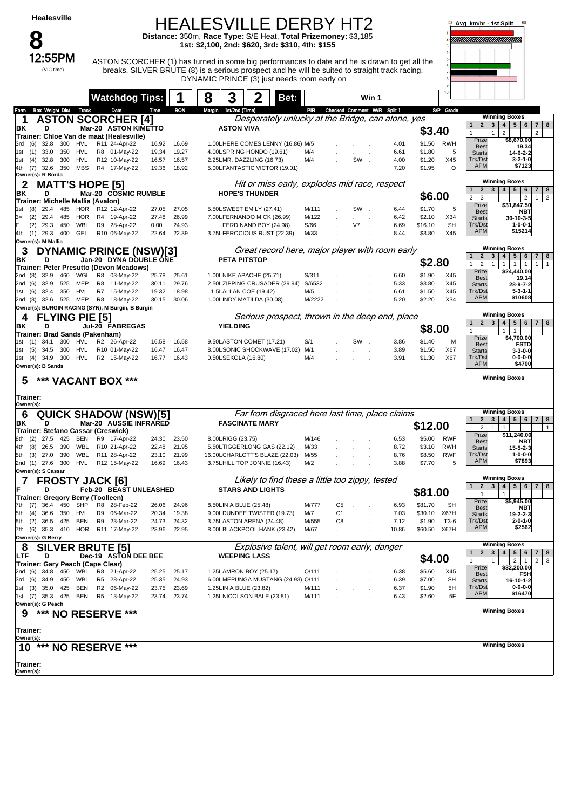#### HEALESVILLE DERBY HT2 **Distance:** 350m, **Race Type:** S/E Heat, **Total Prizemoney:** \$3,185

**1st: \$2,100, 2nd: \$620, 3rd: \$310, 4th: \$155**

**8**<br>12:55PM (VIC time)

12:55PM ASTON SCORCHER (1) has turned in some big performances to date and he is drawn to get all the breaks. SILVER BRUTE (8) is a serious prospect and he will be suited to straight track racing. DYNAMIC PRINCE (3) just needs room early on



|                                                                       | <b>Watchdog Tips:</b>         |                |                | 3<br>8                                                 | Bet:                                            |                |                                 | Win 1                                             |                  |            |                                                                                                                                                                                                     |
|-----------------------------------------------------------------------|-------------------------------|----------------|----------------|--------------------------------------------------------|-------------------------------------------------|----------------|---------------------------------|---------------------------------------------------|------------------|------------|-----------------------------------------------------------------------------------------------------------------------------------------------------------------------------------------------------|
| <b>Box Weight Dist Track</b><br>Form                                  | Date                          | Time           | <b>BON</b>     | Margin 1st/2nd (Time)                                  |                                                 |                | PIR Checked Comment W/R Split 1 |                                                   |                  | S/P Grade  |                                                                                                                                                                                                     |
| <b>ASTON SCORCHER [4]</b><br>1                                        |                               |                |                |                                                        |                                                 |                |                                 | Desperately unlucky at the Bridge, can atone, yes |                  |            | <b>Winning Boxes</b>                                                                                                                                                                                |
| ΒK<br>D                                                               | Mar-20 ASTON KIMETTO          |                |                | <b>ASTON VIVA</b>                                      |                                                 |                |                                 |                                                   | \$3.40           |            | 4   5   6<br>$\overline{2}$<br>$\mathbf{3}$<br>7 8<br>$\mathbf{1}$                                                                                                                                  |
| Trainer: Chloe Van de maat (Healesville)                              |                               |                |                |                                                        |                                                 |                |                                 |                                                   |                  |            | $\overline{2}$<br>2<br>$\mathbf{1}$<br>$\mathbf{1}$<br>\$8,670.00<br>Prize                                                                                                                          |
| 32.8<br>300<br>HVL<br>3rd (6)                                         | R11 24-Apr-22                 | 16.92          | 16.69          | 1.00LHERE COMES LENNY (16.86) M/5                      |                                                 |                |                                 | 4.01                                              | \$1.50           | RWH        | <b>Best</b><br>19.34                                                                                                                                                                                |
| 33.0<br>350<br>HVL<br>1st (1)<br>32.8<br>300<br>HVL<br>1st (4)        | R8 01-May-22<br>R12 10-May-22 | 19.34<br>16.57 | 19.27<br>16.57 | 4.00LSPRING HONDO (19.61)<br>2.25LMR. DAZZLING (16.73) |                                                 | M/4<br>M/4     | SW.                             | 6.61<br>4.00                                      | \$1.80<br>\$1.20 | 5<br>X45   | <b>Starts</b><br>14-6-2-2<br>Trk/Dst<br>$3 - 2 - 1 - 0$                                                                                                                                             |
| <b>MBS</b><br>32.6 350<br>4th (7)                                     | R4 17-May-22                  | 19.36          | 18.92          | 5.00LFANTASTIC VICTOR (19.01)                          |                                                 |                |                                 | 7.20                                              | \$1.95           | $\Omega$   | <b>APM</b><br>\$7123                                                                                                                                                                                |
| Owner(s): R Borda                                                     |                               |                |                |                                                        |                                                 |                |                                 |                                                   |                  |            |                                                                                                                                                                                                     |
| <b>MATT'S HOPE [5]</b><br>2                                           |                               |                |                |                                                        | Hit or miss early, explodes mid race, respect   |                |                                 |                                                   |                  |            | <b>Winning Boxes</b>                                                                                                                                                                                |
| ΒK<br>D                                                               | Mar-20 COSMIC RUMBLE          |                |                | <b>HOPE'S THUNDER</b>                                  |                                                 |                |                                 |                                                   | \$6.00           |            | 3   4   5   6<br>$\overline{7}$<br>2 <sup>1</sup><br>8<br>$\mathbf{1}$<br>$\overline{2}$<br>$\overline{2}$<br>$\overline{2}$<br>3<br>$\mathbf{1}$                                                   |
| Trainer: Michelle Mallia (Avalon)                                     |                               |                |                | 5.50LSWEET EMILY (27.41)                               |                                                 |                |                                 |                                                   |                  |            | \$31,847.50<br>Prize                                                                                                                                                                                |
| 485<br>(8)<br>29.4<br>HOR<br>1st<br>(2)<br>29.4<br>485<br>HOR<br>З=   | R12 12-Apr-22<br>R4 19-Apr-22 | 27.05<br>27.48 | 27.05<br>26.99 | 7.00LFERNANDO MICK (26.99)                             |                                                 | M/111<br>M/122 | SW.                             | 6.44<br>6.42                                      | \$1.70<br>\$2.10 | 5<br>X34   | <b>Best</b><br>NBT<br>30-10-3-5                                                                                                                                                                     |
| WBL<br>(2)<br>29.3<br>450                                             | R9 28-Apr-22                  | 0.00           | 24.93          | FERDINAND BOY (24.98)                                  |                                                 | S/66           | V7                              | 6.69                                              | \$16.10          | <b>SH</b>  | <b>Starts</b><br>Trk/Dst<br>$1 - 0 - 0 - 1$                                                                                                                                                         |
| 4th (1) 29.3 400<br>GEL                                               | R10 06-May-22                 | 22.64          | 22.39          | 3.75LFEROCIOUS RUST (22.39)                            |                                                 | M/33           |                                 | 8.44                                              | \$3.80           | X45        | <b>APM</b><br>\$15214                                                                                                                                                                               |
| Owner(s): M Mallia                                                    |                               |                |                |                                                        |                                                 |                |                                 |                                                   |                  |            |                                                                                                                                                                                                     |
| 3<br><b>DYNAMIC PRINCE (NSW)[3]</b>                                   |                               |                |                |                                                        |                                                 |                |                                 | Great record here, major player with room early   |                  |            | <b>Winning Boxes</b>                                                                                                                                                                                |
| ΒK<br>D                                                               | Jan-20 DYNA DOUBLE ONE        |                |                | <b>PETA PITSTOP</b>                                    |                                                 |                |                                 |                                                   | \$2.80           |            | 4 <br>$5 \mid 6$<br>$\mathbf{1}$<br>$\overline{2}$<br>$3^{\circ}$<br>$\overline{7}$<br>8<br>$\overline{2}$<br>$\mathbf{1}$<br>$\mathbf{1}$<br>1<br>$\overline{1}$<br>$\mathbf{1}$<br>$\overline{1}$ |
| Trainer: Peter Presutto (Devon Meadows)<br>32.9<br>460<br>2nd<br>(8)  | WGL R8 03-May-22              | 25.78          | 25.61          | 1.00LNIKE APACHE (25.71)                               |                                                 | S/311          |                                 | 6.60                                              | \$1.90           | X45        | \$24,440.00<br>Prize                                                                                                                                                                                |
| 525<br>MEP<br>2nd (6)<br>32.9                                         | R8 11-May-22                  | 30.11          | 29.76          | 2.50LZIPPING CRUSADER (29.94)                          |                                                 | S/6532         |                                 | 5.33                                              | \$3.80           | X45        | <b>Best</b><br>19.14<br>28-9-7-2<br><b>Starts</b>                                                                                                                                                   |
| HVL<br>350<br>1st<br>(6)<br>32.4                                      | R7 15-May-22                  | 19.32          | 18.98          | 1.5LALLAN COE (19.42)                                  |                                                 | M/5            |                                 | 6.61                                              | \$1.50           | X45        | Trk/Dst<br>$5 - 3 - 1 - 1$                                                                                                                                                                          |
| 32.6 525 MEP<br>2nd (8)                                               | R8 18-May-22                  | 30.15          | 30.06          | 1.00LINDY MATILDA (30.08)                              |                                                 | M/2222         |                                 | 5.20                                              | \$2.20           | X34        | <b>APM</b><br>\$10608                                                                                                                                                                               |
| Owner(s): BURGIN RACING (SYN), M Burgin, B Burgin                     |                               |                |                |                                                        |                                                 |                |                                 |                                                   |                  |            |                                                                                                                                                                                                     |
| <b>FLYING PIE [5]</b><br>4                                            |                               |                |                |                                                        |                                                 |                |                                 | Serious prospect, thrown in the deep end, place   |                  |            | <b>Winning Boxes</b><br>4   5   6   7   8<br>2 <sub>1</sub><br>3 <sup>1</sup><br>$\mathbf{1}$                                                                                                       |
| ΒK<br>D                                                               | Jul-20 FABREGAS               |                |                | <b>YIELDING</b>                                        |                                                 |                |                                 |                                                   | \$8.00           |            | $\mathbf{1}$<br>$\mathbf{1}$<br>$\mathbf{1}$                                                                                                                                                        |
| Trainer: Brad Sands (Pakenham)<br>300<br>HVL<br>1st (1) 34.1          | R2 26-Apr-22                  | 16.58          | 16.58          | 9.50LASTON COMET (17.21)                               |                                                 | S/1            | SW.                             | 3.86                                              | \$1.40           | м          | \$4,700.00<br>Prize                                                                                                                                                                                 |
| 1st (5) 34.5 300<br>HVL                                               | R10 01-May-22                 | 16.47          | 16.47          | 8.00LSONIC SHOCKWAVE (17.02) M/1                       |                                                 |                |                                 | 3.89                                              | \$1.50           | X67        | <b>Best</b><br><b>FSTD</b><br>$3 - 3 - 0 - 0$<br><b>Starts</b>                                                                                                                                      |
| HVL<br>1st (4) 34.9 300                                               | R2 15-May-22                  | 16.77          | 16.43          | 0.50LSEKOLA (16.80)                                    |                                                 | M/4            |                                 | 3.91                                              | \$1.30           | X67        | Trk/Dst<br>$0 - 0 - 0 - 0$                                                                                                                                                                          |
| Owner(s): B Sands                                                     |                               |                |                |                                                        |                                                 |                |                                 |                                                   |                  |            | <b>APM</b><br>\$4700                                                                                                                                                                                |
| *** VACANT BOX ***<br>5                                               |                               |                |                |                                                        |                                                 |                |                                 |                                                   |                  |            | <b>Winning Boxes</b>                                                                                                                                                                                |
|                                                                       |                               |                |                |                                                        |                                                 |                |                                 |                                                   |                  |            |                                                                                                                                                                                                     |
|                                                                       |                               |                |                |                                                        |                                                 |                |                                 |                                                   |                  |            |                                                                                                                                                                                                     |
| Trainer:                                                              |                               |                |                |                                                        |                                                 |                |                                 |                                                   |                  |            |                                                                                                                                                                                                     |
| Owner(s):                                                             |                               |                |                |                                                        |                                                 |                |                                 |                                                   |                  |            |                                                                                                                                                                                                     |
| <b>QUICK SHADOW (NSW)[5]</b><br>6                                     |                               |                |                |                                                        |                                                 |                |                                 | Far from disgraced here last time, place claims   |                  |            | <b>Winning Boxes</b><br>4   5   6   7   8<br>$\overline{1}$<br>$\overline{2}$<br>$\mathbf{3}$                                                                                                       |
| ΒK<br>D                                                               | Mar-20 AUSSIE INFRARED        |                |                | <b>FASCINATE MARY</b>                                  |                                                 |                |                                 |                                                   | \$12.00          |            | $\overline{2}$<br>$\mathbf{1}$<br>$\mathbf{1}$<br>$\mathbf{1}$                                                                                                                                      |
| Trainer: Stefano Cassar (Creswick)<br>425<br>BEN<br>$(2)$ 27.5<br>8th | R9 17-Apr-22                  | 24.30          | 23.50          | 8.00LRIGG (23.75)                                      |                                                 | M/146          |                                 | 6.53                                              | \$5.00           | <b>RWF</b> | \$11,240.00<br>Prize                                                                                                                                                                                |
| (8)<br>26.5<br>390<br>WBL<br>4th                                      | R10 21-Apr-22                 | 22.48          | 21.95          | 5.50LTIGGERLONG GAS (22.12)                            |                                                 | M/33           |                                 | 8.72                                              | \$3.10           | <b>RWH</b> | <b>Best</b><br><b>NBT</b><br>$15 - 5 - 2 - 3$<br><b>Starts</b>                                                                                                                                      |
| WBL<br>5th (3)<br>27.0<br>390                                         | R11 28-Apr-22                 | 23.10          | 21.99          | 16.00LCHARLOTT'S BLAZE (22.03)                         |                                                 | M/55           |                                 | 8.76                                              | \$8.50           | <b>RWF</b> | Trk/Dst<br>$1 - 0 - 0 - 0$                                                                                                                                                                          |
| 2nd (1) 27.6 300<br>HVL                                               | R12 15-May-22                 | 16.69          | 16.43          | 3.75LHILL TOP JONNIE (16.43)                           |                                                 | M/2            |                                 | 3.88                                              | \$7.70           | 5          | \$7893<br><b>APM</b>                                                                                                                                                                                |
| Owner(s): S Cassar                                                    |                               |                |                |                                                        |                                                 |                |                                 |                                                   |                  |            | <b>Winning Boxes</b>                                                                                                                                                                                |
| 7<br><b>FROSTY JACK [6]</b>                                           |                               |                |                |                                                        | Likely to find these a little too zippy, tested |                |                                 |                                                   |                  |            | $\overline{2}$<br>4   5   6   7   8<br>$\mathbf{1}$<br>$\mathbf{3}$                                                                                                                                 |
| F<br>D<br>Trainer: Gregory Berry (Toolleen)                           | Feb-20 BEAST UNLEASHED        |                |                | <b>STARS AND LIGHTS</b>                                |                                                 |                |                                 |                                                   | \$81.00          |            | $\mathbf{1}$<br>$\mathbf{1}$                                                                                                                                                                        |
| 450<br>SHP<br>7th (7)<br>36.4                                         | R8 28-Feb-22                  | 26.06          | 24.96          | 8.50LIN A BLUE (25.48)                                 |                                                 | M/777          | C5                              | 6.93                                              | \$81.70          | <b>SH</b>  | \$5,945.00<br>Prize                                                                                                                                                                                 |
| 350<br>HVL<br>5th (4) 36.6                                            | R9<br>06-Mar-22               | 20.34          | 19.38          | 9.00LDUNDEE TWISTER (19.73)                            |                                                 | M/7            | C <sub>1</sub>                  | 7.03                                              | \$30.10          | X67H       | <b>Best</b><br>NBT<br>19-2-2-3<br><b>Starts</b>                                                                                                                                                     |
| 36.5 425<br>BEN<br>5th<br>(2)                                         | R9 23-Mar-22                  | 24.73          | 24.32          | 3.75LASTON ARENA (24.48)                               |                                                 | M/555          | C8                              | 7.12                                              | \$1.90           | T3-6       | Trk/Dst<br>$2 - 0 - 1 - 0$                                                                                                                                                                          |
| 7th (6) 35.3 410 HOR R11 17-May-22                                    |                               |                | 23.96 22.95    | 8.00LBLACKPOOL HANK (23.42)                            |                                                 | M/67           |                                 | 10.86                                             | \$60.50 X67H     |            | <b>APM</b><br>\$2562                                                                                                                                                                                |
| Owner(s): G Berry                                                     |                               |                |                |                                                        |                                                 |                |                                 |                                                   |                  |            | <b>Winning Boxes</b>                                                                                                                                                                                |
| 8<br><b>SILVER BRUTE [5]</b>                                          |                               |                |                |                                                        | Explosive talent, will get room early, danger   |                |                                 |                                                   |                  |            | $\overline{2}$<br>3 <sup>2</sup><br>4   5   6   7   8<br>$\mathbf{1}$                                                                                                                               |
| LTF<br>D                                                              | Dec-19 ASTON DEE BEE          |                |                | <b>WEEPING LASS</b>                                    |                                                 |                |                                 |                                                   | \$4.00           |            | $2 \mid 1$<br>2 <sup>1</sup><br>$\mathbf{1}$<br>3<br>$\mathbf{1}$                                                                                                                                   |
| Trainer: Gary Peach (Cape Clear)<br>2nd (6) 34.8 450 WBL R8 21-Apr-22 |                               | 25.25          | 25.17          | 1.25LAMRON BOY (25.17)                                 |                                                 | Q/111          |                                 | 6.38                                              | \$5.60           | X45        | Prize<br>\$32,200.00<br><b>Best</b><br><b>FSH</b>                                                                                                                                                   |
| 3rd (6) 34.9 450                                                      | WBL R5 28-Apr-22              | 25.35          | 24.93          | 6.00LMEPUNGA MUSTANG (24.93) Q/111                     |                                                 |                |                                 | 6.39                                              | \$7.00           | <b>SH</b>  | <b>Starts</b><br>16-10-1-2                                                                                                                                                                          |
| 1st (3) 35.0 425<br>BEN                                               | R2 06-May-22                  | 23.75          | 23.69          | 1.25LIN A BLUE (23.82)                                 |                                                 | M/111          |                                 | 6.37                                              | \$1.90           | 5H         | Trk/Dst<br>$0 - 0 - 0 - 0$                                                                                                                                                                          |
| 1st (7) 35.3 425 BEN                                                  | R5 13-May-22                  | 23.74          | 23.74          | 1.25LNICOLSON BALE (23.81)                             |                                                 | M/111          |                                 | 6.43                                              | \$2.60           | 5F         | <b>APM</b><br>\$16470                                                                                                                                                                               |
| Owner(s): G Peach                                                     | ***                           |                |                |                                                        |                                                 |                |                                 |                                                   |                  |            | <b>Winning Boxes</b>                                                                                                                                                                                |
| *** NO RESERVE<br>9                                                   |                               |                |                |                                                        |                                                 |                |                                 |                                                   |                  |            |                                                                                                                                                                                                     |
| Trainer:                                                              |                               |                |                |                                                        |                                                 |                |                                 |                                                   |                  |            |                                                                                                                                                                                                     |
| Owner(s):                                                             |                               |                |                |                                                        |                                                 |                |                                 |                                                   |                  |            |                                                                                                                                                                                                     |
| 10 *** NO RESERVE ***                                                 |                               |                |                |                                                        |                                                 |                |                                 |                                                   |                  |            | <b>Winning Boxes</b>                                                                                                                                                                                |
|                                                                       |                               |                |                |                                                        |                                                 |                |                                 |                                                   |                  |            |                                                                                                                                                                                                     |
| Trainer:<br>Owner(s):                                                 |                               |                |                |                                                        |                                                 |                |                                 |                                                   |                  |            |                                                                                                                                                                                                     |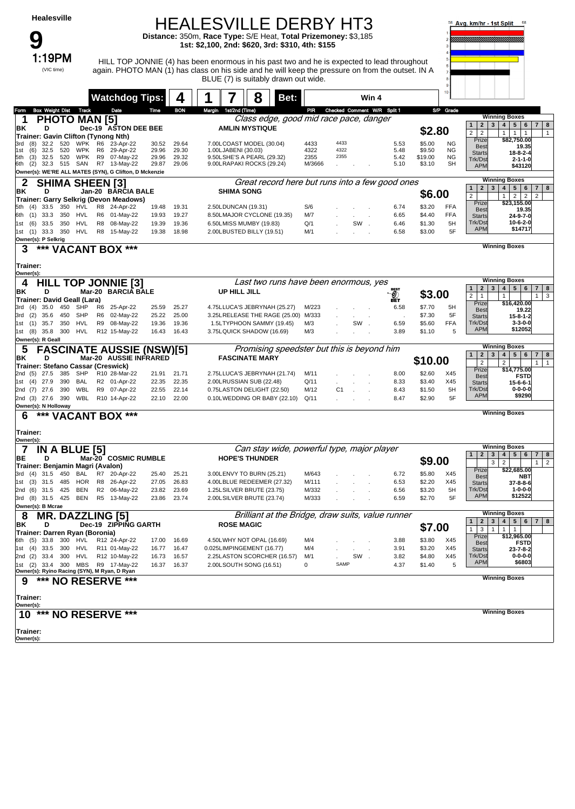#### HEALESVILLE DERBY HT3 **Distance:** 350m, **Race Type:** S/E Heat, **Total Prizemoney:** \$3,185

**1st: \$2,100, 2nd: \$620, 3rd: \$310, 4th: \$155**



#### 1:19PM HILL TOP JONNIE (4) has been enormous in his past two and he is expected to lead throughout again. PHOTO MAN (1) has class on his side and he will keep the pressure on from the outset. IN A BLUE (7) is suitably drawn out wide.



|                                                                             |                      | <b>Watchdog Tips:</b>     |                | 4              |                       | 8                                                             | Bet: |                |                             |              | Win 4 |                                                   |                   | 10                       |                                                         |                                                                                                            |
|-----------------------------------------------------------------------------|----------------------|---------------------------|----------------|----------------|-----------------------|---------------------------------------------------------------|------|----------------|-----------------------------|--------------|-------|---------------------------------------------------|-------------------|--------------------------|---------------------------------------------------------|------------------------------------------------------------------------------------------------------------|
| <b>Box Weight Dist</b><br>Track<br>Form                                     |                      | Date                      | Time           | <b>BON</b>     | Margin 1st/2nd (Time) |                                                               |      | PIR            | Checked Comment W/R Split 1 |              |       |                                                   |                   | S/P Grade                |                                                         | <b>Winning Boxes</b>                                                                                       |
| <b>PHOTO MAN [5]</b><br>1                                                   |                      |                           |                |                |                       | Class edge, good mid race pace, danger                        |      |                |                             |              |       |                                                   |                   |                          | 2 <sub>1</sub><br>1                                     | 3 <sup>1</sup><br>4 <br>5 6 <br>8<br>7 <sup>1</sup>                                                        |
| D<br>ΒK<br>Trainer: Gavin Clifton (Tynong Nth)                              |                      | Dec-19 ASTON DEE BEE      |                |                |                       | <b>AMLIN MYSTIQUE</b>                                         |      |                |                             |              |       |                                                   | \$2.80            |                          | $\overline{2}$<br>$\overline{2}$                        | 1<br>$\mathbf{1}$<br>$\mathbf{1}$<br>$\mathbf{1}$                                                          |
| 3rd<br>32.2<br>520<br>WPK<br>(8)                                            | R6                   | 23-Apr-22                 | 30.52          | 29.64          |                       | 7.00LCOAST MODEL (30.04)                                      |      | 4433           | 4433                        |              |       | 5.53                                              | \$5.00            | <b>NG</b>                | Prize<br><b>Best</b>                                    | \$82,750.00<br>19.35                                                                                       |
| 32.5<br>520<br>(6)<br><b>WPK</b><br>1st                                     | R6                   | 29-Apr-22                 | 29.96          | 29.30          | 1.00LJABENI (30.03)   |                                                               |      | 4322           | 4322                        |              |       | 5.48                                              | \$9.50            | ΝG                       | <b>Starts</b>                                           | $18 - 8 - 2 - 4$                                                                                           |
| <b>WPK</b><br>(3)<br>32.5<br>520<br>5th<br>32.3 515 SAN<br>6th<br>(2)       | R9                   | 07-May-22<br>R7 13-May-22 | 29.96<br>29.87 | 29.32<br>29.06 |                       | 9.50LSHE'S A PEARL (29.32)<br>9.00LRAPAKI ROCKS (29.24)       |      | 2355<br>M/3666 | 2355                        |              |       | 5.42<br>5.10                                      | \$19.00<br>\$3.10 | ΝG<br>SH                 | Trk/Dst<br><b>APM</b>                                   | $2 - 1 - 1 - 0$<br>\$43120                                                                                 |
| Owner(s): WE'RE ALL MATES (SYN), G Clifton, D Mckenzie                      |                      |                           |                |                |                       |                                                               |      |                |                             |              |       |                                                   |                   |                          |                                                         |                                                                                                            |
| SHIMA SHEEN [3]<br>2                                                        |                      |                           |                |                |                       |                                                               |      |                |                             |              |       | Great record here but runs into a few good ones   |                   |                          |                                                         | <b>Winning Boxes</b>                                                                                       |
| BK<br>D                                                                     |                      | Jan-20 BARCIA BALE        |                |                | <b>SHIMA SONG</b>     |                                                               |      |                |                             |              |       |                                                   | \$6.00            |                          | 3<br>$\mathbf{2}$<br>$\mathbf{1}$<br>$\overline{2}$     | 4<br>5 <sup>1</sup><br>6<br>7 <sup>1</sup><br>8<br>2 <sup>1</sup><br>$\overline{2}$<br>$\overline{2}$<br>1 |
| Trainer: Garry Selkrig (Devon Meadows)                                      |                      |                           |                |                |                       |                                                               |      |                |                             |              |       |                                                   |                   |                          | Prize                                                   | \$23,155.00                                                                                                |
| 350<br>HVL<br>(4)<br>33.5<br>33.3<br>350<br>HVL<br>(1)<br>6th               | R8<br>R <sub>6</sub> | 24-Apr-22<br>01-May-22    | 19.48<br>19.93 | 19.31<br>19.27 | 2.50LDUNCAN (19.31)   | 8.50LMAJOR CYCLONE (19.35)                                    |      | S/6<br>M/7     |                             |              |       | 6.74<br>6.65                                      | \$3.20<br>\$4.40  | <b>FFA</b><br><b>FFA</b> | <b>Best</b><br><b>Starts</b>                            | 19.35<br>24-9-7-0                                                                                          |
| 33.5<br>350<br>HVL<br>(6)<br>1st                                            | R8                   | 08-May-22                 | 19.39          | 19.36          |                       | 6.50LMISS MUMBY (19.83)                                       |      | Q/1            |                             | SW.          |       | 6.46                                              | \$1.30            | 5H                       | Trk/Dst                                                 | $10 - 6 - 2 - 0$                                                                                           |
| 1st (1)<br>33.3<br>350<br>HVL                                               | R8                   | 15-May-22                 | 19.38          | 18.98          |                       | 2.00LBUSTED BILLY (19.51)                                     |      | M/1            |                             |              |       | 6.58                                              | \$3.00            | 5F                       | <b>APM</b>                                              | \$14717                                                                                                    |
| Owner(s): P Selkrig                                                         |                      |                           |                |                |                       |                                                               |      |                |                             |              |       |                                                   |                   |                          |                                                         | <b>Winning Boxes</b>                                                                                       |
| *** VACANT BOX ***<br>3                                                     |                      |                           |                |                |                       |                                                               |      |                |                             |              |       |                                                   |                   |                          |                                                         |                                                                                                            |
| Trainer:                                                                    |                      |                           |                |                |                       |                                                               |      |                |                             |              |       |                                                   |                   |                          |                                                         |                                                                                                            |
| Owner(s):                                                                   |                      |                           |                |                |                       |                                                               |      |                |                             |              |       |                                                   |                   |                          |                                                         |                                                                                                            |
| <b>HILL TOP JONNIE [3]</b><br>4                                             |                      |                           |                |                |                       | Last two runs have been enormous, yes                         |      |                |                             |              |       |                                                   |                   |                          |                                                         | <b>Winning Boxes</b>                                                                                       |
| ΒK<br>D                                                                     |                      | Mar-20 BARCIA BALE        |                |                | UP HILL JILL          |                                                               |      |                |                             |              |       | <b>BEST</b><br>O)                                 | \$3.00            |                          | 2 <sub>1</sub><br>1<br>$\overline{2}$<br>$\overline{1}$ | 4   5   6<br>3 <br>7 <sub>1</sub><br>8<br>$\overline{\mathbf{3}}$<br>1 <sup>1</sup><br>1                   |
| Trainer: David Geall (Lara)                                                 |                      |                           |                |                |                       |                                                               |      |                |                             |              |       | вÊт                                               |                   |                          | Prize                                                   | \$16,420.00                                                                                                |
| SHP<br>3rd (4)<br>35.0<br>450<br>SHP<br>3rd (2)<br>35.6<br>450              | R6<br>R <sub>6</sub> | 25-Apr-22<br>02-May-22    | 25.59<br>25.22 | 25.27<br>25.00 |                       | 4.75LLUCA'S JEBRYNAH (25.27)<br>3.25LRELEASE THE RAGE (25.00) |      | M/223<br>M/333 |                             |              |       | 6.58                                              | \$7.70<br>\$7.30  | 5H<br>5F                 | <b>Best</b>                                             | 19.22                                                                                                      |
| 35.7<br>350<br>HVL<br>1st (1)                                               | R9                   | 08-May-22                 | 19.36          | 19.36          |                       | 1.5LTYPHOON SAMMY (19.45)                                     |      | M/3            |                             | SW           |       | 6.59                                              | \$5.60            | <b>FFA</b>               | <b>Starts</b><br>Trk/Dst                                | $15 - 8 - 1 - 2$<br>$3 - 3 - 0 - 0$                                                                        |
| 1st (8) 35.8<br>300<br>HVL                                                  |                      | R12 15-May-22             | 16.43          | 16.43          |                       | 3.75LQUICK SHADOW (16.69)                                     |      | M/3            |                             |              |       | 3.89                                              | \$1.10            | 5                        | <b>APM</b>                                              | \$12052                                                                                                    |
| Owner(s): R Geall                                                           |                      |                           |                |                |                       |                                                               |      |                |                             |              |       |                                                   |                   |                          |                                                         |                                                                                                            |
| <b>FASCINATE AUSSIE (NSW)[5]</b><br>5                                       |                      |                           |                |                |                       | Promising speedster but this is beyond him                    |      |                |                             |              |       |                                                   |                   |                          | 2 <br>$\mathbf{1}$                                      | <b>Winning Boxes</b><br>3 <br>4 <br>5 <sup>1</sup><br>6 <sup>1</sup><br>$7 \mid 8$                         |
| BK<br>D                                                                     |                      | Mar-20 AUSSIE INFRARED    |                |                |                       | <b>FASCINATE MARY</b>                                         |      |                |                             |              |       |                                                   | \$10.00           |                          | $\overline{\mathbf{c}}$                                 | $\overline{2}$<br>$\mathbf{1}$<br>1                                                                        |
| Trainer: Stefano Cassar (Creswick)<br>SHP<br>2nd (5)<br>27.5<br>385         |                      | R10 28-Mar-22             | 21.91          | 21.71          |                       | 2.75LLUCA'S JEBRYNAH (21.74)                                  |      | M/11           |                             |              |       | 8.00                                              | \$2.60            | X45                      | Prize                                                   | \$14,775.00                                                                                                |
| 390<br><b>BAL</b><br>(4)<br>27.9<br>1st                                     |                      | R2 01-Apr-22              | 22.35          | 22.35          |                       | 2.00LRUSSIAN SUB (22.48)                                      |      | Q/11           |                             |              |       | 8.33                                              | \$3.40            | X45                      | <b>Best</b><br><b>Starts</b>                            | <b>FSTD</b><br>15-6-6-1                                                                                    |
| WBL<br>27.6<br>390<br>2nd (7)                                               |                      | R9 07-Apr-22              | 22.55          | 22.14          |                       | 0.75LASTON DELIGHT (22.50)                                    |      | M/12           | C <sub>1</sub>              | $\mathbf{r}$ |       | 8.43                                              | \$1.50            | 5H                       | Trk/Dst                                                 | $0 - 0 - 0 - 0$                                                                                            |
| 2nd (3) 27.6<br>390<br>WBL                                                  |                      | R10 14-Apr-22             | 22.10          | 22.00          |                       | 0.10LWEDDING OR BABY (22.10)                                  |      | Q/11           |                             |              |       | 8.47                                              | \$2.90            | 5F                       | <b>APM</b>                                              | \$9290                                                                                                     |
| Owner(s): N Holloway                                                        |                      | ***                       |                |                |                       |                                                               |      |                |                             |              |       |                                                   |                   |                          |                                                         | <b>Winning Boxes</b>                                                                                       |
| *** VACANT BOX<br>6                                                         |                      |                           |                |                |                       |                                                               |      |                |                             |              |       |                                                   |                   |                          |                                                         |                                                                                                            |
| Trainer:                                                                    |                      |                           |                |                |                       |                                                               |      |                |                             |              |       |                                                   |                   |                          |                                                         |                                                                                                            |
| Owner(s):                                                                   |                      |                           |                |                |                       |                                                               |      |                |                             |              |       |                                                   |                   |                          |                                                         |                                                                                                            |
| <b>IN A BLUE [5]</b><br>7                                                   |                      |                           |                |                |                       | Can stay wide, powerful type, major player                    |      |                |                             |              |       |                                                   |                   |                          | $\mathbf 2$<br>1                                        | <b>Winning Boxes</b><br>3 <br>4   5   6<br>7 <sup>1</sup><br>8                                             |
| D<br>ΒE                                                                     |                      | Mar-20 COSMIC RUMBLE      |                |                |                       | <b>HOPE'S THUNDER</b>                                         |      |                |                             |              |       |                                                   | \$9.00            |                          |                                                         | 3<br>$\overline{2}$<br>1<br>$\overline{2}$                                                                 |
| Trainer: Benjamin Magri (Avalon)<br>450<br><b>BAL</b><br>3rd<br>(4)<br>31.5 | R7                   | 20-Apr-22                 | 25.40          | 25.21          |                       | 3.00LENVY TO BURN (25.21)                                     |      | M/643          |                             |              |       | 6.72                                              | \$5.80            | X45                      | Prize                                                   | \$22,685.00                                                                                                |
| <b>HOR</b><br>1st (3)<br>31.5<br>485                                        | R8                   | 26-Apr-22                 | 27.05          | 26.83          |                       | 4.00LBLUE REDEEMER (27.32)                                    |      | M/111          |                             |              |       | 6.53                                              | \$2.20            | X45                      | <b>Best</b><br><b>Starts</b>                            | <b>NBT</b><br>37-8-8-6                                                                                     |
| <b>BEN</b><br>31.5<br>425<br>(6)<br>2nd                                     | R <sub>2</sub>       | 06-May-22                 | 23.82          | 23.69          |                       | 1.25LSILVER BRUTE (23.75)                                     |      | M/332          |                             |              |       | 6.56                                              | \$3.20            | 5H                       | Trk/Dst                                                 | $1 - 0 - 0 - 0$                                                                                            |
| 3rd (8) 31.5<br>425<br>BEN                                                  |                      | R5 13-May-22              | 23.86          | 23.74          |                       | 2.00LSILVER BRUTE (23.74)                                     |      | M/333          |                             |              |       | 6.59                                              | \$2.70            | 5F                       | <b>APM</b>                                              | \$12522                                                                                                    |
| Owner(s): B Mcrae                                                           |                      |                           |                |                |                       |                                                               |      |                |                             |              |       |                                                   |                   |                          |                                                         | <b>Winning Boxes</b>                                                                                       |
| <b>MR. DAZZLING [5]</b><br>8<br>D<br>BK                                     |                      | Dec-19 ZIPPING GARTH      |                |                | <b>ROSE MAGIC</b>     |                                                               |      |                |                             |              |       | Brilliant at the Bridge, draw suits, value runner |                   |                          |                                                         | 1 2 3 4 5 6 7 8                                                                                            |
| Trainer: Darren Ryan (Boronia)                                              |                      |                           |                |                |                       |                                                               |      |                |                             |              |       |                                                   | \$7.00            |                          |                                                         | $1 \mid 3 \mid 1 \mid 1 \mid 1$                                                                            |
| 6th (5) 33.8 300 HVL                                                        |                      | R12 24-Apr-22             | 17.00          | 16.69          |                       | 4.50LWHY NOT OPAL (16.69)                                     |      | M/4            |                             |              |       | 3.88                                              | \$3.80            | X45                      | Prize<br><b>Best</b>                                    | \$12,965.00<br><b>FSTD</b>                                                                                 |
| 1st (4) 33.5 300<br>HVL                                                     |                      | R11 01-May-22             | 16.77          | 16.47          |                       | 0.025LIMPINGEMENT (16.77)                                     |      | M/4            |                             |              |       | 3.91                                              | \$3.20            | X45                      | <b>Starts</b>                                           | $23 - 7 - 8 - 2$                                                                                           |
| 2nd (2) 33.4 300 HVL<br>1st (2) 33.4 300 MBS R9 17-May-22                   |                      | R12 10-May-22             | 16.73          | 16.57          |                       | 2.25LASTON SCORCHER (16.57)                                   |      | M/1            | SAMP                        | SW.          |       | 3.82                                              | \$4.80            | X45                      | Trk/Dst<br><b>APM</b>                                   | $0 - 0 - 0 - 0$<br>\$6803                                                                                  |
| Owner(s): Ryino Racing (SYN), M Ryan, D Ryan                                |                      |                           | 16.37          | 16.37          |                       | 2.00LSOUTH SONG (16.51)                                       |      | 0              |                             |              |       | 4.37                                              | \$1.40            | 5                        |                                                         |                                                                                                            |
| *** NO RESERVE ***<br>9                                                     |                      |                           |                |                |                       |                                                               |      |                |                             |              |       |                                                   |                   |                          |                                                         | <b>Winning Boxes</b>                                                                                       |
|                                                                             |                      |                           |                |                |                       |                                                               |      |                |                             |              |       |                                                   |                   |                          |                                                         |                                                                                                            |
| Trainer:                                                                    |                      |                           |                |                |                       |                                                               |      |                |                             |              |       |                                                   |                   |                          |                                                         |                                                                                                            |
| Owner(s):<br>10 *** NO RESERVE ***                                          |                      |                           |                |                |                       |                                                               |      |                |                             |              |       |                                                   |                   |                          |                                                         | <b>Winning Boxes</b>                                                                                       |
|                                                                             |                      |                           |                |                |                       |                                                               |      |                |                             |              |       |                                                   |                   |                          |                                                         |                                                                                                            |
| Trainer:                                                                    |                      |                           |                |                |                       |                                                               |      |                |                             |              |       |                                                   |                   |                          |                                                         |                                                                                                            |
| Owner(s):                                                                   |                      |                           |                |                |                       |                                                               |      |                |                             |              |       |                                                   |                   |                          |                                                         |                                                                                                            |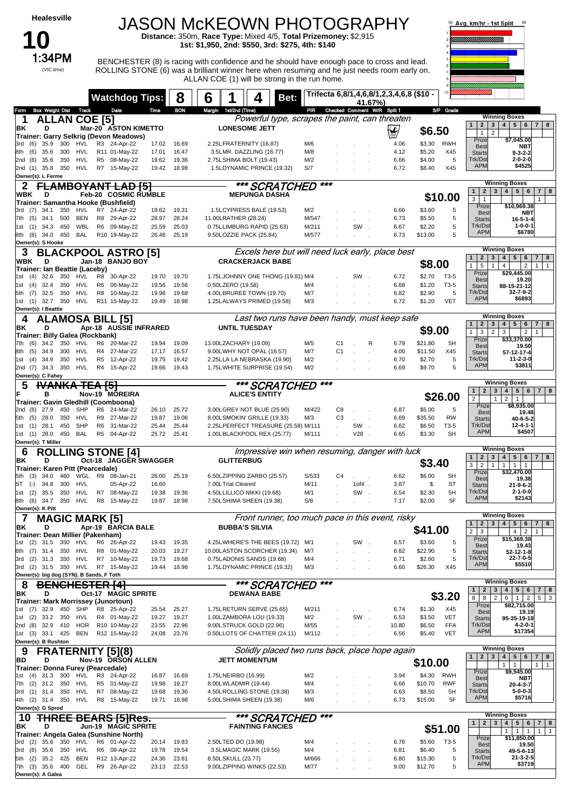### **10** (VIC time)

# JASON McKEOWN PHOTOGRAPHY **Distance:** 350m, **Race Type:** Mixed 4/5, **Total Prizemoney:** \$2,915

**1st: \$1,950, 2nd: \$550, 3rd: \$275, 4th: \$140**

**1:34PM** BENCHESTER (8) is racing with confidence and he should have enough pace to cross and lead. ROLLING STONE (6) was a brilliant winner here when resuming and he just needs room early on. ALLAN COE (1) will be strong in the run home.



|                                                                             | <b>Watchdog Tips:</b>                          | 8                                | 6 |                                                                    | Bet:          |               |                | 41.67%)  | Trifecta 6,8/1,4,6,8/1,2,3,4,6,8 (\$10 -         |                    |                   |                                                                          |                                                                                                                         |
|-----------------------------------------------------------------------------|------------------------------------------------|----------------------------------|---|--------------------------------------------------------------------|---------------|---------------|----------------|----------|--------------------------------------------------|--------------------|-------------------|--------------------------------------------------------------------------|-------------------------------------------------------------------------------------------------------------------------|
| <b>Box Weight Dist Track</b><br>om                                          | Date                                           | <b>BON</b><br>Time               |   | Margin 1st/2nd (Time)                                              |               |               |                |          | PIR Checked Comment W/R Split 1                  |                    | S/P Grade         |                                                                          |                                                                                                                         |
| <b>ALLAN COE [5]</b>                                                        |                                                |                                  |   |                                                                    |               |               |                |          | Powerful type, scrapes the paint, can threaten   |                    |                   |                                                                          | <b>Winning Boxes</b>                                                                                                    |
| ΒK<br>D                                                                     | Mar-20 ASTON KIMETTO                           |                                  |   | <b>LONESOME JETT</b>                                               |               |               |                |          | ∖∳                                               | \$6.50             |                   | 2 <sub>1</sub><br>$\mathbf{1}$<br>$\overline{2}$<br>$\mathbf{1}$         | 3   4   5   6   7   8                                                                                                   |
| Trainer: Garry Selkrig (Devon Meadows)<br>35.9<br>300<br>HVL                | R3 24-Apr-22                                   |                                  |   | 2.25LFRATERNITY (16.87)                                            |               | M/6           |                |          | 4.06                                             | \$3.30             | RWH               | Prize                                                                    | \$7,045.00                                                                                                              |
| (6)<br>(6)<br>35.6<br>300<br>HVL<br>8th                                     | R11 01-May-22                                  | 17.02<br>16.69<br>17.01<br>16.47 |   | 3.5LMR. DAZZLING (16.77)                                           |               | M/8           |                |          | 4.12                                             | \$5.20             | X45               | <b>Best</b><br><b>Starts</b>                                             | <b>NBT</b><br>$9 - 3 - 2 - 2$                                                                                           |
| 35.6<br>350<br>HVL<br>2nd<br>(8)                                            | R5 08-May-22                                   | 19.62<br>19.36                   |   | 2.75LSHIMA BOLT (19.43)                                            |               | M/2           |                |          | 6.66                                             | \$4.00             | 5                 | Trk/Dst                                                                  | $2 - 0 - 2 - 0$                                                                                                         |
| 35.8 350<br>HVL<br>2nd (1)                                                  | R7 15-May-22                                   | 19.42<br>18.98                   |   | 1.5LDYNAMIC PRINCE (19.32)                                         |               | S/7           |                |          | 6.72                                             | \$8.40             | X45               | <b>APM</b>                                                               | \$4525                                                                                                                  |
| Owner(s): L Ferme                                                           |                                                |                                  |   |                                                                    |               |               |                |          |                                                  |                    |                   |                                                                          |                                                                                                                         |
|                                                                             | <del>MBOYANT LAD [5]</del>                     |                                  |   |                                                                    | *** SCRATCHED | $***$         |                |          |                                                  |                    |                   | $\mathbf{2}$<br>$\mathbf{1}$                                             | <b>Winning Boxes</b><br>3   4   5   6<br>8<br>$\mathbf{7}$                                                              |
| WBK<br>D<br>Trainer: Samantha Hooke (Bushfield)                             | <b>Feb-20 COSMIC RUMBLE</b>                    |                                  |   | <b>MEPUNGA DASHA</b>                                               |               |               |                |          |                                                  |                    | \$10.00           | 3<br>-1                                                                  |                                                                                                                         |
| 34.1<br>350<br>HVL<br>3rd (7)                                               | R7 24-Apr-22                                   | 19.62<br>19.31                   |   | 1.5LCYPRESS BALE (19.53)                                           |               | M/2           |                |          | 6.66                                             | \$3.60             | 5                 | Prize                                                                    | \$10,969.38                                                                                                             |
| 7th (5)<br>34.1<br>500<br>BEN                                               | R8 29-Apr-22                                   | 28.97<br>28.24                   |   | 11.00LRATHER (28.24)                                               |               | M/547         |                |          | 6.73                                             | \$5.50             | 5                 | <b>Best</b><br><b>Starts</b>                                             | <b>NBT</b><br>$16 - 5 - 1 - 4$                                                                                          |
| 34.3<br>450<br>WBL<br>1st<br>(1)                                            | R6<br>09-May-22                                | 25.59<br>25.03                   |   | 0.75LLIMBURG RAPID (25.63)                                         |               | M/211         |                | SW       | 6.67                                             | \$2.20             | 5                 | Trk/Dst                                                                  | $1 - 0 - 0 - 1$                                                                                                         |
| BAL<br>8th (8)<br>34.0<br>450                                               | R10 19-May-22                                  | 25.19<br>26.48                   |   | 9.50LOZZIE PACK (25.84)                                            |               | M/577         |                |          | 6.73                                             | \$13.00            | 5                 | <b>APM</b>                                                               | \$6780                                                                                                                  |
| Owner(s): S Hooke                                                           |                                                |                                  |   |                                                                    |               |               |                |          | Excels here but will need luck early, place best |                    |                   |                                                                          | <b>Winning Boxes</b>                                                                                                    |
| WBK<br>D                                                                    | <b>BLACKPOOL ASTRO [5]</b><br>Jan-18 BANJO BOY |                                  |   | <b>CRACKERJACK BABE</b>                                            |               |               |                |          |                                                  |                    |                   | 2                                                                        | $3 \mid 4 \mid$<br>5 <sup>1</sup><br>$6\phantom{1}6$<br>$7 \mid 8$                                                      |
| Trainer: Ian Beattie (Laceby)                                               |                                                |                                  |   |                                                                    |               |               |                |          |                                                  | \$8.00             |                   | 5<br>$\mathbf{1}$<br>$\mathbf{1}$                                        | $\overline{2}$<br>4<br>1<br>$\mathbf{1}$                                                                                |
| 350<br>HVL<br>(4)<br>32.6                                                   | R8<br>30-Apr-22                                | 19.70<br>19.70                   |   | 1.75LJOHNNY ONE THONG (19.81) M/4                                  |               |               |                | SW       | 6.72                                             | \$2.70             | T3-5              | Prize<br><b>Best</b>                                                     | \$29,445.00<br>19.20                                                                                                    |
| 32.4<br>350<br>HVL<br>(4)<br>1st                                            | R6<br>06-May-22                                | 19.56<br>19.56                   |   | 0.50LZERO (19.58)                                                  |               | M/4           |                |          | 6.68                                             | \$1.20             | T3-5              | <b>Starts</b><br>Trk/Dst                                                 | 88-15-21-12                                                                                                             |
| 32.5<br>350<br>HVL<br>5th (7)<br>HVL<br>32.7 350<br>(1)<br>1st              | 10-May-22<br>R8<br>R11 15-May-22               | 19.98<br>19.68<br>18.98<br>19.49 |   | 4.00LBRUREE TOWN (19.70)<br>1.25LALWAYS PRIMED (19.58)             |               | M/7<br>M/3    |                |          | 6.82<br>6.72                                     | \$2.90<br>\$1.20   | 5<br><b>VET</b>   | <b>APM</b>                                                               | 32-7-9-2<br>\$6893                                                                                                      |
| Owner(s): I Beattie                                                         |                                                |                                  |   |                                                                    |               |               |                |          |                                                  |                    |                   |                                                                          |                                                                                                                         |
| <b>ALAMOSA BILL [5]</b><br>4                                                |                                                |                                  |   |                                                                    |               |               |                |          | Last two runs have been handy, must keep safe    |                    |                   |                                                                          | <b>Winning Boxes</b>                                                                                                    |
| ΒK<br>D                                                                     | Apr-18 AUSSIE INFRARED                         |                                  |   | <b>UNTIL TUESDAY</b>                                               |               |               |                |          |                                                  | \$9.00             |                   | $\mathbf{2}$<br>3<br>$\mathbf{1}$<br>3<br>$\mathbf{1}$<br>$\overline{2}$ | $5 \mid 6$<br>4 <br>8<br>7<br>3<br>2<br>$\mathbf{1}$                                                                    |
| Trainer: Billy Galea (Rockbank)<br>34.2<br>350<br>(6)<br>HVL<br>7th         | R6<br>20-Mar-22                                | 19.09<br>19.94                   |   | 13.00LZACHARY (19.09)                                              |               | M/5           | C1             | R        | 6.79                                             | \$21.80            | 5H                | Prize                                                                    | \$33,370.00                                                                                                             |
| (5)<br>34.9<br>300<br>HVL<br>8th                                            | R4 27-Mar-22                                   | 16.57<br>17.17                   |   | 9.00LWHY NOT OPAL (16.57)                                          |               | M/7           | C <sub>1</sub> |          | 4.00                                             | \$11.50            | X45               | <b>Best</b><br><b>Starts</b>                                             | 19.50<br>57-12-17-4                                                                                                     |
| (4)<br>350<br>HVL<br>34.9<br>1st                                            | R5 12-Apr-22                                   | 19.75<br>19.42                   |   | 2.25LLA LA NEBRASKA (19.90)                                        |               | M/2           |                |          | 6.70                                             | \$2.70             | 5                 | Trk/Dst                                                                  | 11-2-3-0                                                                                                                |
| 34.3 350<br>HVL<br>2nd (7)                                                  | R4 15-Apr-22                                   | 19.66<br>19.43                   |   | 1.75LWHITE SURPRISE (19.54)                                        |               | M/2           |                |          | 6.69                                             | \$9.70             | 5                 | <b>APM</b>                                                               | \$3811                                                                                                                  |
| Owner(s): C Fahey<br><b>WANKA TEA [5]</b><br>5                              |                                                |                                  |   |                                                                    | *** SCRATCHED | ***           |                |          |                                                  |                    |                   |                                                                          | <b>Winning Boxes</b>                                                                                                    |
| в                                                                           | Nov-19 MOREIRA                                 |                                  |   | <b>ALICE'S ENTITY</b>                                              |               |               |                |          |                                                  |                    |                   | $\mathbf{2}$<br>$\mathbf{1}$                                             | 4   5   6   7   8<br>3                                                                                                  |
| Trainer: Gavin Gledhill (Coomboona)                                         |                                                |                                  |   |                                                                    |               |               |                |          |                                                  |                    | \$26.00           | $\overline{2}$<br>Prize                                                  | $\overline{2}$<br>$\mathbf{1}$<br>$\mathbf{1}$<br>\$8,935.00                                                            |
| <b>SHP</b><br>(8)<br>27.9<br>450<br>2nd                                     | R6 24-Mar-22                                   | 25.72<br>26.10                   |   | 3.00LGREY NOT BLUE (25.90)                                         |               | M/422         | C8             |          | 6.87                                             | \$5.00             | 5                 | <b>Best</b>                                                              | 19.48                                                                                                                   |
| 28.0<br>350<br>HVL<br>5th<br>(5)<br>SHP<br>450<br>(1)<br>28.1<br>1st        | R9 27-Mar-22<br>R6 31-Mar-22                   | 19.87<br>19.06<br>25.44<br>25.44 |   | 8.00LSMOKIN' GRILLE (19.33)<br>2.25LPERFECT TREASURE (25.58) M/111 |               | M/3           | C <sub>3</sub> | SW.      | 6.69<br>6.62                                     | \$35.50<br>\$6.50  | <b>RW</b><br>T3-5 | <b>Starts</b><br>Trk/Dst                                                 | $40 - 6 - 5 - 2$<br>12-4-1-1                                                                                            |
| BAL<br>1st (1) 28.0 450                                                     | R5 04-Apr-22                                   | 25.41<br>25.72                   |   | 1.00LBLACKPOOL REX (25.77)                                         |               | M/111         |                | V28      | 6.65                                             | \$3.30             | <b>SH</b>         | <b>APM</b>                                                               | \$4507                                                                                                                  |
| Owner(s): T Miller                                                          |                                                |                                  |   |                                                                    |               |               |                |          |                                                  |                    |                   |                                                                          |                                                                                                                         |
|                                                                             |                                                |                                  |   |                                                                    |               |               |                |          |                                                  |                    |                   |                                                                          | <b>Winning Boxes</b>                                                                                                    |
| 6                                                                           | <b>ROLLING STONE [4]</b>                       |                                  |   |                                                                    |               |               |                |          | Impressive win when resuming, danger with luck   |                    |                   |                                                                          |                                                                                                                         |
| D<br>ΒK                                                                     | Oct-18 JAGGER SWAGGER                          |                                  |   | <b>GLITTERBUG</b>                                                  |               |               |                |          |                                                  | \$3.40             |                   | $\mathbf{2}$<br>3<br>$\mathbf{1}$<br>$\overline{2}$<br>3<br>$\mathbf{1}$ | $5 \mid 6$<br>4<br>7 8<br>1<br>$\mathbf{1}$<br>$\overline{1}$                                                           |
| <b>Trainer: Karen Pitt (Pearcedale)</b><br>34.0<br>460<br>WGL<br>(3)<br>5th | R9                                             | 25.19<br>26.00                   |   | 6.50LZIPPING ZARBO (25.57)                                         |               | S/533         | C4             |          | 6.62                                             | \$6.00             | <b>SH</b>         | Prize                                                                    | \$32,470.00                                                                                                             |
| 34.8<br>300<br>HVL<br>ST<br>$(-)$                                           | 08-Jan-21<br>05-Apr-22                         | 16.60                            |   | 7.00LTrial Cleared                                                 |               | M/11          |                | $10f4$ . | 3.87                                             | \$.                | ST                | <b>Best</b><br><b>Starts</b>                                             | 19.38<br>$21 - 9 - 6 - 2$                                                                                               |
| 350<br>HVL<br>(2)<br>35.5<br>1st                                            | R7<br>08-May-22                                | 19.36<br>19.38                   |   | 4.50LLILLICO NIKKI (19.68)                                         |               | M/1           |                | SW       | 6.54                                             | \$2.30             | 5H                | Trk/Dst                                                                  | $2 - 1 - 0 - 0$                                                                                                         |
| 8th (8)<br>34.7<br>350<br>HVL                                               | R8 15-May-22                                   | 19.87<br>18.98                   |   | 7.50LSHIMA SHEEN (19.38)                                           |               | S/8           |                |          | 7.17                                             | \$2.00             | 5F                | <b>APM</b>                                                               | \$2143                                                                                                                  |
| Owner(s): K Pitt                                                            |                                                |                                  |   |                                                                    |               |               |                |          |                                                  |                    |                   |                                                                          | <b>Winning Boxes</b>                                                                                                    |
| <b>MAGIC MARK [5]</b><br>7<br>ΒK<br>D                                       | Apr-19 BARCIA BALE                             |                                  |   | <b>BUBBA'S SILVIA</b>                                              |               |               |                |          | Front runner, too much pace in this event, risky |                    |                   |                                                                          | 12345678                                                                                                                |
| Trainer: Dean Millier (Pakenham)                                            |                                                |                                  |   |                                                                    |               |               |                |          |                                                  | \$41.00            |                   | $\overline{c}$<br>3                                                      | 4 <br>$\overline{2}$<br>$\mathbf{1}$                                                                                    |
| (2)<br>31.5<br>350<br>HVL<br>1st                                            | R6 26-Apr-22                                   | 19.35<br>19.43                   |   | 4.25LWHERE'S THE BEES (19.72) M/1                                  |               |               |                | SW       | 6.57                                             | \$3.60             | 5                 | Prize<br><b>Best</b>                                                     | \$15,369.38<br>19.43                                                                                                    |
| 8th (7) 31.4<br>350<br>HVL                                                  | R8 01-May-22                                   | 20.03<br>19.27                   |   | 10.00LASTON SCORCHER (19.34)<br>0.75LADONIS SANDS (19.68)          |               | M/7           |                |          | 6.82                                             | \$22.90            | 5                 | <b>Starts</b><br>Trk/Dst                                                 | 52-12-1-8<br>$22 - 7 - 0 - 5$                                                                                           |
| 3rd (2) 31.3<br>350<br>HVL<br>3rd (2) 31.5 350 HVL                          | R7 10-May-22<br>R7 15-May-22                   | 19.73<br>19.68<br>19.44<br>18.98 |   | 1.75LDYNAMIC PRINCE (19.32)                                        |               | M/4<br>M/3    |                |          | 6.71<br>6.60                                     | \$2.60<br>\$26.30  | 5<br>X45          | <b>APM</b>                                                               | \$5510                                                                                                                  |
| Owner(s): big dog (SYN), B Sands, F Toth                                    |                                                |                                  |   |                                                                    |               |               |                |          |                                                  |                    |                   |                                                                          |                                                                                                                         |
| 8                                                                           | H <del>ESTER [4]</del>                         |                                  |   |                                                                    | *** SCRATCHED | ***           |                |          |                                                  |                    |                   |                                                                          | <b>Winning Boxes</b>                                                                                                    |
| D<br>ΒK                                                                     | <b>Oct-17 MAGIC SPRITE</b>                     |                                  |   | <b>DEWANA BABE</b>                                                 |               |               |                |          |                                                  |                    | \$3.20            | $\mathbf{2}$<br>1<br>8<br>8                                              | $5 \mid 6$<br>3<br>4 <br>7   8<br>$\overline{2}$<br>$\mathbf{1}$<br>$\overline{2}$<br>5<br>$\overline{\mathbf{3}}$<br>6 |
| Trainer: Mark Morrissey (Junortoun)<br>32.9<br>SHP<br>1st (7)<br>450        | R8 25-Apr-22                                   | 25.27<br>25.54                   |   | 1.75LRETURN SERVE (25.65)                                          |               | M/211         |                |          | 6.74                                             | \$1.30             | X45               | Prize                                                                    | \$82,715.00                                                                                                             |
| 1st (2) 33.2 350<br>HVL                                                     | R4 01-May-22                                   | 19.27<br>19.27                   |   | 1.00LZAMBORA LOU (19.33)                                           |               | M/2           |                | SW.      | 6.53                                             | \$3.50             | <b>VET</b>        | <b>Best</b><br><b>Starts</b>                                             | 19.19<br>95-35-19-18                                                                                                    |
| <b>HOR</b><br>2nd (8) 32.9<br>410                                           | R10 10-May-22                                  | 23.55<br>22.96                   |   | 9.00LSTRUCK GOLD (22.96)                                           |               | M/55          |                |          | 10.80                                            | \$6.50             | <b>FFA</b>        | Trk/Dst                                                                  | $4 - 2 - 0 - 1$                                                                                                         |
| 1st (3) 33.1<br>425<br><b>BEN</b>                                           | R12 15-May-22                                  | 23.76<br>24.08                   |   | 0.50LLOTS OF CHATTER (24.11)                                       |               | M/112         |                |          | 6.56                                             | \$5.40             | <b>VET</b>        | <b>APM</b>                                                               | \$17354                                                                                                                 |
| Owner(s): B Rushton                                                         |                                                |                                  |   |                                                                    |               |               |                |          |                                                  |                    |                   |                                                                          | <b>Winning Boxes</b>                                                                                                    |
| <b>FRATERNITY</b> [5](8)<br>9<br>BD<br>D                                    | Nov-19 ORSON ALLEN                             |                                  |   | <b>JETT MOMENTUM</b>                                               |               |               |                |          | Solidly placed two runs back, place hope again   |                    |                   | 2   3   4  <br>$\mathbf{1}$                                              | $5 \mid 6$<br>$7 \mid 8$                                                                                                |
| Trainer: Donna Furey (Pearcedale)                                           |                                                |                                  |   |                                                                    |               |               |                |          |                                                  | \$10.00            |                   | Prize                                                                    | 1<br>$\mathbf{1}$<br>$\overline{1}$<br>1 <sup>1</sup><br>\$9,545.00                                                     |
| $(4)$ 31.3 300<br>HVL                                                       | R3 24-Apr-22                                   | 16.69<br>16.87                   |   | 1.75LNEIRBO (16.99)                                                |               | M/2           |                |          | 3.94                                             | \$4.30             | RWH               | <b>Best</b>                                                              | <b>NBT</b>                                                                                                              |
| 7th (2) 31.2<br>350<br>HVL<br>3rd (1) 31.4<br>350<br>HVL                    | R5 01-May-22<br>R7 08-May-22                   | 19.98<br>19.27<br>19.68<br>19.36 |   | 8.00LWLADMIR (19.44)<br>4.50LROLLING STONE (19.38)                 |               | M/4<br>M/3    |                |          | 6.66<br>6.63                                     | \$10.70<br>\$8.50  | <b>RWF</b><br>5H  | <b>Starts</b><br>Trk/Dst                                                 | 20-4-3-7<br>$5 - 0 - 0 - 3$                                                                                             |
| 4th (2) 31.4 350 HVL                                                        | R8 15-May-22                                   | 19.71<br>18.98                   |   | 5.00LSHIMA SHEEN (19.38)                                           |               | M/6           |                |          | 6.73                                             | \$15.00            | 5F                | <b>APM</b>                                                               | \$5716                                                                                                                  |
| Owner(s): G Sprod                                                           |                                                |                                  |   |                                                                    |               |               |                |          |                                                  |                    |                   |                                                                          |                                                                                                                         |
| <b>THREE BEARS [5]Res.</b><br>10                                            |                                                |                                  |   |                                                                    | *** SCRATCHED | ***           |                |          |                                                  |                    |                   | $\mathbf{1}$<br>$\mathbf{2}$                                             | <b>Winning Boxes</b><br>$\mathbf{3}$<br>4   5   6<br>7 <sup>1</sup><br>8                                                |
| ΒK<br>D<br>Trainer: Angela Galea (Sunshine North)                           | Jun-19 MAGIC SPRITE                            |                                  |   | <b>FAINTING FANCIES</b>                                            |               |               |                |          |                                                  |                    | \$51.00           |                                                                          | $\mathbf{1}$<br>$\mathbf{1}$<br>$\mathbf{1}$<br>$\overline{1}$<br>$\mathbf{1}$                                          |
| 35.6<br>350<br>HVL<br>3rd<br>(2)                                            | R6 01-Apr-22                                   | 19.83<br>20.14                   |   | 2.50LTED DO (19.98)                                                |               | M/4           |                |          | 6.76                                             | \$5.60             | T3-5              | Prize<br><b>Best</b>                                                     | \$11,850.00<br>19.50                                                                                                    |
| 3rd (8)<br>35.6<br>350<br>HVL                                               | R6 08-Apr-22                                   | 19.78<br>19.54                   |   | 3.5LMAGIC MARK (19.55)                                             |               | M/4           |                |          | 6.81                                             | \$6.40             | 5                 | <b>Starts</b>                                                            | 49-5-6-13                                                                                                               |
| <b>BEN</b><br>35.2<br>425<br>5th<br>(2)<br>7th (3) 35.6<br>400<br>GEL       | R12 13-Apr-22<br>R9 26-Apr-22                  | 24.36<br>23.61<br>22.53<br>23.13 |   | 8.50LSKULL (23.77)<br>9.00LZIPPING WINKS (22.53)                   |               | M/666<br>M/77 |                |          | 6.80<br>9.00                                     | \$15.30<br>\$12.70 | 5<br>5            | Trk/Dst<br><b>APM</b>                                                    | $21 - 3 - 2 - 5$<br>\$3719                                                                                              |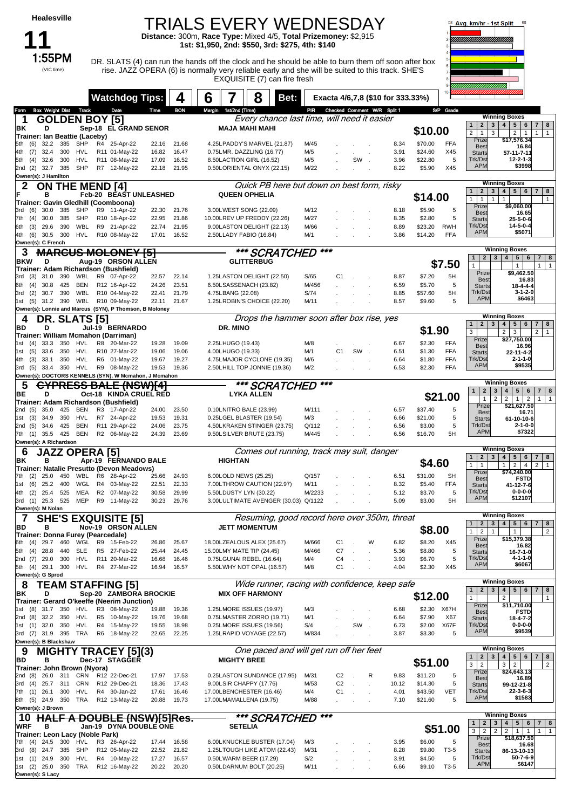### TRIALS EVERY WEDNESDAY

**Distance:** 300m, **Race Type:** Mixed 4/5, **Total Prizemoney:** \$2,915 **1st: \$1,950, 2nd: \$550, 3rd: \$275, 4th: \$140**

**11** (VIC time)

1:55PM DR. SLATS (4) can run the hands off the clock and he should be able to burn them off soon after box rise. JAZZ OPERA (6) is normally very reliable early and she will be suited to this track. SHE'S EXQUISITE (7) can fire fresh



|                                                                                        | <b>Watchdog Tips:</b>           |                | 4              | 6                                                        | 8                      | Bet:                                           |                |        | Exacta 4/6,7,8 (\$10 for 333.33%) |                    |                 |                                                   |                                                                                                                       |
|----------------------------------------------------------------------------------------|---------------------------------|----------------|----------------|----------------------------------------------------------|------------------------|------------------------------------------------|----------------|--------|-----------------------------------|--------------------|-----------------|---------------------------------------------------|-----------------------------------------------------------------------------------------------------------------------|
| <b>Box Weight Dist Track</b><br>Form                                                   | Date                            | Time           | <b>BON</b>     | Margin 1st/2nd (Time)                                    |                        |                                                |                |        | PIR Checked Comment W/R Split 1   |                    | S/P Grade       |                                                   |                                                                                                                       |
| <b>GOLDEN BOY [5]</b><br>1                                                             |                                 |                |                |                                                          |                        | Every chance last time, will need it easier    |                |        |                                   |                    |                 | 1                                                 | <b>Winning Boxes</b><br>2 3 4 5 6<br>$7 \mid 8$                                                                       |
| ΒK<br>D                                                                                | Sep-18 EL GRAND SENOR           |                |                |                                                          | <b>MAJA MAHI MAHI</b>  |                                                |                |        |                                   | \$10.00            |                 | 2 <sup>1</sup><br>$\overline{1}$<br>3             | 2 <sup>1</sup><br>$\mathbf{1}$<br>1<br>$\mathbf{1}$                                                                   |
| Trainer: Ian Beattie (Laceby)<br>32.2<br>385<br>SHP<br>(6)<br>5th                      | R4 25-Apr-22                    | 22.16          | 21.68          | 4.25LPADDY'S MARVEL (21.87)                              |                        | M/45                                           |                |        | 8.34                              | \$70.00            | FFA             | Prize                                             | \$17,576.34                                                                                                           |
| 32.4<br>300<br>HVL<br>4th<br>(7)                                                       | R11 01-May-22                   | 16.82          | 16.47          | 0.75LMR. DAZZLING (16.77)                                |                        | M/5                                            |                |        | 3.91                              | \$24.60            | X45             | <b>Best</b><br><b>Starts</b>                      | 16.84<br>57-11-7-11                                                                                                   |
| 300<br><b>HVL</b><br>32.6<br>5th<br>(4)                                                | R11 08-May-22                   | 17.09          | 16.52          | 8.50LACTION GIRL (16.52)                                 |                        | M/5                                            |                | SW     | 3.96                              | \$22.80            | 5               | Trk/Dst                                           | 12-2-1-3                                                                                                              |
| 385<br>SHP<br>2nd (2)<br>32.7                                                          | R7 12-May-22                    | 22.18          | 21.95          | 0.50LORIENTAL ONYX (22.15)                               |                        | M/22                                           |                |        | 8.22                              | \$5.90             | X45             | <b>APM</b>                                        | \$3998                                                                                                                |
| Owner(s): J Hamilton                                                                   |                                 |                |                |                                                          |                        |                                                |                |        |                                   |                    |                 |                                                   | <b>Winning Boxes</b>                                                                                                  |
| 2<br><b>ON THE MEND [4]</b>                                                            |                                 |                |                |                                                          |                        | Quick PB here but down on best form, risky     |                |        |                                   |                    |                 | $\overline{2}$<br>1                               | 4   5   6<br>3 <sup>1</sup><br>7 <sup>1</sup><br>8                                                                    |
| в<br>Trainer: Gavin Gledhill (Coomboona)                                               | Feb-20 BEAST UNLEASHED          |                |                | <b>QUEEN OPHELIA</b>                                     |                        |                                                |                |        |                                   | \$14.00            |                 | 1<br>$\mathbf{1}$<br>$\mathbf{1}$                 | $\mathbf{1}$<br>$\mathbf{1}$                                                                                          |
| 385<br>SHP<br>3rd (6)<br>30.0                                                          | R9 11-Apr-22                    | 22.30          | 21.76          | 3.00LWEST SONG (22.09)                                   |                        | M/12                                           |                |        | 8.18                              | \$5.90             | 5               | Prize                                             | \$9,060.00                                                                                                            |
| 385<br>SHP<br>(4)<br>30.0<br>7th                                                       | R10 18-Apr-22                   | 22.95          | 21.86          | 10.00LREV UP FREDDY (22.26)                              |                        | M/27                                           |                |        | 8.35                              | \$2.80             | 5               | <b>Best</b><br><b>Starts</b>                      | 16.65<br>25-5-0-6                                                                                                     |
| (3)<br>29.6<br>390<br>WBL<br>6th                                                       | R9 21-Apr-22                    | 22.74          | 21.95          | 9.00LASTON DELIGHT (22.13)                               |                        | M/66                                           |                |        | 8.89                              | \$23.20            | <b>RWH</b>      | Trk/Dst                                           | $14 - 5 - 0 - 4$                                                                                                      |
| HVL<br>4th (6)<br>30.5<br>300                                                          | R10 08-May-22                   | 17.01          | 16.52          | 2.50LLADY FABIO (16.84)                                  |                        | M/1                                            |                |        | 3.86                              | \$14.20            | <b>FFA</b>      | <b>APM</b>                                        | \$5071                                                                                                                |
| Owner(s): C French                                                                     |                                 |                |                |                                                          |                        |                                                | ***            |        |                                   |                    |                 |                                                   | <b>Winning Boxes</b>                                                                                                  |
| <b>MARCUS MOLONEY [5]</b><br>3                                                         |                                 |                |                |                                                          |                        | *** SCRATCHED                                  |                |        |                                   |                    |                 | $\mathbf{1}$                                      | 2   3   4   5   6<br> 7 8                                                                                             |
| <b>BKW</b><br>D<br>Trainer: Adam Richardson (Bushfield)                                | Aug-19 ORSON ALLEN              |                |                |                                                          | <b>GLITTERBUG</b>      |                                                |                |        |                                   |                    | \$7.50          | $\mathbf{1}$                                      | $\overline{1}$<br>$\mathbf{1}$<br>1                                                                                   |
| 31.0<br>390<br>WBL<br>3rd (3)                                                          | R9 07-Apr-22                    | 22.57          | 22.14          | 1.25LASTON DELIGHT (22.50)                               |                        | S/65                                           | C <sub>1</sub> |        | 8.87                              | \$7.20             | 5H              | Prize<br><b>Best</b>                              | \$9,462.50<br>16.83                                                                                                   |
| 425<br><b>BEN</b><br>30.8<br>6th<br>(4)                                                | R12 16-Apr-22                   | 24.26          | 23.51          | 6.50LSASSENACH (23.82)                                   |                        | M/456                                          |                |        | 6.59                              | \$5.70             | 5               | <b>Starts</b>                                     | $18 - 4 - 4 - 4$                                                                                                      |
| 390<br>WBL<br>(2)<br>30.7<br>3rd                                                       | R10 04-May-22                   | 22.41          | 21.79          | 4.75LBANG (22.08)                                        |                        | S/74                                           |                |        | 8.85                              | \$57.60            | 5H              | Trk/Dst<br><b>APM</b>                             | 3-1-2-0<br>\$6463                                                                                                     |
| WBL<br>31.2 390<br>1st<br>(5)                                                          | R10 09-May-22                   | 22.11          | 21.67          | 1.25LROBIN'S CHOICE (22.20)                              |                        | M/11                                           |                |        | 8.57                              | \$9.60             | 5               |                                                   |                                                                                                                       |
| Owner(s): Lonnie and Marcus (SYN), P Thomson, B Moloney                                |                                 |                |                |                                                          |                        | Drops the hammer soon after box rise, yes      |                |        |                                   |                    |                 |                                                   | <b>Winning Boxes</b>                                                                                                  |
| DR. SLATS [5]<br>4<br>BD<br>D                                                          | Jul-19 BERNARDO                 |                |                | DR. MINO                                                 |                        |                                                |                |        |                                   |                    |                 | $1 \mid 2 \mid 3 \mid 4 \mid$                     | $5 \mid 6$<br>7   8                                                                                                   |
| Trainer: William Mcmahon (Darriman)                                                    |                                 |                |                |                                                          |                        |                                                |                |        |                                   | \$1.90             |                 | 3                                                 | 2 <br>2 <br>3<br>$\overline{1}$                                                                                       |
| 350<br>HVL<br>1st (4)<br>33.3                                                          | R8 20-Mar-22                    | 19.28          | 19.09          | 2.25LHUGO (19.43)                                        |                        | M/8                                            |                |        | 6.67                              | \$2.30             | <b>FFA</b>      | Prize<br><b>Best</b>                              | \$27,750.00<br>16.96                                                                                                  |
| 33.6<br>350<br>HVL<br>1st<br>(5)                                                       | R10 27-Mar-22                   | 19.06          | 19.06          | 4.00LHUGO (19.33)                                        |                        | M/1                                            | C <sub>1</sub> | SW.    | 6.51                              | \$1.30             | <b>FFA</b>      | <b>Starts</b>                                     | 22-11-4-2                                                                                                             |
| HVL<br>4th<br>(3)<br>33.1<br>350                                                       | R6 01-May-22                    | 19.67          | 19.27          | 4.75LMAJOR CYCLONE (19.35)                               |                        | M/6                                            |                |        | 6.64                              | \$1.80             | <b>FFA</b>      | Trk/Dst<br><b>APM</b>                             | $2 - 1 - 1 - 0$<br>\$9535                                                                                             |
| HVL<br>3rd (5)<br>33.4<br>350<br>Owner(s): DOCTORS KENNELS (SYN), W Mcmahon, J Mcmahon | R9 08-May-22                    | 19.53          | 19.36          | 2.50LHILL TOP JONNIE (19.36)                             |                        | M/2                                            |                |        | 6.53                              | \$2.30             | <b>FFA</b>      |                                                   |                                                                                                                       |
| <b>CYPRESS BALE (NSW)[4]</b><br>5                                                      |                                 |                |                |                                                          |                        | *** SCRATCHED                                  | ***            |        |                                   |                    |                 |                                                   | <b>Winning Boxes</b>                                                                                                  |
| BE<br>D                                                                                | Oct-18 KINDA CRUEL RED          |                |                |                                                          | <b>LYKA ALLEN</b>      |                                                |                |        |                                   |                    |                 | 2 <br>$\mathbf{1}$                                | 3   4   5   6<br>$7 \mid 8$                                                                                           |
| Trainer: Adam Richardson (Bushfield)                                                   |                                 |                |                |                                                          |                        |                                                |                |        |                                   |                    | \$21.00         | $\mathbf{1}$<br>Prize                             | $\overline{2}$<br>$\overline{2}$<br>$1 \mid 2$<br>$\overline{1}$<br>$\mathbf{1}$<br>\$21,627.50                       |
| 425<br>BEN<br>2nd (5)<br>35.0                                                          | R3 17-Apr-22                    | 24.00          | 23.50          | 0.10LNITRO BALE (23.99)                                  |                        | M/111                                          |                |        | 6.57                              | \$37.40            | 5               | <b>Best</b>                                       | 16.71                                                                                                                 |
| 34.9<br>350<br>HVL<br>(3)<br>1st                                                       | R7 24-Apr-22                    | 19.53          | 19.31          | 0.25LGEL BLASTER (19.54)                                 |                        | M/3                                            |                |        | 6.66                              | \$21.00            | 5               | <b>Starts</b>                                     | 61-10-10-6                                                                                                            |
| BEN<br>425<br>2nd (5)<br>34.6<br>7th (1) 35.5 425 BEN                                  | R11 29-Apr-22<br>R2 06-May-22   | 24.06<br>24.39 | 23.75<br>23.69 | 4.50LKRAKEN STINGER (23.75)<br>9.50LSILVER BRUTE (23.75) |                        | Q/112<br>M/445                                 |                |        | 6.56<br>6.56                      | \$3.00<br>\$16.70  | 5<br>5H         | Trk/Dst<br><b>APM</b>                             | $2 - 1 - 0 - 0$<br>\$7322                                                                                             |
| Owner(s): A Richardson                                                                 |                                 |                |                |                                                          |                        |                                                |                |        |                                   |                    |                 |                                                   |                                                                                                                       |
| <b>JAZZ OPERA [5]</b><br>6                                                             |                                 |                |                |                                                          |                        | Comes out running, track may suit, danger      |                |        |                                   |                    |                 |                                                   | <b>Winning Boxes</b>                                                                                                  |
| в<br>ΒK                                                                                | Apr-19 FERNANDO BALE            |                |                | <b>HIGHTAN</b>                                           |                        |                                                |                |        |                                   | \$4.60             |                 | $\mathbf{2}$<br>1<br>$\mathbf{1}$<br>$\mathbf{1}$ | $3 \mid 4 \mid$<br>$5 \mid 6$<br>$7 \mid 8$<br>$\overline{1}$                                                         |
| Trainer: Natalie Presutto (Devon Meadows)                                              |                                 |                |                |                                                          |                        |                                                |                |        |                                   |                    |                 | Prize                                             | $2^{\circ}$<br>2 <sup>1</sup><br>$\mathbf{1}$<br>$\overline{4}$<br>\$74,240.00                                        |
| 25.0<br>450<br>WBL<br>7th (2)                                                          | R <sub>6</sub><br>28-Apr-22     | 25.66          | 24.93          | 6.00LOLD NEWS (25.25)                                    |                        | Q/157                                          |                |        | 6.51                              | \$31.00            | <b>SH</b>       | <b>Best</b>                                       | <b>FSTD</b>                                                                                                           |
| (6)<br>25.2<br>400<br>WGL<br>1st<br>25.4<br>525<br>MEA<br>4th<br>(2)                   | 03-May-22<br>R4<br>R2 07-May-22 | 22.51<br>30.58 | 22.33<br>29.99 | 7.00LTHROW CAUTION (22.97)<br>5.50LDUSTY LYN (30.22)     |                        | M/11<br>M/2233                                 |                |        | 8.32<br>5.12                      | \$5.40<br>\$3.70   | <b>FFA</b><br>5 | <b>Starts</b><br>Trk/Dst                          | 41-12-7-6<br>$0 - 0 - 0 - 0$                                                                                          |
| 525<br>MEP<br>3rd (1) 25.3                                                             | R9 11-May-22                    | 30.23          | 29.76          | 3.00LULTIMATE AVENGER (30.03) Q/1122                     |                        |                                                |                |        | 5.09                              | \$3.00             | 5H              | <b>APM</b>                                        | \$12107                                                                                                               |
| Owner(s): M Nolan                                                                      |                                 |                |                |                                                          |                        |                                                |                |        |                                   |                    |                 |                                                   |                                                                                                                       |
| <b>SHE'S EXQUISITE [5]</b><br>7                                                        |                                 |                |                |                                                          |                        | Resuming, good record here over 350m, threat   |                |        |                                   |                    |                 | $\boxed{1}$<br>$2 \mid 3 \mid$                    | <b>Winning Boxes</b><br>78                                                                                            |
| BD<br>в                                                                                | Nov-19 ORSON ALLEN              |                |                |                                                          | <b>JETT MOMENTUM</b>   |                                                |                |        |                                   | \$8.00             |                 | $\mathbf{1}$<br>$\overline{2}$<br>$\mathbf{1}$    | 4   5   6<br>$\overline{2}$<br>$\mathbf{1}$                                                                           |
| Trainer: Donna Furev (Pearcedale)<br>29.7<br>460<br>(4)<br>WGL<br>6th                  | R9 15-Feb-22                    |                | 25.67          | 18.00LZEALOUS ALEX (25.67)                               |                        | M/666                                          | C1             |        | w<br>6.82                         | \$8.20             | X45             | Prize                                             | \$15,379.38                                                                                                           |
| (4)<br>28.8<br>440<br>SLE<br>5th                                                       | R5 27-Feb-22                    | 26.86<br>25.44 | 24.45          | 15.00LMY MATE TIP (24.45)                                |                        | M/466                                          | C7             |        | 5.36                              | \$8.80             | 5               | <b>Best</b><br><b>Starts</b>                      | 16.82<br>$16 - 7 - 1 - 0$                                                                                             |
| 2nd (7) 29.0<br>300<br><b>HVL</b>                                                      | R11 20-Mar-22                   | 16.68          | 16.46          | 0.75LGUNAI REBEL (16.64)                                 |                        | M/4                                            | C <sub>4</sub> |        | 3.93                              | \$6.70             | 5               | Trk/Dst                                           | 4-1-1-0                                                                                                               |
| HVL<br>5th (4) 29.1 300                                                                | R4 27-Mar-22                    | 16.94          | 16.57          | 5.50LWHY NOT OPAL (16.57)                                |                        | M/8                                            | C1             |        | 4.04                              | \$2.30             | X45             | <b>APM</b>                                        | \$6067                                                                                                                |
| Owner(s): G Sprod                                                                      |                                 |                |                |                                                          |                        |                                                |                |        |                                   |                    |                 |                                                   | <b>Winning Boxes</b>                                                                                                  |
| <b>TEAM STAFFING [5]</b><br>8                                                          |                                 |                |                |                                                          |                        | Wide runner, racing with confidence, keep safe |                |        |                                   |                    |                 | $\mathbf{2}$<br>$\mathbf{1}$                      | $3 \mid 4 \mid$<br>$5 \mid 6$<br>$\overline{7}$<br>8                                                                  |
| D<br>ΒK<br>Trainer: Gerard O'keeffe (Neerim Junction)                                  | Sep-20 ZAMBORA BROCKIE          |                |                |                                                          | <b>MIX OFF HARMONY</b> |                                                |                |        |                                   | \$12.00            |                 | 1                                                 | 2<br>$\mathbf{1}$                                                                                                     |
| 1st (8) 31.7<br>350<br>HVL                                                             | R <sub>3</sub><br>08-May-22     | 19.88          | 19.36          | 1.25LMORE ISSUES (19.97)                                 |                        | M/3                                            |                |        | 6.68                              | \$2.30             | X67H            | Prize                                             | \$11,710.00                                                                                                           |
| 2nd (8) 32.2<br>350<br>HVL                                                             | R5 10-May-22                    | 19.76          | 19.68          | 0.75LMASTER ZORRO (19.71)                                |                        | M/1                                            |                |        | 6.64                              | \$7.90             | X67             | <b>Best</b><br><b>Starts</b>                      | <b>FSTD</b><br>$18 - 4 - 7 - 2$                                                                                       |
| 1st (1) 32.0 350<br>HVL                                                                | R4 15-May-22                    | 19.55          | 18.98          | 0.25LMORE ISSUES (19.56)                                 |                        | S/4                                            |                | SW.    | 6.73                              | \$2.00             | X67F            | Trk/Dst<br><b>APM</b>                             | $0 - 0 - 0 - 0$<br>\$9539                                                                                             |
| 3rd (7) 31.9 395 TRA                                                                   | R6 18-May-22                    | 22.65          | 22.25          | 1.25LRAPID VOYAGE (22.57)                                |                        | M/834                                          |                |        | 3.87                              | \$3.30             | 5               |                                                   |                                                                                                                       |
| Owner(s): B Blackshaw                                                                  |                                 |                |                |                                                          |                        | One paced and will get run off her feet        |                |        |                                   |                    |                 |                                                   | <b>Winning Boxes</b>                                                                                                  |
| <b>MIGHTY TRACEY [5](3)</b><br>9<br>BD<br>в                                            | Dec-17 STAGGER                  |                |                | <b>MIGHTY BREE</b>                                       |                        |                                                |                |        |                                   |                    |                 | 2 <sub>1</sub>                                    | 3   4   5   6<br>7   8                                                                                                |
| Trainer: John Brown (Nyora)                                                            |                                 |                |                |                                                          |                        |                                                |                |        |                                   | \$51.00            |                 | 3 <sup>1</sup><br>$\overline{2}$                  | 3 <br>$\overline{2}$<br>$\overline{2}$                                                                                |
| 2nd (8)<br>26.0 311<br>CRN                                                             | R12 22-Dec-21                   | 17.97          | 17.53          | 0.25LASTON SUNDANCE (17.95)                              |                        | M/31                                           | C <sub>2</sub> |        | R<br>9.83                         | \$11.20            | 5               | Prize<br><b>Best</b>                              | \$24,643.13<br>16.89                                                                                                  |
| 3rd (4) 25.7 311<br>CRN                                                                | R12 29-Dec-21                   | 18.36          | 17.43          | 9.00LSIR CHAPPY (17.76)                                  |                        | M/53                                           | C <sub>2</sub> |        | 10.12                             | \$14.30            | 5               | <b>Starts</b>                                     | 99-12-21-8                                                                                                            |
| 7th (1) 26.1<br>300<br><b>HVL</b><br><b>TRA</b><br>8th (5) 24.9 350                    | R4 30-Jan-22<br>R12 13-May-22   | 17.61<br>20.88 | 16.46<br>19.73 | 17.00LBENCHESTER (16.46)<br>17.00LMAMALLENA (19.75)      |                        | M/4<br>M/88                                    | C <sub>1</sub> | $\sim$ | 4.01<br>7.10                      | \$43.50<br>\$21.60 | <b>VET</b><br>5 | Trk/Dst<br><b>APM</b>                             | $22 - 3 - 6 - 3$<br>\$1583                                                                                            |
| Owner(s): J Brown                                                                      |                                 |                |                |                                                          |                        |                                                |                |        |                                   |                    |                 |                                                   |                                                                                                                       |
| <b>HALF</b><br>10                                                                      | A DOUBLE (NSW)[5]Res.           |                |                |                                                          |                        | *** SCRATCHED                                  | ***            |        |                                   |                    |                 |                                                   | <b>Winning Boxes</b>                                                                                                  |
| <b>WRF</b><br>в                                                                        | Jan-19 DYNA DOUBLE ONE          |                |                | <b>SETELIA</b>                                           |                        |                                                |                |        |                                   |                    | \$51.00         | $\mathbf{2}$<br>1                                 | 3   4   5   6<br>7   8                                                                                                |
| Trainer: Leon Lacy (Noble Park)                                                        |                                 |                |                |                                                          |                        |                                                |                |        |                                   |                    |                 | 3<br>$\overline{2}$<br>Prize                      | $\overline{2}$<br>$\overline{2}$<br>$\overline{1}$<br>$\overline{1}$<br>$\overline{1}$<br>$\mathbf{1}$<br>\$18,637.50 |
| 7th (4) 24.5 300<br>HVL                                                                | R3 26-Apr-22                    | 17.44          | 16.58          | 6.00LKNUCKLE BUSTER (17.04)                              |                        | M/3                                            |                |        | 3.95                              | \$6.00             | 5               | <b>Best</b>                                       | 16.68                                                                                                                 |
| 3rd (8) 24.7<br>385<br>SHP                                                             | R12 05-May-22                   | 22.52          | 21.82          | 1.25LTOUGH LIKE ATOM (22.43)                             |                        | M/31                                           |                |        | 8.28                              | \$9.80<br>\$4.50   | T3-5<br>5       | <b>Starts</b><br>Trk/Dst                          | 86-13-10-13<br>$50 - 7 - 6 - 9$                                                                                       |
|                                                                                        |                                 |                |                |                                                          |                        |                                                |                |        |                                   |                    |                 |                                                   |                                                                                                                       |
| 1st (1) 24.9<br>300<br>HVL<br>1st (2) 25.0 350 TRA                                     | R4 10-May-22<br>R12 16-May-22   | 17.27<br>20.22 | 16.57<br>20.20 | 0.50LWARM BEER (17.29)<br>0.50LDARNUM BOLT (20.25)       |                        | S/2<br>M/11                                    |                |        | 3.91<br>6.66                      | \$9.10             | T3-5            | <b>APM</b>                                        | \$6147                                                                                                                |